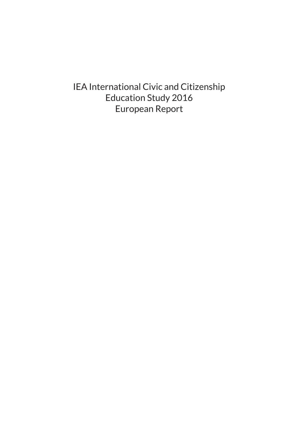IEA International Civic and Citizenship Education Study 2016 European Report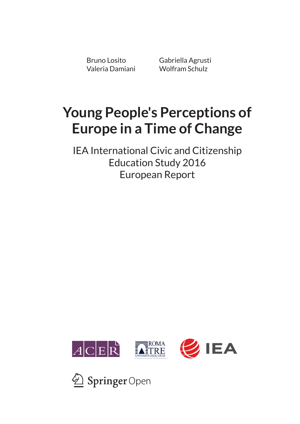Bruno Losito Gabriella Agrusti Valeria Damiani Wolfram Schulz

# **Young People's Perceptions of Europe in a Time of Change**

IEA International Civic and Citizenship Education Study 2016 European Report



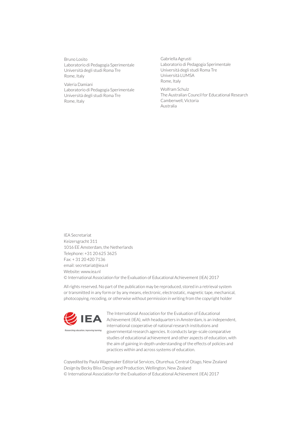Bruno Losito Laboratorio di Pedagogia Sperimentale Università degli studi Roma Tre Rome, Italy

Valeria Damiani Laboratorio di Pedagogia Sperimentale Università degli studi Roma Tre Rome, Italy

Gabriella Agrusti Laboratorio di Pedagogia Sperimentale Università degli studi Roma Tre Università LUMSA Rome, Italy

Wolfram Schulz The Australian Council for Educational Research Camberwell, Victoria Australia

IEA Secretariat Keizersgracht 311 1016 EE Amsterdam, the Netherlands Telephone: +31 20 625 3625 Fax: + 31 20 420 7136 email: secretariat@iea.nl Website: www.iea.nl © International Association for the Evaluation of Educational Achievement (IEA) 2017

All rights reserved. No part of the publication may be reproduced, stored in a retrieval system or transmitted in any form or by any means, electronic, electrostatic, magnetic tape, mechanical, photocopying, recoding, or otherwise without permission in writing from the copyright holder



The International Association for the Evaluation of Educational Achievement (IEA), with headquarters in Amsterdam, is an independent, international cooperative of national research institutions and governmental research agencies. It conducts large-scale comparative studies of educational achievement and other aspects of education, with the aim of gaining in-depth understanding of the effects of policies and practices within and across systems of education.

*Copyedited by* Paula Wagemaker Editorial Services, Oturehua, Central Otago, New Zealand *Design by* Becky Bliss Design and Production, Wellington, New Zealand © International Association for the Evaluation of Educational Achievement (IEA) 2017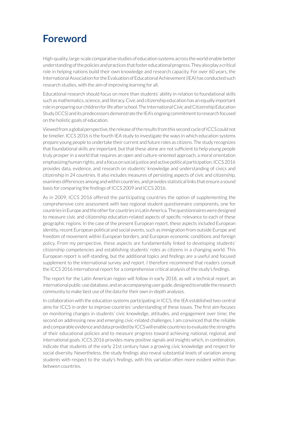### **Foreword**

High-quality, large-scale comparative studies of education systems across the world enable better understanding of the policies and practices that foster educational progress. They also play a critical role in helping nations build their own knowledge and research capacity. For over 60 years, the International Association for the Evaluation of Educational Achievement (IEA) has conducted such research studies, with the aim of improving learning for all.

Educational research should focus on more than students' ability in relation to foundational skills such as mathematics, science, and literacy. Civic and citizenship education has an equally important role in preparing our children for life after school. The International Civic and Citizenship Education Study (ICCS) and its predecessors demonstrate the IEA's ongoing commitment to research focused on the holistic goals of education.

Viewed from a global perspective, the release of the results from this second cycle of ICCS could not be timelier. ICCS 2016 is the fourth IEA study to investigate the ways in which education systems prepare young people to undertake their current and future roles as citizens. The study recognizes that foundational skills are important, but that these alone are not sufficient to help young people truly prosper in a world that requires an open and culture-oriented approach, a moral orientation emphasizing human rights, and a focus on social justice and active political participation. ICCS 2016 provides data, evidence, and research on students' knowledge and understanding of civics and citizenship in 24 countries. It also includes measures of persisting aspects of civic and citizenship, examines differences among and within countries, and provides statistical links that ensure a sound basis for comparing the findings of ICCS 2009 and ICCS 2016.

As in 2009, ICCS 2016 offered the participating countries the option of supplementing the comprehensive core assessment with two regional student questionnaire components, one for countries in Europe and the other for countries in Latin America. The questionnaires were designed to measure civic and citizenship education-related aspects of specific relevance to each of these geographic regions. In the case of the present European report, these aspects included European identity, recent European political and social events, such as immigration from outside Europe and freedom of movement within European borders, and European economic conditions and foreign policy. From my perspective, these aspects are fundamentally linked to developing students' citizenship competencies and establishing students' roles as citizens in a changing world. This European report is self-standing, but the additional topics and findings are a useful and focused supplement to the international survey and report. I therefore recommend that readers consult the ICCS 2016 international report for a comprehensive critical analysis of the study's findings.

The report for the Latin American region will follow in early 2018, as will a technical report, an international public-use database, and an accompanying user guide, designed to enable the research community to make best use of the data for their own in-depth analyses.

In collaboration with the education systems participating in ICCS, the IEA established two central aims for ICCS in order to improve countries' understanding of these issues. The first aim focuses on monitoring changes in students' civic knowledge, attitudes, and engagement over time; the second on addressing new and emerging civic-related challenges. I am convinced that the reliable and comparable evidence and data provided by ICCS will enable countries to evaluate the strengths of their educational policies and to measure progress toward achieving national, regional, and international goals. ICCS 2016 provides many positive signals and insights which, in combination, indicate that students of the early 21st century have a growing civic knowledge and respect for social diversity. Nevertheless, the study findings also reveal substantial levels of variation among students with respect to the study's findings, with this variation often more evident within than between countries.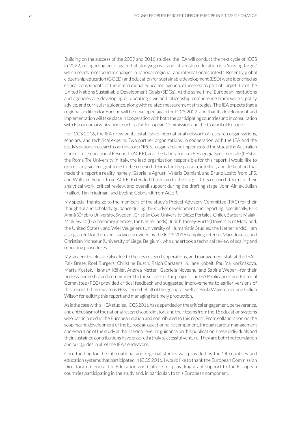Building on the success of the 2009 and 2016 studies, the IEA will conduct the next cycle of ICCS in 2022, recognizing once again that studying civic and citizenship education is a 'moving target' which needs to respond to changes in national, regional, and international contexts. Recently, global citizenship education (GCED) and education for sustainable development (ESD) were identified as critical components of the international education agenda, expressed as part of Target 4.7 of the United Nations Sustainable Development Goals (SDGs). At the same time, European institutions and agencies are developing or updating civic and citizenship competence frameworks, policy advice, and curricular guidance, along with related measurement strategies. The IEA expects that a regional addition for Europe will be developed again for ICCS 2022, and that its development and implementation will take place in cooperation with both the participating countries and in consultation with European organizations such as the European Commission and the Council of Europe.

For ICCS 2016, the IEA drew on its established international network of research organizations, scholars, and technical experts. Two partner organizations, in cooperation with the IEA and the study's national research coordinators (NRCs), organized and implemented the study: the Australian Council for Educational Research (ACER), and the Laboratorio di Pedagogia Sperimentale (LPS) at the Roma Tre University in Italy, the lead organization responsible for this report. I would like to express my sincere gratitude to the research teams for the passion, intellect, and dedication that made this report a reality, namely, Gabriella Agrusti, Valeria Damiani, and Bruno Losito from LPS, and Wolfram Schulz from ACER. Extended thanks go to the larger ICCS research team for their analytical work, critical review, and overall support during the drafting stage: John Ainley, Julian Fraillon, Tim Friedman, and Eveline Gebhardt from ACER.

My special thanks go to the members of the study's Project Advisory Committee (PAC) for their thoughtful and scholarly guidance during the study's development and reporting: specifically, Erik Amnå (Örebro University, Sweden), Cristián Cox (University Diego Portales, Chile), Barbara Malak-Minkiewicz (IEA honorary member, the Netherlands), Judith Torney-Purta (University of Maryland, the United States), and Wiel Veugelers (University of Humanistic Studies, the Netherlands). I am also grateful for the expert advice provided by the ICCS 2016 sampling referee, Marc Joncas, and Christian Monseur (University of Liège, Belgium), who undertook a technical review of scaling and reporting procedures.

My sincere thanks are also due to the key research, operations, and management staff at the IEA— Falk Brese, Roel Burgers, Christine Busch, Ralph Carstens, Juliane Kobelt, Paulína Koršňáková, Marta Kostek, Hannah Köhler, Andrea Netten, Gabriela Noveanu, and Sabine Weber—for their tireless leadership and commitment to the success of the project. The IEA Publications and Editorial Committee (PEC) provided critical feedback and suggested improvements to earlier versions of this report. I thank Seamus Hegarty on behalf of the group, as well as Paula Wagemaker and Gillian Wilson for editing this report and managing its timely production.

As is the case with all IEA studies, ICCS 2016 has depended on the critical engagement, perseverance, and enthusiasm of the national research coordinators and their teams from the 15 education systems who participated in the European option and contributed to this report. From collaboration on the scoping and development of the European questionnaire component, through careful management and execution of the study at the national level, to guidance on this publication, these individuals and their sustained contributions have ensured a truly successful venture. They are both the foundation and our guides in all of the IEA's endeavors.

Core funding for the international and regional studies was provided by the 24 countries and education systems that participated in ICCS 2016. I would like to thank the European Commission Directorate-General for Education and Culture for providing grant support to the European countries participating in the study and, in particular, to this European component.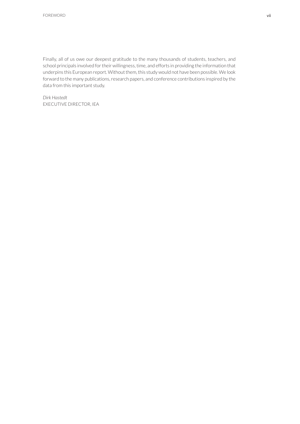Finally, all of us owe our deepest gratitude to the many thousands of students, teachers, and school principals involved for their willingness, time, and efforts in providing the information that underpins this European report. Without them, this study would not have been possible. We look forward to the many publications, research papers, and conference contributions inspired by the data from this important study.

*Dirk Hastedt* EXECUTIVE DIRECTOR, IEA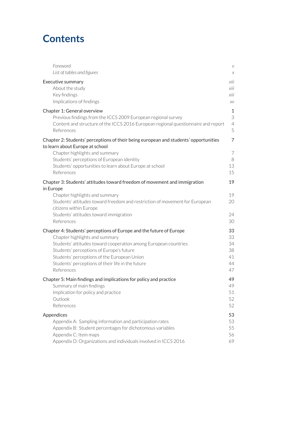## **Contents**

| Foreword                                                                                                                                                                                                                                                                                  | V                                                 |
|-------------------------------------------------------------------------------------------------------------------------------------------------------------------------------------------------------------------------------------------------------------------------------------------|---------------------------------------------------|
| List of tables and figures                                                                                                                                                                                                                                                                | $\boldsymbol{\times}$                             |
| Executive summary                                                                                                                                                                                                                                                                         | xiii                                              |
| About the study                                                                                                                                                                                                                                                                           | xiii                                              |
| Key findings                                                                                                                                                                                                                                                                              | xiii                                              |
| Implications of findings                                                                                                                                                                                                                                                                  | XV                                                |
| Chapter 1: General overview                                                                                                                                                                                                                                                               | $\overline{1}$                                    |
| Previous findings from the ICCS 2009 European regional survey                                                                                                                                                                                                                             | 3                                                 |
| Content and structure of the ICCS 2016 European regional questionnaire and report                                                                                                                                                                                                         | $\overline{4}$                                    |
| References                                                                                                                                                                                                                                                                                | 5                                                 |
| Chapter 2: Students' perceptions of their being european and students' opportunities<br>to learn about Europe at school<br>Chapter highlights and summary<br>Students' perceptions of European identity<br>Students' opportunities to learn about Europe at school<br>References          | $\overline{7}$<br>$\overline{7}$<br>8<br>13<br>15 |
| Chapter 3: Students' attitudes toward freedom of movement and immigration<br>in Europe<br>Chapter highlights and summary<br>Students' attitudes toward freedom and restriction of movement for European<br>citizens within Europe<br>Students' attitudes toward immigration<br>References | 19<br>19<br>20<br>24<br>30                        |
| Chapter 4: Students' perceptions of Europe and the future of Europe                                                                                                                                                                                                                       | 33                                                |
| Chapter highlights and summary                                                                                                                                                                                                                                                            | 33                                                |
| Students' attitudes toward cooperation among European countries                                                                                                                                                                                                                           | 34                                                |
| Students' perceptions of Europe's future                                                                                                                                                                                                                                                  | 38                                                |
| Students' perceptions of the European Union                                                                                                                                                                                                                                               | 41                                                |
| Students' perceptions of their life in the future                                                                                                                                                                                                                                         | 44                                                |
| References                                                                                                                                                                                                                                                                                | 47                                                |
| Chapter 5: Main findings and implications for policy and practice                                                                                                                                                                                                                         | 49                                                |
| Summary of main findings                                                                                                                                                                                                                                                                  | 49                                                |
| Implication for policy and practice                                                                                                                                                                                                                                                       | 51                                                |
| Outlook                                                                                                                                                                                                                                                                                   | 52                                                |
| References                                                                                                                                                                                                                                                                                | 52                                                |
| Appendices                                                                                                                                                                                                                                                                                | 53                                                |
| Appendix A: Sampling information and participation rates                                                                                                                                                                                                                                  | 53                                                |
| Appendix B: Student percentages for dichotomous variables                                                                                                                                                                                                                                 | 55                                                |
| Appendix C: Item maps                                                                                                                                                                                                                                                                     | 56                                                |
| Appendix D: Organizations and individuals involved in ICCS 2016                                                                                                                                                                                                                           | 69                                                |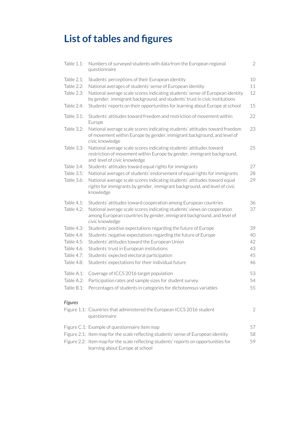## **List of tables and figures**

| Table 1.1:     | Numbers of surveyed students with data from the European regional<br>questionnaire                                                                                            | $\overline{2}$ |
|----------------|-------------------------------------------------------------------------------------------------------------------------------------------------------------------------------|----------------|
| Table $2.1$ :  | Students' perceptions of their European identity                                                                                                                              | 10             |
| Table 2.2:     | National averages of students' sense of European identity                                                                                                                     | 11             |
| Table 2.3:     | National average scale scores indicating students' sense of European identity<br>by gender, immigrant background, and students' trust in civic institutions                   | 12             |
| Table 2.4:     | Students' reports on their opportunities for learning about Europe at school                                                                                                  | 15             |
| Table 3.1:     | Students' attitudes toward freedom and restriction of movement within<br>Europe                                                                                               | 22             |
| Table 3.2:     | National average scale scores indicating students' attitudes toward freedom<br>of movement within Europe by gender, immigrant background, and level of<br>civic knowledge     | 23             |
| Table 3.3:     | National average scale scores indicating students' attitudes toward<br>restriction of movement within Europe by gender, immigrant background,<br>and level of civic knowledge | 25             |
| Table 3.4:     | Students' attitudes toward equal rights for immigrants                                                                                                                        | 27             |
| Table 3.5:     | National averages of students' endorsement of equal rights for immigrants                                                                                                     | 28             |
| Table 3.6:     | National average scale scores indicating students' attitudes toward equal<br>rights for immigrants by gender, immigrant background, and level of civic<br>knowledge           | 29             |
| Table 4.1:     | Students' attitudes toward cooperation among European countries                                                                                                               | 36             |
| Table 4.2:     | National average scale scores indicating students' views on cooperation<br>among European countries by gender, immigrant background, and level of<br>civic knowledge          | 37             |
| Table 4.3:     | Students' positive expectations regarding the future of Europe                                                                                                                | 39             |
| Table 4.4:     | Students' negative expectations regarding the future of Europe                                                                                                                | 40             |
| Table 4.5:     | Students' attitudes toward the European Union                                                                                                                                 | 42             |
| Table 4.6:     | Students' trust in European institutions                                                                                                                                      | 43             |
| Table 4.7:     | Students' expected electoral participation                                                                                                                                    | 45             |
| Table 4.8:     | Students' expectations for their individual future                                                                                                                            | 46             |
| Table A.1:     | Coverage of ICCS 2016 target population                                                                                                                                       | 53             |
| Table A.2:     | Participation rates and sample sizes for student survey                                                                                                                       | 54             |
| Table B.1:     | Percentages of students in categories for dichotomous variables                                                                                                               | 55             |
| <b>Figures</b> |                                                                                                                                                                               |                |
|                | Figure 1.1: Countries that administered the European ICCS 2016 student<br>questionnaire                                                                                       | $\overline{2}$ |
|                | Figure C.1: Example of questionnaire item map                                                                                                                                 | 57             |
|                | Figure 2.1: Item map for the scale reflecting students' sense of European identity                                                                                            | 58             |
|                | Figure 2.2: Item map for the scale reflecting students' reports on opportunities for<br>learning about Europe at school                                                       | 59             |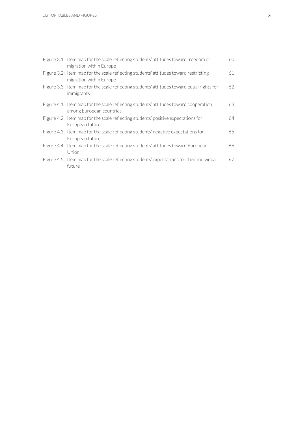| Figure 3.1: Item map for the scale reflecting students' attitudes toward freedom of<br>migration within Europe   | 60 |
|------------------------------------------------------------------------------------------------------------------|----|
| Figure 3.2: Item map for the scale reflecting students' attitudes toward restricting<br>migration within Europe  | 61 |
| Figure 3.3: Item map for the scale reflecting students' attitudes toward equal rights for<br>immigrants          | 62 |
| Figure 4.1: Item map for the scale reflecting students' attitudes toward cooperation<br>among European countries | 63 |
| Figure 4.2: Item map for the scale reflecting students' positive expectations for<br>European future             | 64 |
| Figure 4.3: Item map for the scale reflecting students' negative expectations for<br>European future             | 65 |
| Figure 4.4: Item map for the scale reflecting students' attitudes toward European<br>Union                       | 66 |
| Figure 4.5: Item map for the scale reflecting students' expectations for their individual<br>future              | 67 |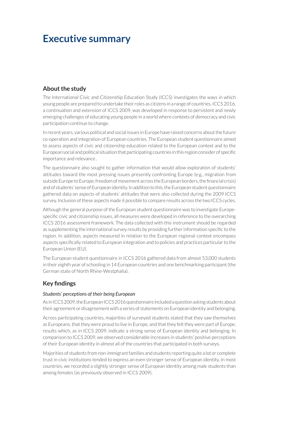### **Executive summary**

### **About the study**

The International Civic and Citizenship Education Study (ICCS) investigates the ways in which young people are prepared to undertake their roles as citizens in a range of countries. ICCS 2016, a continuation and extension of ICCS 2009, was developed in response to persistent and newly emerging challenges of educating young people in a world where contexts of democracy and civic participation continue to change.

In recent years, various political and social issues in Europe have raised concerns about the future co-operation and integration of European countries. The European student questionnaire aimed to assess aspects of civic and citizenship education related to the European context and to the European social and political situation that participating countries in this region consider of specific importance and relevance .

The questionnaire also sought to gather information that would allow exploration of students' attitudes toward the most pressing issues presently confronting Europe (e.g., migration from outside Europe to Europe, freedom of movement across the European borders, the financial crisis) and of students' sense of European identity. In addition to this, the European student questionnaire gathered data on aspects of students' attitudes that were also collected during the 2009 ICCS survey. Inclusion of these aspects made it possible to compare results across the two ICCS cycles.

Although the general purpose of the European student questionnaire was to investigate Europespecific civic and citizenship issues, all measures were developed in reference to the overarching ICCS 2016 assessment framework. The data collected with this instrument should be regarded as supplementing the international survey results by providing further information specific to the region. In addition, aspects measured in relation to the European regional context encompass aspects specifically related to European integration and to policies and practices particular to the European Union (EU).

The European student questionnaire in ICCS 2016 gathered data from almost 53,000 students in their eighth year of schooling in 14 European countries and one benchmarking participant (the German state of North Rhine-Westphalia).

### **Key findings**

#### *Students' perceptions of their being European*

As in ICCS 2009, the European ICCS 2016 questionnaire included a question asking students about their agreement or disagreement with a series of statements on European identity and belonging.

Across participating countries, majorities of surveyed students stated that they saw themselves as Europeans, that they were proud to live in Europe, and that they felt they were part of Europe, results which, as in ICCS 2009, indicate a strong sense of European identity and belonging. In comparison to ICCS 2009, we observed considerable increases in students' positive perceptions of their European identity in almost all of the countries that participated in both surveys.

Majorities of students from non-immigrant families and students reporting quite a lot or complete trust in civic institutions tended to express an even stronger sense of European identity. In most countries, we recorded a slightly stronger sense of European identity among male students than among females (as previously observed in ICCS 2009).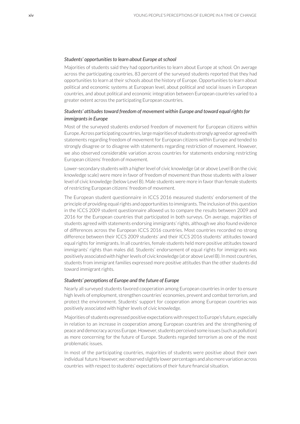#### *Students' opportunities to learn about Europe at school*

Majorities of students said they had opportunities to learn about Europe at school. On average across the participating countries, 83 percent of the surveyed students reported that they had opportunities to learn at their schools about the history of Europe. Opportunities to learn about political and economic systems at European level, about political and social issues in European countries, and about political and economic integration between European countries varied to a greater extent across the participating European countries.

#### *Students' attitudes toward freedom of movement within Europe and toward equal rights for immigrants in Europe*

Most of the surveyed students endorsed freedom of movement for European citizens within Europe. Across participating countries, large majorities of students strongly agreed or agreed with statements regarding freedom of movement for European citizens within Europe and tended to strongly disagree or to disagree with statements regarding restriction of movement. However, we also observed considerable variation across countries for statements endorsing restricting European citizens' freedom of movement.

Lower-secondary students with a higher level of civic knowledge (at or above Level B on the civic knowledge scale) were more in favor of freedom of movement than those students with a lower level of civic knowledge (below Level B). Male students were more in favor than female students of restricting European citizens' freedom of movement.

The European student questionnaire in ICCS 2016 measured students' endorsement of the principle of providing equal rights and opportunities to immigrants. The inclusion of this question in the ICCS 2009 student questionnaire allowed us to compare the results between 2009 and 2016 for the European countries that participated in both surveys. On average, majorities of students agreed with statements endorsing immigrants' rights, although we also found evidence of differences across the European ICCS 2016 countries. Most countries recorded no strong difference between their ICCS 2009 students' and their ICCS 2016 students' attitudes toward equal rights for immigrants. In all countries, female students held more positive attitudes toward immigrants' rights than males did. Students' endorsement of equal rights for immigrants was positively associated with higher levels of civic knowledge (at or above Level B). In most countries, students from immigrant families expressed more positive attitudes than the other students did toward immigrant rights.

#### *Students' perceptions of Europe and the future of Europe*

Nearly all surveyed students favored cooperation among European countries in order to ensure high levels of employment, strengthen countries' economies, prevent and combat terrorism, and protect the environment. Students' support for cooperation among European countries was positively associated with higher levels of civic knowledge.

Majorities of students expressed positive expectations with respect to Europe's future, especially in relation to an increase in cooperation among European countries and the strengthening of peace and democracy across Europe. However, students perceived some issues (such as pollution) as more concerning for the future of Europe. Students regarded terrorism as one of the most problematic issues.

In most of the participating countries, majorities of students were positive about their own individual future. However, we observed slightly lower percentages and also more variation across countries with respect to students' expectations of their future financial situation.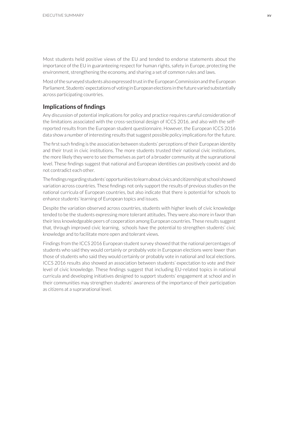Most students held positive views of the EU and tended to endorse statements about the importance of the EU in guaranteeing respect for human rights, safety in Europe, protecting the environment, strengthening the economy, and sharing a set of common rules and laws.

Most of the surveyed students also expressed trust in the European Commission and the European Parliament. Students' expectations of voting in European elections in the future varied substantially across participating countries.

#### **Implications of findings**

Any discussion of potential implications for policy and practice requires careful consideration of the limitations associated with the cross-sectional design of ICCS 2016, and also with the selfreported results from the European student questionnaire. However, the European ICCS 2016 data show a number of interesting results that suggest possible policy implications for the future.

The first such finding is the association between students' perceptions of their European identity and their trust in civic institutions. The more students trusted their national civic institutions, the more likely they were to see themselves as part of a broader community at the supranational level. These findings suggest that national and European identities can positively coexist and do not contradict each other.

The findings regarding students' opportunities to learn about civics and citizenship at school showed variation across countries. These findings not only support the results of previous studies on the national curricula of European countries, but also indicate that there is potential for schools to enhance students' learning of European topics and issues.

Despite the variation observed across countries, students with higher levels of civic knowledge tended to be the students expressing more tolerant attitudes. They were also more in favor than their less knowledgeable peers of cooperation among European countries. These results suggest that, through improved civic learning, schools have the potential to strengthen students' civic knowledge and to facilitate more open and tolerant views.

Findings from the ICCS 2016 European student survey showed that the national percentages of students who said they would certainly or probably vote in European elections were lower than those of students who said they would certainly or probably vote in national and local elections. ICCS 2016 results also showed an association between students' expectation to vote and their level of civic knowledge. These findings suggest that including EU-related topics in national curricula and developing initiatives designed to support students' engagement at school and in their communities may strengthen students' awareness of the importance of their participation as citizens at a supranational level.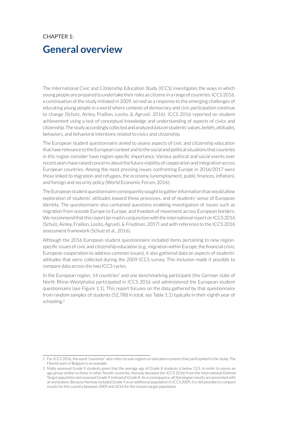### CHAPTER 1: **General overview**

The International Civic and Citizenship Education Study (ICCS) investigates the ways in which young people are prepared to undertake their roles as citizens in a range of countries. ICCS 2016, a continuation of the study initiated in 2009, served as a response to the emerging challenges of educating young people in a world where contexts of democracy and civic participation continue to change (Schulz, Ainley, Fraillon, Losito, & Agrusti, 2016). ICCS 2016 reported on student achievement using a test of conceptual knowledge and understanding of aspects of civics and citizenship. The study accordingly collected and analyzed data on students' values, beliefs, attitudes, behaviors, and behavioral intentions related to civics and citizenship.

The European student questionnaire aimed to assess aspects of civic and citizenship education that have relevance to the European context and to the social and political situations that countries in this region consider have region-specific importance. Various political and social events over recent years have raised concerns about the future viability of cooperation and integration across European countries. Among the most pressing issues confronting Europe in 2016/2017 were those linked to migration and refugees, the economy (unemployment, public finances, inflation), and foreign and security policy (World Economic Forum, 2016).

The European student questionnaire consequently sought to gather information that would allow exploration of students' attitudes toward these processes, and of students' sense of European identity. The questionnaire also contained questions enabling investigation of issues such as migration from outside Europe to Europe, and freedom of movement across European borders. We recommend that this report be read in conjunction with the international report on ICCS 2016 (Schulz, Ainley, Fraillon, Losito, Agrusti, & Friedman, 2017) and with reference to the ICCS 2016 assessment framework (Schulz et al., 2016).

Although the 2016 European student questionnaire included items pertaining to new regionspecific issues of civic and citizenship education (e.g., migration within Europe, the financial crisis, European cooperation to address common issues), it also gathered data on aspects of students' attitudes that were collected during the 2009 ICCS survey. This inclusion made it possible to compare data across the two ICCS cycles.

In the European region,  $14$  countries<sup>1</sup> and one benchmarking participant (the German state of North Rhine-Westphalia) participated in ICCS 2016 and administered the European student questionnaire (see Figure 1.1). This report focuses on the data gathered by that questionnaire from random samples of students (52,788 in total; see Table 1.1) typically in their eighth year of schooling.<sup>2</sup>

<sup>1</sup> For ICCS 2016, the word "countries" also refers to sub-regions or education systems that participated in the study. The Flemish part of Belgium is an example.

<sup>2</sup> Malta assessed Grade 9 students given that the average age of Grade 8 students is below 13.5. In order to assess an age group similar to those in other Nordic countries, Norway deviated (for ICCS 2016) from the International Defined Target population and assessed Grade 9 instead of Grade 8. As a consequence, all Norwegian results are presented with an annotation. Because Norway included Grade 9 as an additional population in ICCS 2009, it is still possible to compare results for this country between 2009 and 2016 for the chosen target population.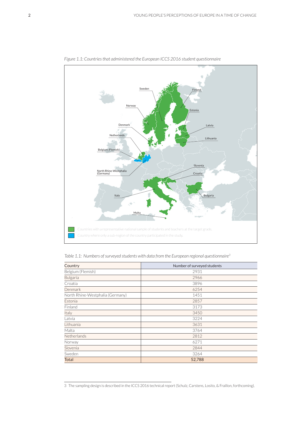

*Figure 1.1: Countries that administered the European ICCS 2016 student questionnaire* 

*Table 1.1: Numbers of surveyed students with data from the European regional questionnaire<sup>3</sup>*

| Country                          | Number of surveyed students |
|----------------------------------|-----------------------------|
| Belgium (Flemish)                | 2931                        |
| Bulgaria                         | 2966                        |
| Croatia                          | 3896                        |
| Denmark                          | 6254                        |
| North Rhine-Westphalia (Germany) | 1451                        |
| Estonia                          | 2857                        |
| Finland                          | 3173                        |
| Italy                            | 3450                        |
| Latvia                           | 3224                        |
| Lithuania                        | 3631                        |
| Malta                            | 3764                        |
| Netherlands                      | 2812                        |
| Norway                           | 6271                        |
| Slovenia                         | 2844                        |
| Sweden                           | 3264                        |
| Total                            | 52,788                      |

<sup>3</sup> The sampling design is described in the ICCS 2016 technical report (Schulz, Carstens, Losito, & Fraillon, forthcoming).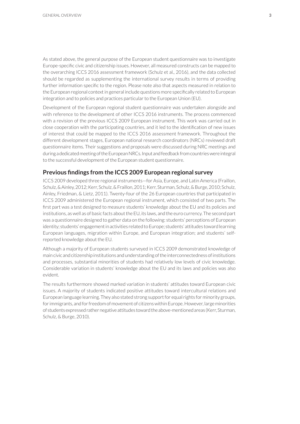As stated above, the general purpose of the European student questionnaire was to investigate Europe-specific civic and citizenship issues. However, all measured constructs can be mapped to the overarching ICCS 2016 assessment framework (Schulz et al., 2016), and the data collected should be regarded as supplementing the international survey results in terms of providing further information specific to the region. Please note also that aspects measured in relation to the European regional context in general include questions more specifically related to European integration and to policies and practices particular to the European Union (EU).

Development of the European regional student questionnaire was undertaken alongside and with reference to the development of other ICCS 2016 instruments. The process commenced with a revision of the previous ICCS 2009 European instrument. This work was carried out in close cooperation with the participating countries, and it led to the identification of new issues of interest that could be mapped to the ICCS 2016 assessment framework. Throughout the different development stages, European national research coordinators (NRCs) reviewed draft questionnaire items. Their suggestions and proposals were discussed during NRC meetings and during a dedicated meeting of the European NRCs. Input and feedback from countries were integral to the successful development of the European student questionnaire.

#### **Previous findings from the ICCS 2009 European regional survey**

ICCS 2009 developed three regional instruments—for Asia, Europe, and Latin America (Fraillon, Schulz, & Ainley, 2012; Kerr, Schulz, & Fraillon, 2011; Kerr, Sturman, Schulz, & Burge, 2010; Schulz, Ainley, Friedman, & Lietz, 2011). Twenty-four of the 26 European countries that participated in ICCS 2009 administered the European regional instrument, which consisted of two parts. The first part was a test designed to measure students' knowledge about the EU and its policies and institutions, as well as of basic facts about the EU, its laws, and the euro currency. The second part was a questionnaire designed to gather data on the following: students' perceptions of European identity; students' engagement in activities related to Europe; students' attitudes toward learning European languages, migration within Europe, and European integration; and students' selfreported knowledge about the EU.

Although a majority of European students surveyed in ICCS 2009 demonstrated knowledge of main civic and citizenship institutions and understanding of the interconnectedness of institutions and processes, substantial minorities of students had relatively low levels of civic knowledge. Considerable variation in students' knowledge about the EU and its laws and policies was also evident.

The results furthermore showed marked variation in students' attitudes toward European civic issues. A majority of students indicated positive attitudes toward intercultural relations and European language learning. They also stated strong support for equal rights for minority groups, for immigrants, and for freedom of movement of citizens within Europe. However, large minorities of students expressed rather negative attitudes toward the above-mentioned areas (Kerr, Sturman, Schulz, & Burge, 2010).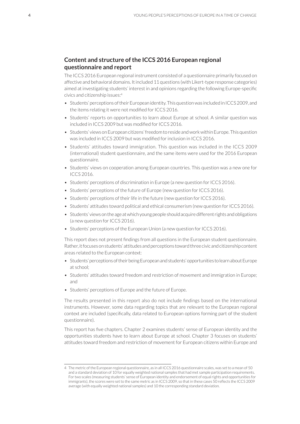### **Content and structure of the ICCS 2016 European regional questionnaire and report**

The ICCS 2016 European regional instrument consisted of a questionnaire primarily focused on affective and behavioral domains. It included 11 questions (with Likert-type response categories) aimed at investigating students' interest in and opinions regarding the following Europe-specific civics and citizenship issues:4

- Students' perceptions of their European identity. This question was included in ICCS 2009, and the items relating it were not modified for ICCS 2016.
- Students' reports on opportunities to learn about Europe at school. A similar question was included in ICCS 2009 but was modified for ICCS 2016.
- Students' views on European citizens' freedom to reside and work within Europe. This question was included in ICCS 2009 but was modified for inclusion in ICCS 2016.
- Students' attitudes toward immigration. This question was included in the ICCS 2009 (international) student questionnaire, and the same items were used for the 2016 European questionnaire.
- Students' views on cooperation among European countries. This question was a new one for ICCS 2016.
- Students' perceptions of discrimination in Europe (a new question for ICCS 2016).
- Students' perceptions of the future of Europe (new question for ICCS 2016).
- Students' perceptions of their life in the future (new question for ICCS 2016).
- Students' attitudes toward political and ethical consumerism (new question for ICCS 2016).
- Students' views on the age at which young people should acquire different rights and obligations (a new question for ICCS 2016).
- Students' perceptions of the European Union (a new question for ICCS 2016).

This report does not present findings from all questions in the European student questionnaire. Rather, it focuses on students' attitudes and perceptions toward three civic and citizenship content areas related to the European context:

- Students' perceptions of their being European and students' opportunities to learn about Europe at school;
- Students' attitudes toward freedom and restriction of movement and immigration in Europe; and
- Students' perceptions of Europe and the future of Europe.

The results presented in this report also do not include findings based on the international instruments. However, some data regarding topics that are relevant to the European regional context are included (specifically, data related to European options forming part of the student questionnaire).

This report has five chapters. Chapter 2 examines students' sense of European identity and the opportunities students have to learn about Europe at school. Chapter 3 focuses on students' attitudes toward freedom and restriction of movement for European citizens within Europe and

<sup>4</sup> The metric of the European regional questionnaire, as in all ICCS 2016 questionnaire scales, was set to a mean of 50 and a standard deviation of 10 for equally weighted national samples that had met sample participation requirements. For two scales (measuring students' sense of European identity and endorsement of equal rights and opportunities for immigrants), the scores were set to the same metric as in ICCS 2009, so that in these cases 50 reflects the ICCS 2009 average (with equally weighted national samples) and 10 the corresponding standard deviation.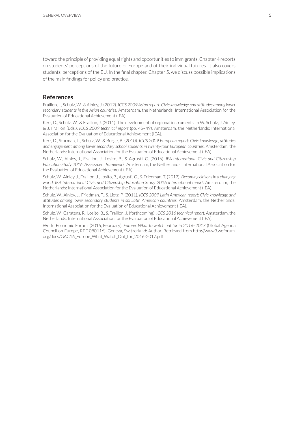toward the principle of providing equal rights and opportunities to immigrants. Chapter 4 reports on students' perceptions of the future of Europe and of their individual futures. It also covers students' perceptions of the EU. In the final chapter, Chapter 5, we discuss possible implications of the main findings for policy and practice.

#### **References**

Fraillon, J., Schulz, W., & Ainley, J. (2012). *ICCS 2009 Asian report: Civic knowledge and attitudes among lower secondary students in five Asian countries*. Amsterdam, the Netherlands: International Association for the Evaluation of Educational Achievement (IEA).

Kerr, D., Schulz, W., & Fraillon, J. (2011). The development of regional instruments. In W. Schulz, J. Ainley, & J. Fraillon (Eds.), *ICCS 2009 technical report* (pp. 45–49). Amsterdam, the Netherlands: International Association for the Evaluation of Educational Achievement (IEA).

Kerr, D., Sturman, L., Schulz, W., & Burge, B. (2010). *ICCS 2009 European report: Civic knowledge, attitudes and engagement among lower secondary school students in twenty-four European countries*. Amsterdam, the Netherlands: International Association for the Evaluation of Educational Achievement (IEA).

Schulz, W., Ainley, J., Fraillon, J., Losito, B., & Agrusti, G. (2016). *IEA International Civic and Citizenship Education Study 2016: Assessment framework*. Amsterdam, the Netherlands: International Association for the Evaluation of Educational Achievement (IEA).

Schulz, W., Ainley, J., Fraillon, J., Losito, B., Agrusti, G., & Friedman, T. (2017). *Becoming citizens in a changing world: IEA International Civic and Citizenship Education Study 2016 international report*. Amsterdam, the Netherlands: International Association for the Evaluation of Educational Achievement (IEA).

Schulz, W., Ainley, J., Friedman, T., & Lietz, P. (2011). *ICCS 2009 Latin American report: Civic knowledge and attitudes among lower secondary students in six Latin American countries*. Amsterdam, the Netherlands: International Association for the Evaluation of Educational Achievement (IEA).

Schulz, W., Carstens, R., Losito, B., & Fraillon, J. (forthcoming). *ICCS 2016 technical report*. Amsterdam, the Netherlands: International Association for the Evaluation of Educational Achievement (IEA).

World Economic Forum. (2016, February). *Europe: What to watch out for in 2016–2017* (Global Agenda Council on Europe, REF 080116). Geneva, Switzerland: Author. Retrieved from http://www3.weforum. org/docs/GAC16\_Europe\_What\_Watch\_Out\_for\_2016-2017.pdf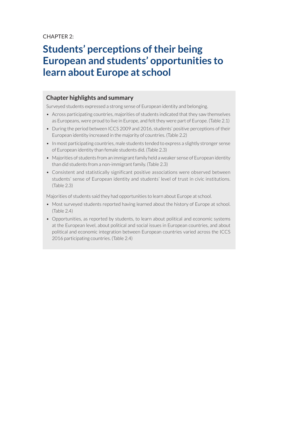### **Students' perceptions of their being European and students' opportunities to learn about Europe at school**

#### **Chapter highlights and summary**

Surveyed students expressed a strong sense of European identity and belonging.

- Across participating countries, majorities of students indicated that they saw themselves as Europeans, were proud to live in Europe, and felt they were part of Europe. (Table 2.1)
- During the period between ICCS 2009 and 2016, students' positive perceptions of their European identity increased in the majority of countries. (Table 2.2)
- In most participating countries, male students tended to express a slightly stronger sense of European identity than female students did. (Table 2.3)
- Majorities of students from an immigrant family held a weaker sense of European identity than did students from a non-immigrant family. (Table 2.3)
- Consistent and statistically significant positive associations were observed between students' sense of European identity and students' level of trust in civic institutions. (Table 2.3)

Majorities of students said they had opportunities to learn about Europe at school.

- Most surveyed students reported having learned about the history of Europe at school. (Table 2.4)
- Opportunities, as reported by students, to learn about political and economic systems at the European level, about political and social issues in European countries, and about political and economic integration between European countries varied across the ICCS 2016 participating countries. (Table 2.4)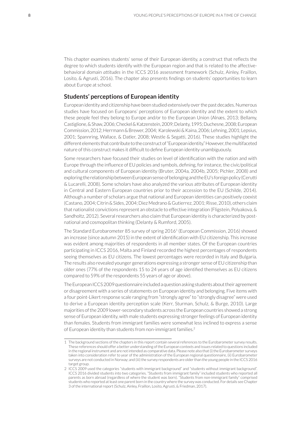This chapter examines students' sense of their European identity, a construct that reflects the degree to which students identify with the European region and that is related to the affectivebehavioral domain *attitudes* in the ICCS 2016 assessment framework (Schulz, Ainley, Fraillon, Losito, & Agrusti, 2016). The chapter also presents findings on students' opportunities to learn about Europe at school.

#### **Students' perceptions of European identity**

European identity and citizenship have been studied extensively over the past decades. Numerous studies have focused on Europeans' perceptions of European identity and the extent to which these people feel they belong to Europe and/or to the European Union (Alnæs, 2013; Bellamy, Castiglione, & Shaw, 2006; Checkel & Katzenstein, 2009; Delanty, 1995; Duchesne, 2008; European Commission, 2012; Herrmann & Brewer, 2004; Karolewski & Kaina, 2006; Lehning, 2001; Lepsius, 2001; Spannring, Wallace, & Datler, 2008; Westle & Segatti, 2016). These studies highlight the different elements that contribute to the construct of "European identity." However, the multifaceted nature of this construct makes it difficult to define European identity unambiguously.

Some researchers have focused their studies on level of identification with the nation and with Europe through the influence of EU policies and symbols, defining, for instance, the civic/political and cultural components of European identity (Bruter, 2004a, 2004b, 2005; Pichler, 2008) and exploring the relationship between European sense of belonging and the EU's foreign policy (Cerutti & Lucarelli, 2008). Some scholars have also analyzed the various attributes of European identity in Central and Eastern European countries prior to their accession to the EU (Schilde, 2014). Although a number of scholars argue that national and European identities can positively coexist (Castano, 2004; Citrin & Sides, 2004; Diez Medrano & Gutierrez, 2001; Risse, 2010), others claim that nationalist convictions represent an obstacle to effective integration (Fligstein, Polyakova, & Sandholtz, 2012). Several researchers also claim that European identity is characterized by postnational and cosmopolitan thinking (Delanty & Rumford, 2005).

The Standard Eurobarometer 85 survey of spring 20161 (European Commission, 2016) showed an increase (since autumn 2015) in the extent of identification with EU citizenship. This increase was evident among majorities of respondents in all member states. Of the European countries participating in ICCS 2016, Malta and Finland recorded the highest percentages of respondents seeing themselves as EU citizens. The lowest percentages were recorded in Italy and Bulgaria. The results also revealed younger generations expressing a stronger sense of EU citizenship than older ones (77% of the respondents 15 to 24 years of age identified themselves as EU citizens compared to 59% of the respondents 55 years of age or above).

The European ICCS 2009 questionnaire included a question asking students about their agreement or disagreement with a series of statements on European identity and belonging. Five items with a four point-Likert response scale ranging from "strongly agree" to "strongly disagree" were used to derive a European identity perception scale (Kerr, Sturman, Schulz, & Burge, 2010). Large majorities of the 2009 lower-secondary students across the European countries showed a strong sense of European identity, with male students expressing stronger feelings of European identity than females. Students from immigrant families were somewhat less inclined to express a sense of European identity than students from non-immigrant families.2

<sup>1</sup> The background sections of the chapters in this report contain several references to the Eurobarometer survey results. These references should offer a better understanding of the European contexts and issues related to questions included in the regional instrument and are not intended as comparative data. Please note also that (i) the Eurobarometer surveys taken into consideration refer to year of the administration of the European regional questionnaire, (ii) Eurobarometer surveys are not conducted in Norway; and (iii) the survey respondents are older than the young people in the ICCS 2016 target group.

<sup>2</sup> ICCS 2009 used the categories "students with immigrant background" and "students without immigrant background". ICCS 2016 divided students into two categories. "Students from immigrant family" included students who reported all parents as born abroad (regardless of where the student was born). "Students from non-immigrant family" comprised students who reported at least one parent born in the country where the survey was conducted. For details see Chapter 3 of the international report (Schulz, Ainley, Fraillon, Losito, Agrusti, & Friedman, 2017).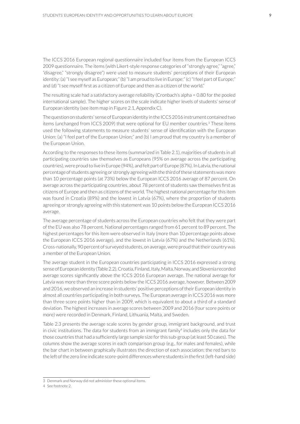The ICCS 2016 European regional questionnaire included four items from the European ICCS 2009 questionnaire. The items (with Likert-style response categories of "strongly agree," "agree," "disagree," "strongly disagree") were used to measure students' perceptions of their European identity: (a) "I see myself as European;" (b) "I am proud to live in Europe;" (c) "I feel part of Europe;" and (d) "I see myself first as a citizen of Europe and then as a citizen of the world."

The resulting scale had a satisfactory average reliability (Cronbach's alpha = 0.80 for the pooled international sample). The higher scores on the scale indicate higher levels of students' sense of European identity (see item map in Figure 2.1, Appendix C).

The question on students' sense of European identity in the ICCS 2016 instrument contained two items (unchanged from ICCS 2009) that were optional for EU member countries.<sup>3</sup> These items used the following statements to measure students' sense of identification with the European Union: (a) "I feel part of the European Union;" and (b) I am proud that my country is a member of the European Union.

According to the responses to these items (summarized in Table 2.1), majorities of students in all participating countries saw themselves as Europeans (95% on average across the participating countries), were proud to live in Europe (94%), and felt part of Europe (87%). In Latvia, the national percentage of students agreeing or strongly agreeing with the third of these statements was more than 10 percentage points (at 73%) below the European ICCS 2016 average of 87 percent. On average across the participating countries, about 78 percent of students saw themselves first as citizens of Europe and then as citizens of the world. The highest national percentage for this item was found in Croatia (89%) and the lowest in Latvia (67%), where the proportion of students agreeing or strongly agreeing with this statement was 10 points below the European ICCS 2016 average.

The average percentage of students across the European countries who felt that they were part of the EU was also 78 percent. National percentages ranged from 61 percent to 89 percent. The highest percentages for this item were observed in Italy (more than 10 percentage points above the European ICCS 2016 average), and the lowest in Latvia (67%) and the Netherlands (61%). Cross-nationally, 90 percent of surveyed students, on average, were proud that their country was a member of the European Union.

The average student in the European countries participating in ICCS 2016 expressed a strong sense of European identity (Table 2.2). Croatia, Finland, Italy, Malta, Norway, and Slovenia recorded average scores significantly above the ICCS 2016 European average. The national average for Latvia was more than three score points below the ICCS 2016 average, however. Between 2009 and 2016, we observed an increase in students' positive perceptions of their European identity in almost all countries participating in both surveys. The European average in ICCS 2016 was more than three score points higher than in 2009, which is equivalent to about a third of a standard deviation. The highest increases in average scores between 2009 and 2016 (four score points or more) were recorded in Denmark, Finland, Lithuania, Malta, and Sweden.

Table 2.3 presents the average scale scores by gender group, immigrant background, and trust in civic institutions. The data for students from an immigrant family<sup>4</sup> includes only the data for those countries that had a sufficiently large sample size for this sub-group (at least 50 cases). The columns show the average scores in each comparison group (e.g., for males and females), while the bar chart in between graphically illustrates the direction of each association: the red bars to the left of the zero line indicate score-point differences where students in the first (left-hand side)

<sup>3</sup> Denmark and Norway did not administer these optional items.

<sup>4</sup> See footnote 2.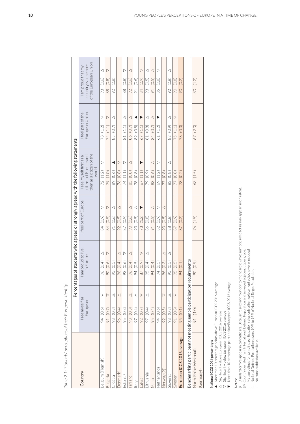|                                                             |                              |                                 | Percentages of students who agreed or strongly agreed with the following statements: |                                                                                       |                                      |                                                                    |
|-------------------------------------------------------------|------------------------------|---------------------------------|--------------------------------------------------------------------------------------|---------------------------------------------------------------------------------------|--------------------------------------|--------------------------------------------------------------------|
| Country                                                     | see myself as<br>European    | I am proud to live<br>in Europe | Ifeel part of Europe                                                                 | then as a citizen of the<br>citizen of Europe and<br>I see myself first as a<br>world | European Union<br>I feel part of the | of the European Union<br>country is a member<br>I am proud that my |
| Belgium (Flemish)                                           | D<br>94 (0.6)                | ◁<br>96 (0.4)                   | $\triangleright$<br>84 (0.9)                                                         | $\triangleright$<br>72 (1.2)                                                          | $\triangleright$<br>73 (1.2)         | ◁<br>93 (0.6)                                                      |
| Bulgaria                                                    | D<br>91 (0.7)                | $\triangleright$<br>90 (0.6)    | $\triangleright$<br>84 (0.9)                                                         | 79 (1.0)                                                                              | $\triangleright$<br>74 (1.1)         | D<br>(0.8)<br>88                                                   |
| Croatia                                                     | ◁<br>(0.3)<br>$\frac{8}{2}$  | 95 (0.5)                        | ◁<br>91 (0.6)                                                                        | 89 (0.6)                                                                              | ◁<br>85 (0.7)                        | (0.8)<br>$\infty$                                                  |
| Denmark <sup>+</sup>                                        | ◁<br>96 (0.4)                | $\triangleleft$<br>96 (0.4)     | $\triangleleft$<br>92 (0.5)                                                          | $\triangleright$<br>76 (0.8)                                                          | $\overline{1}$                       | $\overline{1}$                                                     |
| Estonia <sup>1</sup>                                        | 95 (0.3)                     | $\triangleright$<br>92 (0.6)    | 87 (0.9)                                                                             | $\triangleright$<br>74 (1.1)                                                          | ◁<br>(1.1)<br>$\frac{1}{8}$          | ▷<br>(0.8)<br>$\frac{8}{8}$                                        |
| Finland                                                     | ◁<br>98 (0.3)                | ◁<br>96 (0.4)                   | $\triangleleft$<br>90 (0.6)                                                          | ◁<br>85 (0.8)                                                                         | ◁<br>86 (0.7)                        | ◁<br>(0.6)<br>$\approx$                                            |
| <b>Italy</b>                                                | ◁<br>97 (0.4)                | 94 (0.5)                        | $\triangleleft$<br>93 (0.5)                                                          | 78 (0.8)                                                                              | 89 (0.8)                             | 91 (0.6)                                                           |
| Latvia <sup>1</sup>                                         | D<br>92 (0.7)                | $\triangleright$<br>87 (0.9)    | 73 (1.2)                                                                             | ▶<br>67 (1.1)                                                                         | 67(1.1)                              | ▷<br>(0.9)<br>$\frac{4}{3}$                                        |
| Lithuania                                                   | ◁<br>97 (0.4)                | ◁<br>95 (0.4)                   | 86 (0.8)                                                                             | 79 (0.9)                                                                              | ◁<br>(0.8)<br>51                     | ◁<br>(0.5)<br>93                                                   |
| Malta                                                       | 95 (0.4)                     | 94 (0.4)                        | $\triangleleft$<br>91 (0.5)                                                          | $\triangleleft$<br>83 (0.6)                                                           | ◁<br>84 (0.7)                        | ◁<br>91 (0.5)                                                      |
| Netherlands <sup>t</sup>                                    | 94 (0.6)                     | 94 (0.5)                        | $\triangleright$<br>82 (0.9)                                                         | $\triangleright$<br>69 (1.2)                                                          | 61 (1.2)                             | $\triangleright$<br>(0.8)<br>58                                    |
| Norway $(9)^1$                                              | $\triangleright$<br>92 (0.5) | ◁<br>96 (0.3)                   | $\triangleleft$<br>90 (0.5)                                                          | (0.8)<br>$\overline{7}$                                                               |                                      |                                                                    |
| Slovenia                                                    | ◁<br>98 (0.3)                | $\triangleleft$<br>95 (0.5)     | 88 (0.8)                                                                             | $\triangleleft$<br>83 (0.8)                                                           | ◁<br>83 (0.9)                        | ◁<br>92 (0.8)                                                      |
| Sweden <sup>1</sup>                                         | ▷<br>91 (0.8)                | 95 (0.5)                        | 87 (0.9)                                                                             | 77 (0.8)                                                                              | $\triangleright$<br>75 (1.1)         | 90 (0.8)                                                           |
| European ICCS 2016 average                                  | (0.1)<br>95                  | 94 (0.1)                        | (0.2)<br>87                                                                          | (0.2)<br>$\overline{78}$                                                              | (0.3)<br>78                          | (0.2)<br>06                                                        |
| Benchmarking participant not meeting sample participation r |                              | equirements                     |                                                                                      |                                                                                       |                                      |                                                                    |
| North-Rhine-Westphalia                                      | 91 (1.0)                     | 90 (0.9)                        | 76 (1.5)                                                                             | 63 (1.5)                                                                              | 67 (2.0)                             | 80 (1.2)                                                           |

Table 2.1: Students' perceptions of their European identity *Table 2.1: Students' perceptions of their European identity*

| nahi hot maaring<br>ׇׅ֚֕֝<br>Ï<br>2<br>Benchmarking r | participatic<br>Ē | collai<br>恴 |                          |             |             |                    |
|-------------------------------------------------------|-------------------|-------------|--------------------------|-------------|-------------|--------------------|
| $\overline{a}$<br>ţ<br>ţ<br>i<br>İ                    |                   | 90 (0.9)    | $\left( -5\right)$<br>76 | (1.5)<br>63 | (2.0)<br>67 | N<br>$\frac{8}{2}$ |
| $\overline{\mathcal{L}}$                              |                   |             |                          |             |             |                    |
|                                                       |                   |             |                          |             |             |                    |

- National ICCS 2016 percentage:<br>▲ More than 10 percentage points above European ICCS 2016 average<br>< Sienificantly ahove European ICCS 2016 average
	-
- **National ICCS 2016 percentage:**<br>▲ More than 10 percentage points above European ICCS 2016 average<br>△ Significantly above European ICCS 2016 average<br>▽ Significantly below European ICCS 2016 average<br>● More than 10 percentag
	-

- **Notes:**<br>() Standard errors appear in parentheses. Because results are rounded to the nearest whole number, some totals may appear inconsistent.<br>(9) Country deviated from International Defined Population and surveyed adjac △ Significantly above European ICCS 2016 average<br>▽ Significantly below European ICCS 2016 average<br>Notes:<br>Notes:<br>(9) Country deviated from International Defined Population and surveyed adjacent upper grade.<br>(9) Country de
	- - Met guidelines for sampling participation rates only after replacement schools were included.
		- National Defined Population covers 90% to 95% of National Target Population.  $\frac{1}{1 + \frac{1}{1 + \frac{1}{1 + \frac{1}{1 + \frac{1}{1 + \frac{1}{1 + \frac{1}{1 + \frac{1}{1 + \frac{1}{1 + \frac{1}{1 + \frac{1}{1 + \frac{1}{1 + \frac{1}{1 + \frac{1}{1 + \frac{1}{1 + \frac{1}{1 + \frac{1}{1 + \frac{1}{1 + \frac{1}{1 + \frac{1}{1 + \frac{1}{1 + \frac{1}{1 + \frac{1}{1 + \frac{1}{1 + \frac{1}{1 + \frac{1}{1 + \frac{1}{1 + \frac{1}{1 + \frac{1}{1 + \frac{1}{1 + \frac{1}{1 + \frac{$ 
			- No comparable data available. - No comparable data available.  $\bar{1}$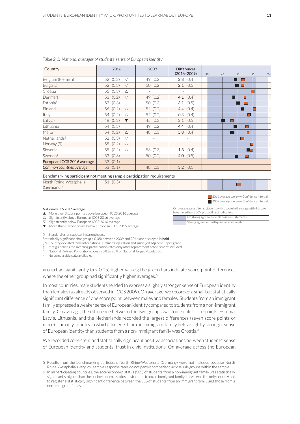| Country                    | 2016                             | 2009                     | <b>Differences</b><br>$(2016 - 2009)$ | 40 | 45 |   | 50 | 55 | 60 |
|----------------------------|----------------------------------|--------------------------|---------------------------------------|----|----|---|----|----|----|
| Belgium (Flemish)          | 52 (0.3)<br>▽                    | 49 (0.2)                 | $2.8$ (0.4)                           |    |    |   |    |    |    |
| Bulgaria                   | 52 (0.3)<br>$\triangledown$      | 50 (0.2)                 | $2.1 \ (0.5)$                         |    |    |   |    |    |    |
| Croatia                    | 55 (0.3)<br>$\triangle$          | $\overline{\phantom{a}}$ |                                       |    |    |   |    |    |    |
| Denmark <sup>+</sup>       | 53 (0.2)<br>$\triangledown$      | 49 (0.2)                 | 4.1 $(0.4)$                           |    |    |   |    |    |    |
| Estonia <sup>1</sup>       | 53 (0.3)                         | 50 (0.3)                 | 3.1 $(0.5)$                           |    |    |   |    |    |    |
| Finland                    | 56 (0.2)<br>$\triangle$          | 52 (0.2)                 | 4.4 $(0.4)$                           |    |    |   |    |    |    |
| Italy                      | 54 (0.2)<br>$\triangle$          | 54 (0.2)                 | $0.3$ $(0.4)$                         |    |    |   | ш  |    |    |
| Latvia <sup>1</sup>        | 48 (0.2)<br>$\blacktriangledown$ | 45 (0.3)                 | 3.1 $(0.5)$                           |    |    | П |    |    |    |
| Lithuania                  | 54 (0.3)                         | 49 (0.2)                 | 4.4 $(0.4)$                           |    |    |   |    |    |    |
| Malta                      | 54 (0.2)<br>Δ                    | 48 (0.3)                 | 5.8 $(0.4)$                           |    |    |   |    |    |    |
| Netherlands <sup>†</sup>   | 52 (0.3)<br>▽                    |                          |                                       |    |    |   |    |    |    |
| Norway (9) <sup>1</sup>    | 55 (0.2)<br>$\triangle$          |                          |                                       |    |    |   |    |    |    |
| Slovenia                   | 55 (0.2)<br>$\triangle$          | 53 (0.3)                 | 1.3 $(0.4)$                           |    |    |   |    |    |    |
| Sweden <sup>1</sup>        | 53 (0.3)                         | 50 (0.2)                 | 4.0 $(0.5)$                           |    |    |   |    |    |    |
| European ICCS 2016 average | 53 (0.1)                         |                          |                                       |    |    |   |    |    |    |
| Common countries average   | 53 (0.1)                         | 48 (0.3)                 | $3.2 \ (0.1)$                         |    |    |   |    |    |    |

#### *Table 2.2: National averages of students' sense of European identity*

Benchmarking participant not meeting sample participation requirements

| North Rhine-Westphalia | (0, 3) | $\overline{\phantom{a}}$ |  |  |  |
|------------------------|--------|--------------------------|--|--|--|
| (Germany) <sup>1</sup> |        |                          |  |  |  |

2016 average score +/- Confidence interval 2009 average score +/- Confidence interval

#### National ICCS 2016 average

A More than 3 score points above European ICCS 2016 average  $\triangle$  Significantly above European ICCS 2016 average

Significantly above European ICCS 2016 average

Significantly below European ICCS 2016 average

 $\blacktriangledown$  More than 3 score points below European ICCS 2016 average

() Standard errors appear in parentheses.

Statistically significant changes (*p* < 0.05) between 2009 and 2016 are displayed in bold.

(9) Country deviated from International Defined Population and surveyed adjacent upper grade.

Met guidelines for sampling participation rates only after replacement schools were included.<br>1 National Defined Population covers 90% to 95% of National Target Population.

– No comparable data available.

group had significantly (*p* < 0.05) higher values; the green bars indicate score-point differences where the other group had significantly higher averages.<sup>5</sup>

In most countries, male students tended to express a slightly stronger sense of European identity than females (as already observed in ICCS 2009). On average, we recorded a small but statistically significant difference of one score point between males and females. Students from an immigrant family expressed a weaker sense of European identity compared to students from a non-immigrant family. On average, the difference between the two groups was four scale score points. Estonia, Latvia, Lithuania, and the Netherlands recorded the largest differences (seven score points or more). The only country in which students from an immigrant family held a slightly stronger sense of European identity than students from a non-immigrant family was Croatia.<sup>6</sup>

We recorded consistent and statistically significant positive associations between students' sense of European identity and students' trust in civic institutions. On average across the European

On average across items, students with a score in the range with this color have more than a 50% probability of indicating: No strong agreement with positive statements Strong agreement with positive statements

<sup>5</sup> Results from the benchmarking participant North Rhine-Westphalia (Germany) were not included because North Rhine-Westphalia's very low sample response rates do not permit comparison across sub-groups within the sample.

<sup>6</sup> In all participating countries, the socioeconomic status (SES) of students from a non-immigrant family was statistically significantly higher than the socioeconomic status of students from an immigrant family. Latvia was the only country not to register a statistically significant difference between the SES of students from an immigrant family and those from a non-immigrant family.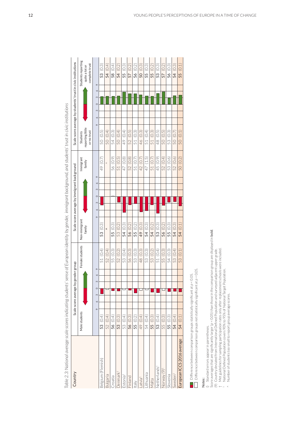| Table 2.3: National average scale scores indicating students' sense of European identity by gender, immigrant background, and students' trust in civic institutions                                                                                                                                                                   |               |                                       |                                                 |                         |                                             |                     |                                             |                                                              |                                                        |
|---------------------------------------------------------------------------------------------------------------------------------------------------------------------------------------------------------------------------------------------------------------------------------------------------------------------------------------|---------------|---------------------------------------|-------------------------------------------------|-------------------------|---------------------------------------------|---------------------|---------------------------------------------|--------------------------------------------------------------|--------------------------------------------------------|
| Country                                                                                                                                                                                                                                                                                                                               |               | Scale score average by                | gender group                                    |                         | Scale score average by immigrant background |                     |                                             | Scale score average by students' trust in civic institutions |                                                        |
|                                                                                                                                                                                                                                                                                                                                       | Male students |                                       | Female students                                 | Non-immigrant<br>family |                                             | Immigrant<br>family | reporting little<br>or no trust<br>Students |                                                              | Students reporting<br>complete trust<br>quite a lot or |
|                                                                                                                                                                                                                                                                                                                                       | $\circ$       | $\circ$<br>3<br>$\breve{\phantom{a}}$ | $\circ$<br>$\circ$<br>S                         | $\circ$                 | ó<br>3<br>$\circ$<br>S<br>ó                 | $\circ$             | $\circ$<br>$\circ$                          | $\breve{\circ}$<br>S<br>$\circ$<br>S                         | $\circ$                                                |
| Belgium (Flemish)                                                                                                                                                                                                                                                                                                                     | (0.4)<br>53   |                                       | (0.4)<br>51                                     | (0.3)<br>53             |                                             | Ñ<br>Q.<br>49       | (0.5)<br>50                                 |                                                              | (0.3)<br>53                                            |
| <b>Bulgaria</b>                                                                                                                                                                                                                                                                                                                       | 52 (0.4)      |                                       | $\odot$ .4)<br>52                               | $\,<$                   |                                             | $\,<$               | (0.4)<br>50                                 |                                                              | (0.4)<br>54                                            |
| Croatia                                                                                                                                                                                                                                                                                                                               | (0.4)<br>56   |                                       | (0.3)<br>55                                     | (0.3)<br>55             |                                             | $\infty$<br>g<br>56 | (0.3)<br>54                                 |                                                              | $\widetilde{O}(4)$<br>58                               |
| Denmark <sup>†</sup>                                                                                                                                                                                                                                                                                                                  | 53 (0.3)      |                                       | (0.2)<br>52                                     | 53 (0.2)                |                                             | (0.5)<br>51         | (0.4)<br>50                                 |                                                              | (0.2)<br>54                                            |
| Estonia                                                                                                                                                                                                                                                                                                                               | (0.4)<br>53   |                                       | (0.4)<br>53                                     | (0.3)<br>54             |                                             | (0.8)<br>47         | (0.4)<br>$\frac{6}{7}$                      |                                                              | (0.3)<br>55                                            |
| Finland                                                                                                                                                                                                                                                                                                                               | 56 (0.3)      |                                       | (0.3)<br>56                                     | 56 (0.2)                |                                             | (0.8)<br>52         | (0.5)<br>52                                 |                                                              | (0.2)<br>57                                            |
| Italy                                                                                                                                                                                                                                                                                                                                 | (0.2)<br>55   |                                       | (0.3)<br>53                                     | (0.2)<br>55             |                                             | (0.7)<br>51         | (0.3)<br>51                                 |                                                              | (0.2)<br>56                                            |
| Latvia <sup>1</sup>                                                                                                                                                                                                                                                                                                                   | 49 (0.4)      |                                       | (0.3)<br>$\frac{8}{4}$                          | (0.3)<br>49             |                                             | (0.7)<br>42         | (0.3)<br>46                                 |                                                              | (0.3)<br>50                                            |
| Lithuania                                                                                                                                                                                                                                                                                                                             | (0.4)<br>54   |                                       | (0.3)<br>53                                     | (0.3)<br>54             |                                             | (1.5)<br>47         | (0.4)<br>51                                 |                                                              | (0.3)<br>55                                            |
| Malta                                                                                                                                                                                                                                                                                                                                 | (0.3)<br>55   |                                       | (0.2)<br>53                                     | (0.2)<br>54             |                                             | (0.7)<br>51         | (0.3)<br>51                                 |                                                              | (0.2)<br>55                                            |
| Netherlands <sup>1</sup>                                                                                                                                                                                                                                                                                                              | (0.4)<br>53   |                                       | (0.4)<br>51                                     | 53 (0.3)                |                                             | 45 (0.9)            | (0.5)<br>48                                 |                                                              | (0.3)<br>53                                            |
| Norway (9) <sup>1</sup>                                                                                                                                                                                                                                                                                                               | (0.3)<br>55   |                                       | (0.3)<br>55                                     | (0.2)<br>56             |                                             | (0.4)<br>52         | (0.5)<br>50                                 |                                                              | (0.2)<br>57                                            |
| Slovenia                                                                                                                                                                                                                                                                                                                              | (0.3)<br>55   |                                       | (0.3)<br>54                                     | (0.3)<br>55             |                                             | (0.6)<br>53         | (0.3)<br>53                                 |                                                              | (0.3)<br>56                                            |
| Sweden <sup>-</sup>                                                                                                                                                                                                                                                                                                                   | (0.4)<br>54   |                                       | (0.4)<br>53                                     | (0.3)<br>54             |                                             | (0.6)<br>52         | (0.7)<br>50                                 |                                                              | (0.3)<br>54                                            |
| European ICCS 2016 average                                                                                                                                                                                                                                                                                                            | (0.1)<br>54   |                                       | $\left( 0.1\right)$<br>53                       | (0.1)<br>54             |                                             | (0.2)<br>50         | (0.1)<br>50                                 |                                                              | (0.1)<br>55                                            |
| Difference between comparison groups statistically significant at p < 0.05.<br>Difference between comparison groups not statistically significant at                                                                                                                                                                                  |               |                                       | $p < 0.05$ .                                    |                         |                                             |                     |                                             |                                                              |                                                        |
| Score averages that are significantly larger ( $p$ < 0.05) than those in the comparison group are displayed in <b>bold</b><br>(9) Country deviated from International Defined Population and surveyed<br>Met guidelines for sampling participation rates only after replacement<br>0 Standard errors appear in parentheses.<br>Notes: |               |                                       | schools were included<br>ladjacent upper grade. |                         |                                             |                     |                                             |                                                              |                                                        |
| National Defined Population covers 90% to 95% of National Target Population.<br>Number of students too small to report group average scores.                                                                                                                                                                                          |               |                                       |                                                 |                         |                                             |                     |                                             |                                                              |                                                        |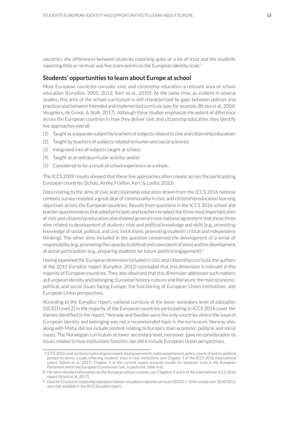countries, the differences between students reporting quite or a lot of trust and the students reporting little or no trust was five score points on the European identity scale.<sup>7</sup>

#### **Students' opportunities to learn about Europe at school**

Most European countries consider civic and citizenship education a relevant area of school education (Eurydice, 2005, 2012; Kerr et al., 2010). At the same time, as evident in several studies, this area of the school curriculum is still characterized by gaps between policies and practices and between intended and implemented curricula (see, for example, Bîrzéa et al., 2004; Veugelers, de Groot, & Stolk, 2017). Although these studies emphasize the extent of difference across the European countries in how they deliver civic and citizenship education, they identify five approaches overall:

- (1) Taught as a separate subject by teachers of subjects related to civic and citizenship education;
- (2) Taught by teachers of subjects related to human and social sciences;
- (3) Integrated into all subjects taught at school;
- (4) Taught as an extracurricular activity; and/or
- (5) Considered to be a result of school experience as a whole.

The ICCS 2009 results showed that these five approaches often coexist across the participating European countries (Schulz, Ainley, Fraillon, Kerr, & Losito, 2010).

Data relating to the aims of civic and citizenship education drawn from the ICCS 2016 national contexts survey revealed a great deal of commonality in civic and citizenship education learning objectives across the European countries. Results from questions in the ICCS 2016 school and teacher questionnaires that asked principals and teachers to select the three most important aims of civic and citizenship education also showed general cross-national agreement that these three aims related to development of students' civic and political knowledge and skills (e.g., promoting knowledge of social, political, and civic institutions; promoting students' critical and independent thinking). The other aims included in the question concerned the development of a sense of responsibility (e.g., promoting the capacity to defend one's own point of view) and the development of active participation (e.g., preparing students for future political engagement).8

Having examined the European dimension included in civic and citizenship curricula, the authors of the 2012 Eurydice report (Eurydice, 2012) concluded that this dimension is relevant in the majority of European countries. They also observed that this dimension addresses such matters as European identity and belonging; European history, culture, and literature; the main economic, political, and social issues facing Europe; the functioning of European Union institutions; and European Union perspectives.

According to the Eurydice report, national curricula at the lower secondary level of education (ISCED Level 2) in the majority of the European countries participating in ICCS 2016 cover the themes identified in the report.<sup>9</sup> Norway and Sweden were the only countries where the issue of European identity and belonging was not a recommended topic in the curriculum. Norway also, along with Malta, did not include content relating to Europe's main economic, political, and social issues. The Norwegian curriculum at lower secondary level, moreover, gave no consideration to issues related to how institutions function; nor did it include European Union perspectives.

 <sup>7</sup> ICCS 2016 used six items (national government, local government, national parliament, police, courts of justice, political parties) to derive a scale reflecting students' trust in civic institutions (see Chapter 5 of the ICCS 2016 international report; Schulz et al., 2017). Chapter 4 of this current report presents results for students' trust in the European Parliament and in the European Commission (see, in particular, Table 4.6).

<sup>8</sup> For more detailed information on the European school contexts, see Chapters 2 and 6 of the international ICCS 2016 report (Schulz et al., 2017).

<sup>9</sup> Data for Croatia on citizenship education themes included in national curricula (ISCED 1–3) for school year 2010/2011 were not available in the 2012 Eurydice report.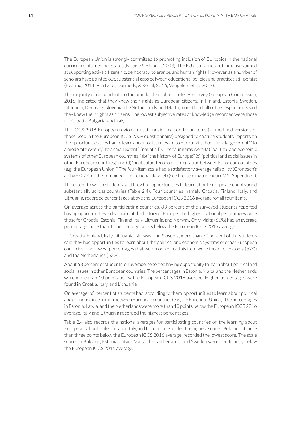The European Union is strongly committed to promoting inclusion of EU topics in the national curricula of its member states (Nicaise & Blondin, 2003). The EU also carries out initiatives aimed at supporting active citizenship, democracy, tolerance, and human rights. However, as a number of scholars have pointed out, substantial gaps between educational policies and practices still persist (Keating, 2014; Van Driel, Darmody, & Kerzil, 2016; Veugelers et al., 2017).

The majority of respondents to the Standard Eurobarometer 85 survey (European Commission, 2016) indicated that they knew their rights as European citizens. In Finland, Estonia, Sweden, Lithuania, Denmark, Slovenia, the Netherlands, and Malta, more than half of the respondents said they knew their rights as citizens. The lowest subjective rates of knowledge recorded were those for Croatia, Bulgaria, and Italy.

The ICCS 2016 European regional questionnaire included four items (all modified versions of those used in the European ICCS 2009 questionnaire) designed to capture students' reports on the opportunities they had to learn about topics relevant to Europe at school ("to a large extent," "to a moderate extent," "to a small extent," "not at all"). The four items were (a) "political and economic systems of other European countries;" (b) "the history of Europe;" (c) "political and social issues in other European countries;" and (d) "political and economic integration between European countries (e.g. the European Union)." The four-item scale had a satisfactory average reliability (Cronbach's alpha = 0.77 for the combined international dataset) (see the item map in Figure 2.2, Appendix C).

The extent to which students said they had opportunities to learn about Europe at school varied substantially across countries (Table 2.4). Four countries, namely Croatia, Finland, Italy, and Lithuania, recorded percentages above the European ICCS 2016 average for all four items.

On average across the participating countries, 83 percent of the surveyed students reported having opportunities to learn about the history of Europe. The highest national percentages were those for Croatia, Estonia, Finland, Italy, Lithuania, and Norway. Only Malta (66%) had an average percentage more than 10 percentage points below the European ICCS 2016 average.

In Croatia, Finland, Italy, Lithuania, Norway, and Slovenia, more than 70 percent of the students said they had opportunities to learn about the political and economic systems of other European countries. The lowest percentages that we recorded for this item were those for Estonia (52%) and the Netherlands (53%).

About 63 percent of students, on average, reported having opportunity to learn about political and social issues in other European countries. The percentages in Estonia, Malta, and the Netherlands were more than 10 points below the European ICCS 2016 average. Higher percentages were found in Croatia, Italy, and Lithuania.

On average, 65 percent of students had, according to them, opportunities to learn about political and economic integration between European countries (e.g., the European Union). The percentages in Estonia, Latvia, and the Netherlands were more than 10 points below the European ICCS 2016 average. Italy and Lithuania recorded the highest percentages.

Table 2.4 also records the national averages for participating countries on the learning about Europe at school scale. Croatia, Italy, and Lithuania recorded the highest scores; Belgium, at more than three points below the European ICCS 2016 average, recorded the lowest score. The scale scores in Bulgaria, Estonia, Latvia, Malta, the Netherlands, and Sweden were significantly below the European ICCS 2016 average.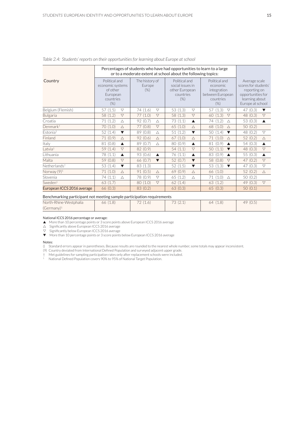|                            | Percentages of students who have had opportunities to learn to a large<br>or to a moderate extent at school about the following topics: |                                  |                                                                          |                                                                                     |                                                                                                                  |  |
|----------------------------|-----------------------------------------------------------------------------------------------------------------------------------------|----------------------------------|--------------------------------------------------------------------------|-------------------------------------------------------------------------------------|------------------------------------------------------------------------------------------------------------------|--|
| Country                    | Political and<br>economic systems<br>of other<br>European<br>countries<br>(%)                                                           | The history of<br>Europe<br>(%)  | Political and<br>social issues in<br>other European<br>countries<br>(% ) | Political and<br>economic<br>integration<br>between European<br>countries<br>$(\%)$ | Average scale<br>scores for students'<br>reporting on<br>opportunities for<br>learning about<br>Europe at school |  |
| Belgium (Flemish)          | 57(1.5)<br>$\triangledown$                                                                                                              | 74(1.6)<br>$\triangledown$       | 53(1.3)<br>$\triangledown$                                               | (1.3)<br>57<br>$\triangledown$                                                      | 47(0.3)<br>$\blacktriangledown$                                                                                  |  |
| Bulgaria                   | 58 (1.2)<br>$\triangledown$                                                                                                             | 77(1.0)<br>$\triangledown$       | 58 (1.3)<br>$\triangledown$                                              | 60 (1.3)<br>$\triangledown$                                                         | 48 (0.3)<br>$\triangledown$                                                                                      |  |
| Croatia                    | 71(1.2)<br>$\triangle$                                                                                                                  | 92 (0.7)<br>$\triangle$          | 73(1.1)<br>▲                                                             | 74 (1.2)<br>$\triangle$                                                             | 53 (0.3)<br>$\blacktriangle$                                                                                     |  |
| Denmark <sup>+</sup>       | 70(1.0)<br>$\triangle$                                                                                                                  | 77(0.8)<br>$\triangledown$       | 65(1.0)<br>Δ                                                             | (1.0)<br>68<br>$\triangle$                                                          | 50(0.2)                                                                                                          |  |
| Estonia <sup>1</sup>       | 52(1.4)<br>$\blacktriangledown$                                                                                                         | 89 (0.8)<br>$\triangle$          | 51(1.2)<br>$\blacktriangledown$                                          | (1.4)<br>50<br>$\blacktriangledown$                                                 | 48 (0.2)<br>$\triangledown$                                                                                      |  |
| Finland                    | 71 (0.9)<br>$\triangle$                                                                                                                 | 92 (0.6)<br>$\triangle$          | 67(1.0)<br>Δ                                                             | 71(1.0)<br>$\triangle$                                                              | 52 (0.2)<br>$\triangle$                                                                                          |  |
| Italy                      | 81 (0.8)<br>▲                                                                                                                           | 89 (0.7)<br>$\triangle$          | 80 (0.9)<br>▲                                                            | (0.9)<br>81                                                                         | 54 (0.3)<br>$\blacktriangle$                                                                                     |  |
| Latvia <sup>1</sup>        | 59 (1.4)<br>$\triangledown$                                                                                                             | 82 (0.9)                         | 54(1.1)<br>$\triangledown$                                               | (1.1)<br>50<br>$\blacktriangledown$                                                 | 48 (0.3)<br>$\triangledown$                                                                                      |  |
| Lithuania                  | 78 (1.1)<br>$\blacktriangle$                                                                                                            | 93 (0.6)<br>$\blacktriangle$     | 76(1.1)<br>▲                                                             | 83 (0.9)<br>▲                                                                       | 55 (0.3)<br>▲                                                                                                    |  |
| Malta                      | 59 (0.8)<br>$\triangledown$                                                                                                             | 66 (0.7)<br>$\blacktriangledown$ | 52 (0.7)<br>$\blacktriangledown$                                         | 58 (0.8)<br>$\triangledown$                                                         | 47(0.2)<br>$\triangledown$                                                                                       |  |
| Netherlands <sup>†</sup>   | 53(1.4)<br>$\blacktriangledown$                                                                                                         | 83 (1.3)                         | 52(1.5)<br>▼                                                             | 53 (1.3)<br>$\blacktriangledown$                                                    | 47 (0.3)<br>$\triangledown$                                                                                      |  |
| Norway (9) <sup>1</sup>    | 71(1.0)<br>$\triangle$                                                                                                                  | 91 (0.5)<br>$\triangle$          | 69 (0.9)<br>Δ                                                            | (1.0)<br>66                                                                         | 52 (0.2)<br>$\triangle$                                                                                          |  |
| Slovenia                   | 74(1.1)<br>$\triangle$                                                                                                                  | 78 (0.9)<br>$\triangledown$      | 65(1.2)<br>$\triangle$                                                   | (1.0)<br>71<br>$\triangle$                                                          | 50 (0.2)                                                                                                         |  |
| Sweden <sup>1</sup>        | 63(1.7)                                                                                                                                 | 80 (1.0)<br>$\triangledown$      | 62(1.4)                                                                  | 63 (1.2)                                                                            | 49 (0.3)<br>$\triangledown$                                                                                      |  |
| European ICCS 2016 average | 66(0.3)                                                                                                                                 | 83 (0.2)                         | 63(0.3)                                                                  | 65 (0.3)                                                                            | 50(0.1)                                                                                                          |  |

#### *Table 2.4: Students' reports on their opportunities for learning about Europe at school*

#### Benchmarking participant not meeting sample participation requirements

| North-Rhine-Westphalia | 66 (1.8) | $\neg \cap$<br>(1.6)<br>$\sim$ | 73(2.1) | (1.8)<br>64. | 49 (0.5) |
|------------------------|----------|--------------------------------|---------|--------------|----------|
| (Germany) <sup>1</sup> |          |                                |         |              |          |

#### National ICCS 2016 percentage or average:

 $\blacktriangle$  More than 10 percentage points or 3 score points above European ICCS 2016 average

 $\triangle$  Significantly above European ICCS 2016 average

 $\nabla$  Significantly below European ICCS 2016 average

▼ More than 10 percentage points or 3 score points below European ICCS 2016 average

#### Notes:

() Standard errors appear in parentheses. Because results are rounded to the nearest whole number, some totals may appear inconsistent.

(9) Country deviated from International Defined Population and surveyed adjacent upper grade.

† Met guidelines for sampling participation rates only after replacement schools were included.<br><sup>1</sup> National Defined Population covers 90% to 95% of National Target Population.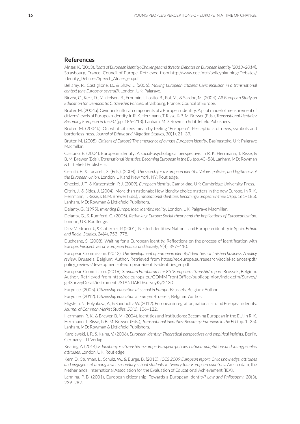#### **References**

Alnæs, K. (2013). *Roots of European identity: Challenges and threats. Debates on European identity (2013–2014)*. Strasbourg, France: Council of Europe. Retrieved from http://www.coe.int/t/policyplanning/Debates/ Identity\_Debates/Speech\_Alnaes\_en.pdf

Bellamy, R., Castiglione, D., & Shaw, J. (2006). *Making European citizens: Civic inclusion in a transnational context (one Europe or several?)*. London, UK: Palgrave.

Bîrzéa, C., Kerr, D., Mikkelsen, R., Froumin, I, Losito, B., Pol, M., & Sardoc, M. (2004). *All-European Study on Education for Democratic Citizenship Policies*. Strasbourg, France: Council of Europe.

Bruter, M. (2004a). Civic and cultural components of a European identity: A pilot model of measurement of citizens' levels of European identity. In R. K. Herrmann, T. Risse, & B. M. Brewer (Eds.), *Transnational identities: Becoming European in the EU* (pp. 186–213). Lanham, MD: Rowman & Littlefield Publishers.

Bruter, M. (2004b). On what citizens mean by feeling "European": Perceptions of news, symbols and borderless-ness. *Journal of Ethnic and Migration Studies*, *30*(1), 21–39.

Bruter, M. (2005). *Citizens of Europe? The emergence of a mass European identity*. Basingstoke, UK: Palgrave Macmillan.

Castano, E. (2004). European identity: A social-psychological perspective. In R. K. Herrmann, T. Risse, & B. M. Brewer (Eds.), *Transnational identities: Becoming European in the EU* (pp. 40–58). Lanham, MD: Rowman & Littlefield Publishers.

Cerutti, F., & Lucarelli, S. (Eds.). (2008). *The search for a European identity: Values, policies, and legitimacy of the European Union*. London, UK and New York, NY: Routledge.

Checkel, J. T., & Katzenstein, P. J. (2009). *European identity*. Cambridge, UK: Cambridge University Press.

Citrin, J., & Sides, J. (2004). More than nationals: How identity choice matters in the new Europe. In R. K. Herrmann, T. Risse, & B. M. Brewer (Eds.), *Transnational identities: Becoming European in the EU* (pp. 161–185). Lanham, MD: Rowman & Littlefield Publishers.

Delanty, G. (1995). *Inventing Europe: Idea, identity, reality*. London, UK: Palgrave Macmillan.

Delanty, G., & Rumford, C. (2005). *Rethinking Europe: Social theory and the implications of Europeanization*. London, UK: Routledge.

Diez Medrano, J., & Gutierrez, P. (2001). Nested identities: National and European identity in Spain. *Ethnic and Racial Studies*, *24*(4), 753–778.

Duchesne, S. (2008). Waiting for a European identity: Reflections on the process of identification with Europe. *Perspectives on European Politics and Society*, *9*(4), 397–410.

European Commission. (2012). *The development of European identity/identities: Unfinished business. A policy review*. Brussels, Belgium: Author. Retrieved from https://ec.europa.eu/research/social-sciences/pdf/ policy\_reviews/development-of-european-identity-identities\_en.pdf

European Commission. (2016). *Standard Eurobarometer 85 "European citizenship" report*. Brussels, Belgium: Author. Retrieved from http://ec.europa.eu/COMMFrontOffice/publicopinion/index.cfm/Survey/ getSurveyDetail/instruments/STANDARD/surveyKy/2130

Eurydice. (2005). *Citizenship education at school in Europe*. Brussels, Belgium: Author.

Eurydice. (2012). *Citizenship education in Europe*. Brussels, Belgium: Author.

Fligstein, N., Polyakova, A., & Sandholtz, W. (2012). European integration, nationalism and European identity. *Journal of Common Market Studies*, *50*(1), 106–122.

Herrmann, R. K., & Brewer, B. M. (2004). Identities and institutions: Becoming European in the EU. In R. K. Herrmann, T. Risse, & B. M. Brewer (Eds.), *Transnational identities: Becoming European in the EU* (pp. 1–25). Lanham, MD: Rowman & Littlefield Publishers.

Karolewski, I. P., & Kaina, V. (2006). *European identity: Theoretical perspectives and empirical insights*. Berlin, Germany: LIT Verlag.

Keating, A. (2014). *Education for citizenship in Europe: European policies, national adaptations and young people's attitudes*. London, UK: Routledge.

Kerr, D., Sturman, L., Schulz, W., & Burge, B. (2010). *ICCS 2009 European report: Civic knowledge, attitudes and engagement among lower secondary school students in twenty-four European countries*. Amsterdam, the Netherlands: International Association for the Evaluation of Educational Achievement (IEA).

Lehning, P. B. (2001). European citizenship: Towards a European identity? *Law and Philosophy*, *20*(3), 239–282.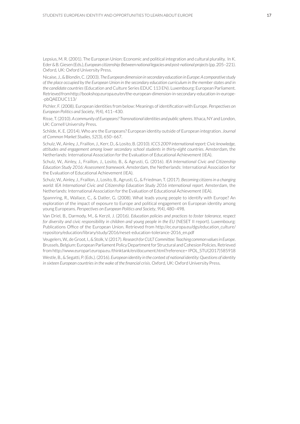Lepsius, M. R. (2001). The European Union: Economic and political integration and cultural plurality. In K. Eder & B. Giesen (Eds.), *European citizenship: Between national legacies and post-national projects* (pp. 205–221). Oxford, UK: Oxford University Press.

Nicaise, J., & Blondin, C. (2003). *The European dimension in secondary education in Europe: A comparative study of the place occupied by the European Union in the secondary education curriculum in the member states and in the candidate countries* (Education and Culture Series EDUC 113 EN). Luxembourg: European Parliament. Retrieved from http://bookshop.europa.eu/en/the-european-dimension-in-secondary-education-in-europe- -pbQAEDUC113/

Pichler, F. (2008). European identities from below: Meanings of identification with Europe. *Perspectives on European Politics and Society*, *9*(4), 411–430.

Risse, T. (2010). *A community of Europeans? Transnational identities and public spheres*. Ithaca, NY and London, UK: Cornell University Press.

Schilde, K. E. (2014). Who are the Europeans? European identity outside of European integration. *Journal of Common Market Studies*, *52*(3), 650–667.

Schulz, W., Ainley, J., Fraillon, J., Kerr, D., & Losito, B. (2010). *ICCS 2009 international report: Civic knowledge, attitudes and engagement among lower secondary school students in thirty-eight countries*. Amsterdam, the Netherlands: International Association for the Evaluation of Educational Achievement (IEA).

Schulz, W., Ainley, J., Fraillon, J., Losito, B., & Agrusti, G. (2016). *IEA International Civic and Citizenship Education Study 2016: Assessment framework*. Amsterdam, the Netherlands: International Association for the Evaluation of Educational Achievement (IEA).

Schulz, W., Ainley, J., Fraillon, J., Losito, B., Agrusti, G., & Friedman, T. (2017). *Becoming citizens in a changing world: IEA International Civic and Citizenship Education Study 2016 international report*. Amsterdam, the Netherlands: International Association for the Evaluation of Educational Achievement (IEA).

Spannring, R., Wallace, C., & Datler, G. (2008). What leads young people to identify with Europe? An exploration of the impact of exposure to Europe and political engagement on European identity among young Europeans. *Perspectives on European Politics and Society*, *9*(4), 480–498.

Van Driel, B., Darmody, M., & Kerzil, J. (2016). *Education policies and practices to foster tolerance, respect for diversity and civic responsibility in children and young people in the EU* (NESET II report). Luxembourg: Publications Office of the European Union. Retrieved from http://ec.europa.eu/dgs/education culture/ repository/education/library/study/2016/neset-education-tolerance-2016\_en.pdf

Veugelers, W., de Groot, I., & Stolk, V. (2017). *Research for CULT Committee: Teaching common values in Europe*. Brussels, Belgium: European Parliament Policy Department for Structural and Cohesion Policies. Retrieved from http://www.europarl.europa.eu /thinktank/en/document.html?reference= IPOL\_STU(2017)585918 Westle, B., & Segatti, P. (Eds.). (2016). *European identity in the context of national identity: Questions of identity in sixteen European countries in the wake of the financial crisis*. Oxford, UK: Oxford University Press.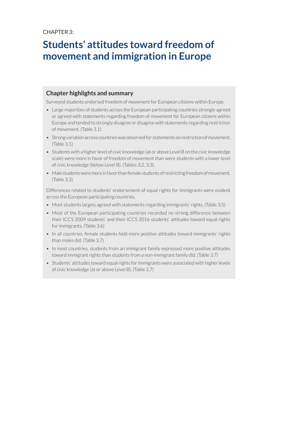## **Students' attitudes toward freedom of movement and immigration in Europe**

### **Chapter highlights and summary**

Surveyed students endorsed freedom of movement for European citizens within Europe.

- Large majorities of students across the European participating countries strongly agreed or agreed with statements regarding freedom of movement for European citizens within Europe and tended to strongly disagree or disagree with statements regarding restriction of movement. (Table 3.1)
- Strong variation across countries was observed for statements on restriction of movement. (Table 3.1)
- Students with a higher level of civic knowledge (at or above Level B on the civic knowledge scale) were more in favor of freedom of movement than were students with a lower level of civic knowledge (below Level B). (Tables 3.2, 3.3).
- Male students were more in favor than female students of restricting freedom of movement. (Table 3.3)

Differences related to students' endorsement of equal rights for immigrants were evident across the European participating countries.

- Most students largely agreed with statements regarding immigrants' rights. (Table 3.5)
- Most of the European participating countries recorded no strong difference between their ICCS 2009 students' and their ICCS 2016 students' attitudes toward equal rights for immigrants. (Table 3.6)
- In all countries, female students held more positive attitudes toward immigrants' rights than males did. (Table 3.7)
- In most countries, students from an immigrant family expressed more positive attitudes toward immigrant rights than students from a non-immigrant family did. (Table 3.7)
- Students' attitudes toward equal rights for immigrants were associated with higher levels of civic knowledge (at or above Level B). (Table 3.7)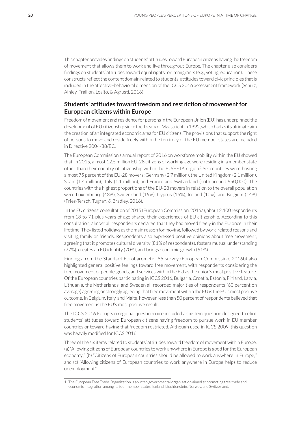This chapter provides findings on students' attitudes toward European citizens having the freedom of movement that allows them to work and live throughout Europe. The chapter also considers findings on students' attitudes toward equal rights for immigrants (e.g., voting, education). These constructs reflect the content domain related to students' attitudes toward civic principles that is included in the affective-behavioral dimension of the ICCS 2016 assessment framework (Schulz, Ainley, Fraillon, Losito, & Agrusti, 2016).

## **Students' attitudes toward freedom and restriction of movement for European citizens within Europe**

Freedom of movement and residence for persons in the European Union (EU) has underpinned the development of EU citizenship since the Treaty of Maastricht in 1992, which had as its ultimate aim the creation of an integrated economic area for EU citizens. The provisions that support the right of persons to move and reside freely within the territory of the EU member states are included in Directive 2004/38/EC.

The European Commission's annual report of 2016 on workforce mobility within the EU showed that, in 2015, almost 12.5 million EU-28 citizens of working age were residing in a member state other than their country of citizenship within the EU/EFTA region.<sup>1</sup> Six countries were hosting almost 75 percent of the EU-28 movers: Germany (2.7 million), the United Kingdom (2.1 million), Spain (1.4 million), Italy (1.1 million), and France and Switzerland (both around 950,000). The countries with the highest proportions of the EU-28 movers in relation to the overall population were Luxembourg (43%), Switzerland (19%), Cyprus (15%), Ireland (10%), and Belgium (14%) (Fries-Tersch, Tugran, & Bradley, 2016).

In the EU citizens' consultation of 2015 (European Commission, 2016a), about 2,100 respondents from 18 to 71-plus years of age shared their experiences of EU citizenship. According to this consultation, almost all respondents declared that they had moved freely in the EU once in their lifetime. They listed holidays as the main reason for moving, followed by work-related reasons and visiting family or friends. Respondents also expressed positive opinions about free movement, agreeing that it promotes cultural diversity (81% of respondents), fosters mutual understanding (77%), creates an EU identity (70%), and brings economic growth (61%).

Findings from the Standard Eurobarometer 85 survey (European Commission, 2016b) also highlighted general positive feelings toward free movement, with respondents considering the free movement of people, goods, and services within the EU as the union's most positive feature. Of the European countries participating in ICCS 2016, Bulgaria, Croatia, Estonia, Finland, Latvia, Lithuania, the Netherlands, and Sweden all recorded majorities of respondents (60 percent on average) agreeing or strongly agreeing that free movement within the EU is the EU's most positive outcome. In Belgium, Italy, and Malta, however, less than 50 percent of respondents believed that free movement is the EU's most positive result.

The ICCS 2016 European regional questionnaire included a six-item question designed to elicit students' attitudes toward European citizens having freedom to pursue work in EU member countries or toward having that freedom restricted. Although used in ICCS 2009, this question was heavily modified for ICCS 2016.

Three of the six items related to students' attitudes toward freedom of movement within Europe: (a) "Allowing citizens of European countries to work anywhere in Europe is good for the European economy;" (b) "Citizens of European countries should be allowed to work anywhere in Europe;" and (c) "Allowing citizens of European countries to work anywhere in Europe helps to reduce unemployment."

<sup>1</sup> The European Free Trade Organization is an inter-governmental organization aimed at promoting free trade and economic integration among its four member states: Iceland, Liechtenstein, Norway, and Switzerland.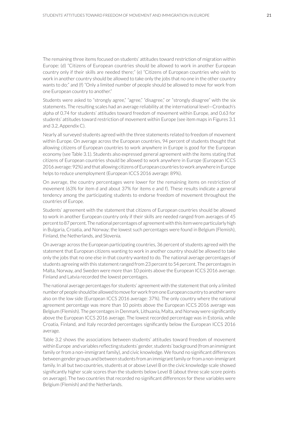The remaining three items focused on students' attitudes toward restriction of migration within Europe: (d) "Citizens of European countries should be allowed to work in another European country only if their skills are needed there;" (e) "Citizens of European countries who wish to work in another country should be allowed to take only the jobs that no one in the other country wants to do;" and (f) "Only a limited number of people should be allowed to move for work from one European country to another."

Students were asked to "strongly agree," "agree," "disagree," or "strongly disagree" with the six statements. The resulting scales had an average reliability at the international level—Cronbach's alpha of 0.74 for students' attitudes toward freedom of movement within Europe, and 0.63 for students' attitudes toward restriction of movement within Europe (see item maps in Figures 3.1 and 3.2, Appendix C).

Nearly all surveyed students agreed with the three statements related to freedom of movement within Europe. On average across the European countries, 94 percent of students thought that allowing citizens of European countries to work anywhere in Europe is good for the European economy (see Table 3.1). Students also expressed general agreement with the items stating that citizens of European countries should be allowed to work anywhere in Europe (European ICCS 2016 average: 92%) and that allowing citizens of European countries to work anywhere in Europe helps to reduce unemployment (European ICCS 2016 average: 89%).

On average, the country percentages were lower for the remaining items on restriction of movement (63% for item d and about 37% for items e and f). These results indicate a general tendency among the participating students to endorse freedom of movement throughout the countries of Europe.

Students' agreement with the statement that citizens of European countries should be allowed to work in another European country only if their skills are needed ranged from averages of 45 percent to 87 percent. The national percentages of agreement with this item were particularly high in Bulgaria, Croatia, and Norway; the lowest such percentages were found in Belgium (Flemish), Finland, the Netherlands, and Slovenia.

On average across the European participating countries, 36 percent of students agreed with the statement that European citizens wanting to work in another country should be allowed to take only the jobs that no one else in that country wanted to do. The national average percentages of students agreeing with this statement ranged from 23 percent to 54 percent. The percentages in Malta, Norway, and Sweden were more than 10 points above the European ICCS 2016 average. Finland and Latvia recorded the lowest percentages.

The national average percentages for students' agreement with the statement that only a limited number of people should be allowed to move for work from one European country to another were also on the low side (European ICCS 2016 average: 37%). The only country where the national agreement percentage was more than 10 points above the European ICCS 2016 average was Belgium (Flemish). The percentages in Denmark, Lithuania, Malta, and Norway were significantly above the European ICCS 2016 average. The lowest recorded percentage was in Estonia, while Croatia, Finland, and Italy recorded percentages significantly below the European ICCS 2016 average.

Table 3.2 shows the associations between students' attitudes toward freedom of movement within Europe and variables reflecting students' gender, students' background (from an immigrant family or from a non-immigrant family), and civic knowledge. We found no significant differences between gender groups and between students from an immigrant family or from a non-immigrant family. In all but two countries, students at or above Level B on the civic knowledge scale showed significantly higher scale scores than the students below Level B (about three scale score points on average). The two countries that recorded no significant differences for these variables were Belgium (Flemish) and the Netherlands.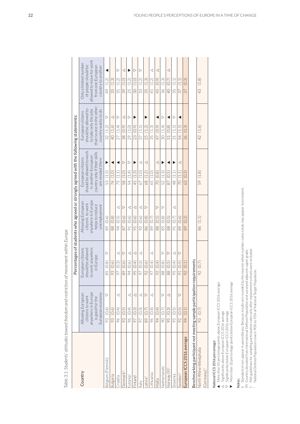|                                                                                                                                                                                                                                                                                                                                                                                           |                                                                                                    |                                                                         |                                                                                                | Percentages of students who agreed or strongly agreed with the following statements:                                      |                                                                                                                       |                                                                                                                     |
|-------------------------------------------------------------------------------------------------------------------------------------------------------------------------------------------------------------------------------------------------------------------------------------------------------------------------------------------------------------------------------------------|----------------------------------------------------------------------------------------------------|-------------------------------------------------------------------------|------------------------------------------------------------------------------------------------|---------------------------------------------------------------------------------------------------------------------------|-----------------------------------------------------------------------------------------------------------------------|---------------------------------------------------------------------------------------------------------------------|
| Country                                                                                                                                                                                                                                                                                                                                                                                   | anywhere in Europe<br>European economy<br>Allowing European<br>citizens to work<br>is good for the | to work anywhere<br>European citizens<br>should be allowed<br>in Europe | anywhere in Europe<br>Allowing European<br>citizens to work<br>helps to reduce<br>unemployment | should be allowed to work<br>country only if their skills<br>in another European<br>European citizens<br>are needed there | that no one in the other<br>should be allowed to<br>to take only the jobs<br>country wants to do<br>European citizens | allowed to move for work<br>Only a limited number<br>of people should be<br>from one European<br>country to another |
| Belgium (Flemish)                                                                                                                                                                                                                                                                                                                                                                         | ▷<br>(0.6)<br>93                                                                                   | $\triangleright$<br>(0.8)<br>$\frac{5}{8}$                              | (0.6)<br>89                                                                                    | (1.3)<br>53                                                                                                               | ▷<br>(1.2)<br>32                                                                                                      | $(1.2)$<br>49                                                                                                       |
| Bulgaria                                                                                                                                                                                                                                                                                                                                                                                  | (0.6)<br>93                                                                                        | (0.6)<br>93                                                             | (0.8)<br>88                                                                                    | (1.0)<br>$\frac{9}{16}$                                                                                                   | $\triangleleft$<br>(1.6)<br>$\overline{Q}$                                                                            | (1.3)<br>$\frac{5}{3}$                                                                                              |
| Gita                                                                                                                                                                                                                                                                                                                                                                                      | ◁<br>(0.4)<br>96                                                                                   | ◁<br>(0.3)<br>97                                                        | ◁<br>(0.5)<br>$\overline{6}$                                                                   | ◀<br>(1.1)<br>75                                                                                                          | $\triangleright$<br>(1.4)<br>27                                                                                       | ▷<br>(1.2)<br>$\overline{\mathcal{E}}$                                                                              |
| Denmark                                                                                                                                                                                                                                                                                                                                                                                   | (0.5)<br>93                                                                                        | $\triangleright$<br>89 (0.6)                                            | $\triangleright$<br>(0.6)<br>$\odot$                                                           | $\triangleright$<br>(1.0)<br>58                                                                                           | ◁<br>(0.9)<br>38                                                                                                      | ◁<br>(1.0)<br>39                                                                                                    |
| Estonia <sup>:</sup>                                                                                                                                                                                                                                                                                                                                                                      | ◁<br>(0.4)<br>96                                                                                   | ◁<br>(0.6)<br>94                                                        | ◁<br>(0.6)<br>$\sum$                                                                           | $\triangleright$<br>(1.4)<br>54                                                                                           | $\triangleright$<br>(1.0)<br>29                                                                                       | (1.2)<br>25                                                                                                         |
| Finland                                                                                                                                                                                                                                                                                                                                                                                   | ◁<br>(0.3)<br>97                                                                                   | ◁<br>(0.4)<br>95                                                        | ◁<br>(0.6)<br>$\sqrt{6}$                                                                       | ▶<br>(1.3)<br>45                                                                                                          | ▶<br>(0.9)<br>23                                                                                                      | $\triangleright$<br>$\frac{1}{2}$<br>30                                                                             |
| <b>Aleq</b>                                                                                                                                                                                                                                                                                                                                                                               | ◁<br>(0.3)<br>56                                                                                   | ◁<br>(0.3)<br>56                                                        | ◁<br>$\odot$ . $\odot$<br>$\infty$                                                             | ◁<br>$\frac{1}{2}$<br>67                                                                                                  | (1.1)<br>57                                                                                                           | (1.2)<br>SS                                                                                                         |
| Filma-                                                                                                                                                                                                                                                                                                                                                                                    | $\triangleright$<br>(0.7)<br>$\frac{8}{2}$                                                         | (0.6)<br>92                                                             | $\triangleright$<br>(0.8)<br>$86$                                                              | ◁<br>(1.2)<br>68                                                                                                          | (1.2)<br>25                                                                                                           | (1.3)<br>35                                                                                                         |
| Lithuania                                                                                                                                                                                                                                                                                                                                                                                 | ◁<br>$\overline{0}$<br>96                                                                          | ◁<br>(0.4)<br>97                                                        | (0.7)<br>$\frac{8}{2}$                                                                         | (1.0)<br>65                                                                                                               | (1.3)<br>35                                                                                                           | ◁<br>(1.2)<br>$\overline{4}$                                                                                        |
| Malta                                                                                                                                                                                                                                                                                                                                                                                     | (0.4)<br>94                                                                                        | (0.4)<br>92                                                             | $\triangleright$<br>(0.5)<br>88                                                                | ◁<br>(0.8)<br>$\overline{2}$                                                                                              | ◀<br>(0.9)<br>47                                                                                                      | ◁<br>(0.9)<br>45                                                                                                    |
| Netherlands <sup>1</sup>                                                                                                                                                                                                                                                                                                                                                                  | ▷<br>(0.7)<br>$\infty$                                                                             | ▷<br>(0.8)<br>$\frac{8}{2}$                                             | $\triangleright$<br>(0.8)<br>85                                                                | (1.3)<br>52                                                                                                               | ▷<br>(1.4)<br>$\overline{\mathrm{30}}$                                                                                | (1.3)<br>36                                                                                                         |
| Norway (9) <sup>1</sup>                                                                                                                                                                                                                                                                                                                                                                   | ◁<br>(0.3)<br>95                                                                                   | $\triangleright$<br>(0.5)<br>88                                         | (0.5)<br>88                                                                                    | (0.5)<br>$\overline{8}$                                                                                                   | ◀<br>(0.8)<br>51                                                                                                      | ◁<br>(0.7)<br>$\bigcirc$                                                                                            |
| Slovenia                                                                                                                                                                                                                                                                                                                                                                                  | (0.5)<br>95                                                                                        | ◁<br>(0.4)<br>95                                                        | ◁<br>(0.7)<br>$\approx$                                                                        | (1.1)<br>48                                                                                                               | ▷<br>(1.1)<br>31                                                                                                      | (1.1)<br>35                                                                                                         |
| Sweden <sup>1</sup>                                                                                                                                                                                                                                                                                                                                                                       | $\triangleright$<br>(0.5)<br>92                                                                    | $\triangleright$<br>(0.5)<br>$\overline{91}$                            | $\overline{O}$ . $\overline{O}$<br>$\frac{8}{9}$                                               | ◁<br>(1.1)<br>$\overline{C}$                                                                                              | (1.1)<br>54                                                                                                           | (1.1)<br>37                                                                                                         |
| European ICCS 2016 average                                                                                                                                                                                                                                                                                                                                                                | (0.1)<br>94                                                                                        | (0.1)<br>92                                                             | (0.2)<br>$\frac{8}{2}$                                                                         | (0.3)<br>63                                                                                                               | (0.3)<br>36                                                                                                           | (0.3)<br>37                                                                                                         |
| Benchmarking participant not meeting sample participation requirements                                                                                                                                                                                                                                                                                                                    |                                                                                                    |                                                                         |                                                                                                |                                                                                                                           |                                                                                                                       |                                                                                                                     |
| North-Rhine-Westphalia                                                                                                                                                                                                                                                                                                                                                                    | (0,7)<br>93                                                                                        | (0.7)<br>92                                                             | $\left(1.1\right)$<br>86                                                                       | (1.8)<br>59                                                                                                               | (1.6)<br>42                                                                                                           | (1.8)<br>43                                                                                                         |
| $(Cermany)^1$                                                                                                                                                                                                                                                                                                                                                                             |                                                                                                    |                                                                         |                                                                                                |                                                                                                                           |                                                                                                                       |                                                                                                                     |
| More than 10 percentage points above European ICCS 2016 average<br>More than 10 percentage points below European ICCS 2016 average<br>Significantly above European ICCS 2016 average<br>Significantly below European ICCS 2016 average<br>National ICCS 2016 percentage:                                                                                                                  |                                                                                                    |                                                                         |                                                                                                |                                                                                                                           |                                                                                                                       |                                                                                                                     |
| Standard errors appear in parentheses. Because results are rounded to the nearest whole number, some totals may appear inconsistent.<br>National Defined Population covers 90% to 95% of National Target Population<br>Country deviated from International Defined Population and surveyed<br>Met guidelines for sampling participation rates only after replacement<br>Notes:<br>$\circ$ |                                                                                                    | schools were included<br>adjacent upper grade                           |                                                                                                |                                                                                                                           |                                                                                                                       |                                                                                                                     |

| 5                                                                                      |  |
|----------------------------------------------------------------------------------------|--|
| אור דו<br>ţ                                                                            |  |
|                                                                                        |  |
|                                                                                        |  |
|                                                                                        |  |
| $-21 + 12$                                                                             |  |
| ׇ֚֚֬                                                                                   |  |
|                                                                                        |  |
|                                                                                        |  |
|                                                                                        |  |
|                                                                                        |  |
|                                                                                        |  |
|                                                                                        |  |
|                                                                                        |  |
|                                                                                        |  |
|                                                                                        |  |
|                                                                                        |  |
|                                                                                        |  |
|                                                                                        |  |
|                                                                                        |  |
|                                                                                        |  |
| n at mausoment                                                                         |  |
|                                                                                        |  |
| $\overline{\mathbf{S}}$                                                                |  |
|                                                                                        |  |
| וטטני                                                                                  |  |
|                                                                                        |  |
|                                                                                        |  |
|                                                                                        |  |
|                                                                                        |  |
|                                                                                        |  |
|                                                                                        |  |
|                                                                                        |  |
|                                                                                        |  |
|                                                                                        |  |
|                                                                                        |  |
|                                                                                        |  |
|                                                                                        |  |
|                                                                                        |  |
|                                                                                        |  |
| こそくこうしょう てくさん                                                                          |  |
|                                                                                        |  |
| j                                                                                      |  |
|                                                                                        |  |
|                                                                                        |  |
|                                                                                        |  |
|                                                                                        |  |
| こくしょう<br>$\frac{1}{2}$                                                                 |  |
|                                                                                        |  |
|                                                                                        |  |
|                                                                                        |  |
| i                                                                                      |  |
| $\overline{\phantom{a}}$                                                               |  |
|                                                                                        |  |
|                                                                                        |  |
|                                                                                        |  |
|                                                                                        |  |
|                                                                                        |  |
|                                                                                        |  |
|                                                                                        |  |
|                                                                                        |  |
|                                                                                        |  |
| - 1+1+1                                                                                |  |
| ֖֖ׅׅ֧֪֪֪֪֪֪֪֪֪֪֪֪֪֪֪֪֪֪֪֪֪֪֪֪֪֪֪֪֪֪֪֪֚֚֚֚֚֚֚֚֚֚֚֚֚֚֚֬֡֡֡֡֡֡֡֡֬֝֓֡֬֝֬֞֓֡֡֬֓֞֡֬֓֞֓֡֬֓֞֬֓ |  |
|                                                                                        |  |
|                                                                                        |  |
|                                                                                        |  |
|                                                                                        |  |
|                                                                                        |  |
|                                                                                        |  |
|                                                                                        |  |
|                                                                                        |  |
|                                                                                        |  |
| $\frac{1}{2}$<br>$\frac{1}{2}$                                                         |  |
| ¢                                                                                      |  |
|                                                                                        |  |
| )<br>)<br>plc<br>J                                                                     |  |

| (8.1)<br>43                        |  |
|------------------------------------|--|
| (9.1)<br>42                        |  |
| (3.5)<br>59                        |  |
| E<br>F<br>ţ<br>86                  |  |
| (0,7)<br>$\widetilde{\phantom{0}}$ |  |
| ſ<br>;                             |  |
| ł<br>İ<br>ĵ                        |  |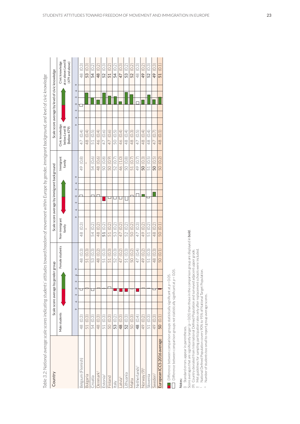| Country                                                                                                                                                                                                                                                       |                        | Scale score average by                                | gender group           |                         | Scale score average by immigrant background |                        |                                                 | Scale score average by level of civic knowledge |                                                           |
|---------------------------------------------------------------------------------------------------------------------------------------------------------------------------------------------------------------------------------------------------------------|------------------------|-------------------------------------------------------|------------------------|-------------------------|---------------------------------------------|------------------------|-------------------------------------------------|-------------------------------------------------|-----------------------------------------------------------|
|                                                                                                                                                                                                                                                               | Male students          |                                                       | Female students        | Non-immigrant<br>family |                                             | Immigrant<br>family    | Civic knowledge<br>below Level B<br>(below 479) |                                                 | at or above Level B<br>Civic knowledge<br>(479 and above) |
|                                                                                                                                                                                                                                                               |                        | 3<br>$\circ$<br>3<br>$\breve{\phantom{a}}$<br>$\circ$ | $\circ$<br>ó           | $\circ$                 | S<br>$\circ$<br>3<br>$\circ$                | $\circ$<br>$\circ$     |                                                 | $\circ$<br>S<br>$\circ$<br>3<br>$\circ$         | $\circ$                                                   |
| Belgium (Flemish)                                                                                                                                                                                                                                             | (0.3)<br>48            | □                                                     | (0.3)<br>$\frac{8}{4}$ | (0.3)<br>48             | □                                           | (0.8)<br>49            | (0.4)<br>47                                     | ப                                               | (0.3)<br>48                                               |
| <b>Bulgaria</b>                                                                                                                                                                                                                                               | (0.3)<br>51            |                                                       | (0.3)<br>51            | $\,<$                   |                                             | $\,<$                  | (0.4)<br>48                                     |                                                 | (0.3)<br>53                                               |
| Croatia                                                                                                                                                                                                                                                       | (0.3)<br>54            |                                                       | (0.3)<br>53            | (0.2)<br>54             | □                                           | (0.6)<br>54            | (0.5)<br>51                                     |                                                 | (0.2)<br>54                                               |
| Denmark <sup>1</sup>                                                                                                                                                                                                                                          | (0.3)<br>$\frac{8}{4}$ |                                                       | (0.2)<br>$\frac{8}{4}$ | (0.2)<br>$\frac{8}{4}$  |                                             | (0.6)<br>$\frac{8}{4}$ | (0.4)<br>46                                     |                                                 | (0.2)<br>48                                               |
| Estonia <sup>1</sup>                                                                                                                                                                                                                                          | (0.3)<br>51            |                                                       | (0.3)<br>51            | (0.2)<br>51             |                                             | (0.8)<br>50            | (0.6)<br>47                                     |                                                 | (0.3)<br>52                                               |
| Finland                                                                                                                                                                                                                                                       | 50 (0.3)               |                                                       | (0.3)<br>51            | 51 (0.2)                | ப                                           | 50 (0.9)               | (0.6)<br>$\overline{47}$                        |                                                 | (0.2)<br>51                                               |
| ltaly                                                                                                                                                                                                                                                         | (0.2)<br>53            |                                                       | (0.3)<br>52            | (0.2)<br>53             |                                             | (0.7)<br>52            | (0.5)<br>50                                     |                                                 | (0.2)<br>54                                               |
| -atvia <sup>1</sup>                                                                                                                                                                                                                                           | 48 (0.3)               |                                                       | (0.2)<br>47            | 47 (0.2)                |                                             | 46 (1.0)               | (0.4)<br>$\overline{46}$                        |                                                 | (0.3)<br>47                                               |
| Lithuania                                                                                                                                                                                                                                                     | (0.3)<br>52            |                                                       | (0.3)<br>51            | (0.2)<br>52             |                                             | (0.8)<br>$50\,$        | (0.4)<br>$\frac{8}{4}$                          |                                                 | (0.2)<br>53                                               |
| <b>Nalta</b>                                                                                                                                                                                                                                                  | 50 (0.3)               |                                                       | 50 (0.2)               | 50 (0.2)                |                                             | 51 (0.7)               | (0.3)<br>48                                     |                                                 | (0.2)<br>52                                               |
| Netherlands                                                                                                                                                                                                                                                   | (0.4)<br>$\frac{8}{4}$ |                                                       | (0.4)<br>47            | (0.3)<br>47             |                                             | (0.7)<br>$\frac{1}{2}$ | (0.5)<br>47                                     |                                                 | (0.3)<br>$\frac{8}{4}$                                    |
| Norway (9) <sup>1</sup>                                                                                                                                                                                                                                       | (0.2)<br>$\frac{4}{9}$ |                                                       | (0.2)<br>$\frac{4}{9}$ | (0.2)<br>49             |                                             | (0.3)<br>50            | (0.4)<br>48                                     |                                                 | (0.2)<br>49                                               |
| Slovenia                                                                                                                                                                                                                                                      | 51 (0.3)               |                                                       | 51 (0.3)               | 51 (0.2)                |                                             | 51 (0.5)               | (0.4)<br>$\frac{8}{4}$                          |                                                 | (0.3)<br>52                                               |
| Sweden <sup>1</sup>                                                                                                                                                                                                                                           | (0.3)<br>$\frac{4}{9}$ |                                                       | (0.3)<br>$\frac{8}{4}$ | (0.2)<br>$\frac{8}{4}$  |                                             | (0.5)<br>50            | (0.7)<br>47                                     |                                                 | (0.3)<br>49                                               |
| European ICCS 2016 average                                                                                                                                                                                                                                    | (0.1)<br>50            |                                                       | (0.1)<br>50            | (0.1)<br>50             |                                             | (0.2)<br>50            | (0.1)<br>48                                     |                                                 | (0.1)<br>51                                               |
| Difference between comparison groups statistically significant at p <<br>Difference between comparison groups not statistically significant at                                                                                                                |                        |                                                       | $p < 0.05$ .<br>0.05.  |                         |                                             |                        |                                                 |                                                 |                                                           |
| Notes:                                                                                                                                                                                                                                                        |                        |                                                       |                        |                         |                                             |                        |                                                 |                                                 |                                                           |
| Score averages that are significantly larger ( $p < 0.05$ ) than those in the comparison group are displayed in <b>bold</b><br>Standard errors appear in parentheses.                                                                                         |                        |                                                       |                        |                         |                                             |                        |                                                 |                                                 |                                                           |
| Country deviated from International Defined Population and surveyed adjacent upper grade.<br>National Defined Population covers 90% to 95% of National Target Population<br>Met guidelines for sampling participation rates only after replacement<br>$\circ$ |                        |                                                       | schools were included  |                         |                                             |                        |                                                 |                                                 |                                                           |
| Number of students too small to report group average scores.                                                                                                                                                                                                  |                        |                                                       |                        |                         |                                             |                        |                                                 |                                                 |                                                           |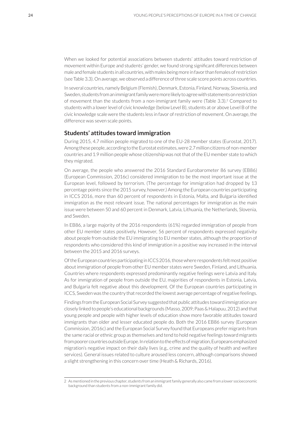When we looked for potential associations between students' attitudes toward restriction of movement within Europe and students' gender, we found strong significant differences between male and female students in all countries, with males being more in favor than females of restriction (see Table 3.3). On average, we observed a difference of three scale score points across countries.

In several countries, namely Belgium (Flemish), Denmark, Estonia, Finland, Norway, Slovenia, and Sweden, students from an immigrant family were more likely to agree with statements on restriction of movement than the students from a non-immigrant family were (Table 3.3).2 Compared to students with a lower level of civic knowledge (below Level B), students at or above Level B of the civic knowledge scale were the students less in favor of restriction of movement. On average, the difference was seven scale points.

## **Students' attitudes toward immigration**

During 2015, 4.7 million people migrated to one of the EU-28 member states (Eurostat, 2017). Among these people, according to the Eurostat estimates, were 2.7 million citizens of non-member countries and 1.9 million people whose citizenship was not that of the EU member state to which they migrated.

On average, the people who answered the 2016 Standard Eurobarometer 86 survey (EB86) (European Commission, 2016c) considered immigration to be the most important issue at the European level, followed by terrorism. (The percentage for immigration had dropped by 13 percentage points since the 2015 survey, however.) Among the European countries participating in ICCS 2016, more than 60 percent of respondents in Estonia, Malta, and Bulgaria identified immigration as the most relevant issue. The national percentages for immigration as the main issue were between 50 and 60 percent in Denmark, Latvia, Lithuania, the Netherlands, Slovenia, and Sweden.

In EB86, a large majority of the 2016 respondents (61%) regarded immigration of people from other EU member states positively. However, 56 percent of respondents expressed negativity about people from outside the EU immigrating to EU member states, although the proportion of respondents who considered this kind of immigration in a positive way increased in the interval between the 2015 and 2016 surveys.

Of the European countries participating in ICCS 2016, those where respondents felt most positive about immigration of people from other EU member states were Sweden, Finland, and Lithuania. Countries where respondents expressed predominantly negative feelings were Latvia and Italy. As for immigration of people from outside the EU, majorities of respondents in Estonia, Latvia, and Bulgaria felt negative about this development. Of the European countries participating in ICCS, Sweden was the country that recorded the lowest average percentage of negative feelings.

Findings from the European Social Survey suggested that public attitudes toward immigration are closely linked to people's educational backgrounds (Masso, 2009; Paas & Halapuu, 2012) and that young people and people with higher levels of education show more favorable attitudes toward immigrants than older and lesser educated people do. Both the 2016 EB86 survey (European Commission, 2016c) and the European Social Survey found that Europeans prefer migrants from the same racial or ethnic group as themselves and tend to hold negative feelings toward migrants from poorer countries outside Europe. In relation to the effects of migration, Europeans emphasized migration's negative impact on their daily lives (e.g., crime and the quality of health and welfare services). General issues related to culture aroused less concern, although comparisons showed a slight strengthening in this concern over time (Heath & Richards, 2016).

<sup>2</sup> As mentioned in the previous chapter, students from an immigrant family generally also came from a lower socioeconomic background than students from a non-immigrant family did.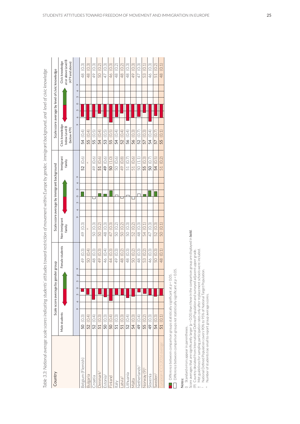| Country                                                                                                                                                                         |               | Scale score average by            | gender group                     |                            | Scale score average by immigrant background |                          |                                                 | Scale score average by level of civic knowledge |                                                           |
|---------------------------------------------------------------------------------------------------------------------------------------------------------------------------------|---------------|-----------------------------------|----------------------------------|----------------------------|---------------------------------------------|--------------------------|-------------------------------------------------|-------------------------------------------------|-----------------------------------------------------------|
|                                                                                                                                                                                 | Male students |                                   | Female students                  | Non-immigrant<br>family    |                                             | Immigrant<br>family      | Civic knowledge<br>below Level B<br>(below 479) |                                                 | at or above Level B<br>Civic knowledge<br>(479 and above) |
|                                                                                                                                                                                 | $\circ$       | ∘<br>S<br>$\circ$<br>S<br>$\circ$ | $\circ$                          | $\breve{\circ}$<br>$\circ$ | ó<br>S<br>$\circ$<br>$\infty$               | $\circ$                  |                                                 | ó<br>$\infty$<br>$\circ$<br>S<br>ó              | $\circ$                                                   |
| Belgium (Flemish)                                                                                                                                                               | (0.3)<br>50   |                                   | (0.3)<br>$\frac{1}{4}$           | (0.3)<br>49                |                                             | (0.6)<br>52              | (0.4)<br>54                                     |                                                 | (0.3)<br>$\frac{8}{4}$                                    |
| <b>Bulgaria</b>                                                                                                                                                                 | (0.4)<br>52   |                                   | 50 (0.4                          | $\,<$                      |                                             | $\,<$                    | (0.4)<br>55                                     |                                                 | (0.3)<br>$\frac{8}{4}$                                    |
| Groatia                                                                                                                                                                         | $\odot$<br>52 |                                   | (0.3)<br>$\frac{8}{4}$           | (0.3)<br>50                |                                             | (0.6)<br>49              | (0.5)<br>55                                     |                                                 | (0.3)<br>$\frac{9}{4}$                                    |
| Denmark                                                                                                                                                                         | (0.3)<br>51   |                                   | 49 (0.3                          | 50 (0.2)                   |                                             | $\odot$<br>51            | $\bigcirc$<br>54                                |                                                 | (0.2)<br>50                                               |
| Estonia <sup>®</sup>                                                                                                                                                            | $(0.3)$<br>50 |                                   | 46 (0.4                          | (0.3)<br>$\frac{8}{4}$     |                                             | $\odot$<br>$\frac{4}{9}$ | (0.5)<br>53                                     |                                                 | (0.3)<br>47                                               |
| Finland                                                                                                                                                                         | (0.4)<br>50   |                                   | (0.3)<br>44                      | (0.3)<br>47                |                                             | (1.0)<br>50              | (0.5)<br>55                                     |                                                 | (0.3)<br>46                                               |
| taly                                                                                                                                                                            | (0.3)<br>51   |                                   | (0.3)<br>49                      | (0.2)<br>50                |                                             | (0.6)<br>50              | (0.4)<br>54                                     |                                                 | (0.2)<br>$\frac{8}{4}$                                    |
| Latvia <sup>1</sup>                                                                                                                                                             | (0.3)<br>51   |                                   | (0.2)<br>$\frac{8}{4}$           | 50 (0.2)                   |                                             | (0.8)<br>49              | $\bigcirc$<br>52                                |                                                 | (0.2)<br>$\frac{8}{4}$                                    |
| Lithuania                                                                                                                                                                       | (0.4)<br>52   |                                   | 48 (0.3                          | 50 (0.3)                   |                                             | (0.7)<br>51              | $\odot$<br>$\frac{8}{5}$                        |                                                 | (0.3)<br>$\frac{8}{4}$                                    |
| Malta                                                                                                                                                                           | (0.3)<br>54   |                                   | (0.2)<br>50                      | (0.2)<br>52                | L                                           | (0.6)<br>51              | (0.3)<br>56                                     |                                                 | (0.3)<br>49                                               |
| Netherlands <sup>1</sup>                                                                                                                                                        | (0.4)<br>49   |                                   | (0.3)<br>$\frac{8}{4}$           | (0.3)<br>$\frac{8}{4}$     |                                             | (1.1)<br>50              | ÍO.<br>52                                       |                                                 | (0.3)<br>47                                               |
| Norway (9) <sup>1</sup>                                                                                                                                                         | (0.2)<br>55   |                                   | (0.2)<br>53                      | (0.1)<br>54                |                                             | (0.3)<br>55              | (0.3)<br>57                                     |                                                 | (0.1)<br>53                                               |
| Slovenia                                                                                                                                                                        | (0.3)<br>49   |                                   | 46 (0.3                          | 47 (0.3)                   |                                             | (0.7)<br>50              | $\odot$<br>54                                   |                                                 | (0.3)<br>$\overline{46}$                                  |
| <b>Sweden</b>                                                                                                                                                                   | (0.3)<br>54   |                                   | (0.3)<br>50                      | (0.3)<br>52                |                                             | (0.5)<br>54              | (0.7)<br>57                                     |                                                 | (0.2)<br>51                                               |
| European ICCS 2016 average                                                                                                                                                      | (0.1)<br>51   |                                   | $\overline{01}$<br>$\frac{8}{4}$ | (0.1)<br>50                |                                             | (0.2)<br>51              | $\left( 0.1\right)$<br>55                       |                                                 | (0.1)<br>48                                               |
| Difference between comparison groups statistically significant at p<                                                                                                            |               | 0.05.                             |                                  |                            |                                             |                          |                                                 |                                                 |                                                           |
| Difference between comparison groups not statistically significant at<br>Notes:                                                                                                 |               | p < 0.05                          |                                  |                            |                                             |                          |                                                 |                                                 |                                                           |
| Score averages that are significantly larger ( $\mathfrak{p}$ < 0.05) than those in the comparison group are displayed in <b>bold</b><br>Standard errors appear in parentheses. |               |                                   |                                  |                            |                                             |                          |                                                 |                                                 |                                                           |
| Country deviated from International Defined Population and surveyed adjacent upper grade.<br>Met guidelines for sampling participation rates only after replacement<br>$\circ$  |               |                                   | schools were included            |                            |                                             |                          |                                                 |                                                 |                                                           |
| National Defined Population covers 90% to 95% of National Target Pc                                                                                                             |               | pulation.                         |                                  |                            |                                             |                          |                                                 |                                                 |                                                           |
| Number of students too small to report group average scores.                                                                                                                    |               |                                   |                                  |                            |                                             |                          |                                                 |                                                 |                                                           |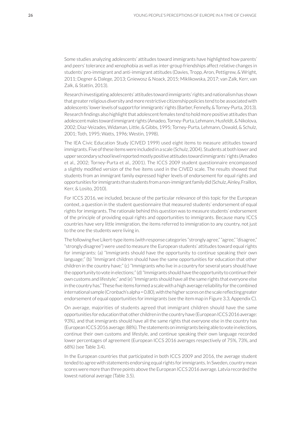Some studies analyzing adolescents' attitudes toward immigrants have highlighted how parents' and peers' tolerance and xenophobia as well as inter-group friendships affect relative changes in students' pro-immigrant and anti-immigrant attitudes (Davies, Tropp, Aron, Pettigrew, & Wright, 2011; Degner & Dalege, 2013; Gniewosz & Noack, 2015; Miklikowska, 2017; van Zalk, Kerr, van Zalk, & Stattin, 2013).

Research investigating adolescents' attitudes toward immigrants' rights and nationalism has shown that greater religious diversity and more restrictive citizenship policies tend to be associated with adolescents' lower levels of support for immigrants' rights (Barber, Fennelly, & Torney-Purta, 2013). Research findings also highlight that adolescent females tend to hold more positive attitudes than adolescent males toward immigrant rights (Amadeo, Torney-Purta, Lehmann, Husfeldt, & Nikolova, 2002; Diaz-Veizades, Widaman, Little, & Gibbs, 1995; Torney-Purta, Lehmann, Oswald, & Schulz, 2001; Toth, 1995; Watts, 1996; Westin, 1998).

The IEA Civic Education Study (CIVED 1999) used eight items to measure attitudes toward immigrants. Five of these items were included in a scale (Schulz, 2004). Students at both lower and upper secondary school level reported mostly positive attitudes toward immigrants' rights (Amadeo et al., 2002; Torney-Purta et al., 2001). The ICCS 2009 student questionnaire encompassed a slightly modified version of the five items used in the CIVED scale. The results showed that students from an immigrant family expressed higher levels of endorsement for equal rights and opportunities for immigrants than students from a non-immigrant family did (Schulz, Ainley, Fraillon, Kerr, & Losito, 2010).

For ICCS 2016, we included, because of the particular relevance of this topic for the European context, a question in the student questionnaire that measured students' endorsement of equal rights for immigrants. The rationale behind this question was to measure students' endorsement of the principle of providing equal rights and opportunities to immigrants. Because many ICCS countries have very little immigration, the items referred to immigration to any country, not just to the one the students were living in.

The following five Likert-type items (with response categories "strongly agree," "agree," "disagree," "strongly disagree") were used to measure the European students' attitudes toward equal rights for immigrants: (a) "Immigrants should have the opportunity to continue speaking their own language;" (b) "Immigrant children should have the same opportunities for education that other children in the country have;" (c) "Immigrants who live in a country for several years should have the opportunity to vote in elections;" (d) "Immigrants should have the opportunity to continue their own customs and lifestyle;" and (e) "Immigrants should have all the same rights that everyone else in the country has." These five items formed a scale with a high average reliability for the combined international sample (Cronbach's alpha = 0.80), with the higher scores on the scale reflecting greater endorsement of equal opportunities for immigrants (see the item map in Figure 3.3, Appendix C).

On average, majorities of students agreed that immigrant children should have the same opportunities for education that other children in the country have (European ICCS 2016 average: 93%), and that immigrants should have all the same rights that everyone else in the country has (European ICCS 2016 average: 88%). The statements on immigrants being able to vote in elections, continue their own customs and lifestyle, and continue speaking their own language recorded lower percentages of agreement (European ICCS 2016 averages respectively of 75%, 73%, and 68%) (see Table 3.4).

In the European countries that participated in both ICCS 2009 and 2016, the average student tended to agree with statements endorsing equal rights for immigrants. In Sweden, country mean scores were more than three points above the European ICCS 2016 average. Latvia recorded the lowest national average (Table 3.5).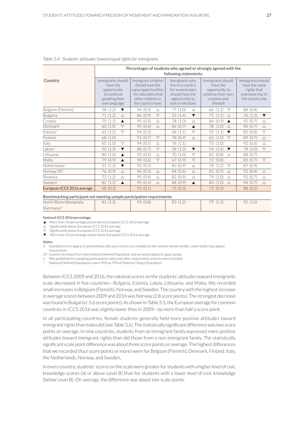|                            |                                                                                               | Percentages of students who agreed or strongly agreed with the                                                             | following statements:                                                                                              |                                                                                                   |                                                                                          |
|----------------------------|-----------------------------------------------------------------------------------------------|----------------------------------------------------------------------------------------------------------------------------|--------------------------------------------------------------------------------------------------------------------|---------------------------------------------------------------------------------------------------|------------------------------------------------------------------------------------------|
| Country                    | Immigrants should<br>have the<br>opportunity<br>to continue<br>speaking their<br>own language | Immigrant children<br>should have the<br>same opportunities<br>for education that<br>other children in<br>the country have | Immigrants who<br>live in a country<br>for several years<br>should have the<br>opportunity to<br>vote in elections | Immigrants should<br>have the<br>opportunity to<br>continue their own<br>customs and<br>lifestyle | Immigrants should<br>have the same<br>rights that<br>everyone else in<br>the country has |
| Belgium (Flemish)          | 58 (1.2)<br>$\blacktriangledown$                                                              | 94 (0.5)<br>$\triangle$                                                                                                    | 77(1.0)<br>Δ                                                                                                       | (1.2)<br>▽<br>66                                                                                  | 88 (0.8)                                                                                 |
| Bulgaria                   | 71(1.2)<br>$\triangle$                                                                        | 86 (0.9)<br>$\triangledown$                                                                                                | 55(1.4)<br>$\blacktriangledown$                                                                                    | 75<br>(1.1)<br>$\triangle$                                                                        | 76(1.1)<br>$\blacktriangledown$                                                          |
| Croatia                    | 79 (1.1)<br>$\blacktriangle$                                                                  | 95 (0.5)<br>$\triangle$                                                                                                    | 78 (1.0)<br>Δ                                                                                                      | 84 (0.9)<br>▲                                                                                     | 92 (0.7)<br>$\triangle$                                                                  |
| Denmark <sup>t</sup>       | 60(1.0)<br>$\triangledown$                                                                    | 95 (0.4)<br>$\triangle$                                                                                                    | 86 (0.7)<br>$\blacktriangle$                                                                                       | (1.0)<br>78<br>$\triangle$                                                                        | 90 (0.7)<br>$\triangle$                                                                  |
| Estonia <sup>1</sup>       | 62(1.2)<br>$\triangledown$                                                                    | 94 (0.5)                                                                                                                   | 68 (1.1)<br>$\triangledown$                                                                                        | (1.1)<br>59<br>$\blacktriangledown$                                                               | 85 (0.8)<br>$\triangledown$                                                              |
| Finland                    | 68 (1.0)                                                                                      | 91(0.7)<br>$\triangledown$                                                                                                 | 78 (0.9)<br>$\triangle$                                                                                            | (1.0)<br>65<br>▽                                                                                  | 89 (0.7)<br>$\triangle$                                                                  |
| Italy                      | 65(1.0)<br>$\triangledown$                                                                    | 94 (0.5)<br>$\triangle$                                                                                                    | 76 (1.1)                                                                                                           | 73<br>(1.0)                                                                                       | 92 (0.6)<br>Δ                                                                            |
| Latvia <sup>1</sup>        | 50(1.3)<br>$\blacktriangledown$                                                               | 88 (0.7)<br>$\triangledown$                                                                                                | 58 (1.3)<br>$\blacktriangledown$                                                                                   | 54(1.4)<br>$\blacktriangledown$                                                                   | 78 (1.0)<br>$\triangledown$                                                              |
| Lithuania                  | 80 (1.0)<br>$\blacktriangle$                                                                  | 95 (0.5)<br>$\triangle$                                                                                                    | 70(1.0)<br>$\triangledown$                                                                                         | 82<br>(0.8)<br>$\triangle$                                                                        | 88 (0.7)                                                                                 |
| Malta                      | 79 (0.9)<br>$\blacktriangle$                                                                  | 90(0.6)<br>$\triangledown$                                                                                                 | 67 (0.9)<br>$\triangledown$                                                                                        | 72 (0.8)                                                                                          | 83 (0.7)<br>$\triangledown$                                                              |
| Netherlands <sup>t</sup>   | 51(1.5)<br>▼                                                                                  | 92 (0.5)                                                                                                                   | 80 (0.9)<br>$\triangle$                                                                                            | 70(1.2)<br>$\triangledown$                                                                        | 87 (0.9)                                                                                 |
| Norway $(9)^1$             | 76 (0.9)<br>$\triangle$                                                                       | 96 (0.3)<br>$\triangle$                                                                                                    | 84 (0.6)<br>$\triangle$                                                                                            | (0.7)<br>81<br>$\triangle$                                                                        | 92 (0.4)<br>$\triangle$                                                                  |
| Slovenia                   | 73 (1.2)<br>$\triangle$                                                                       | 95 (0.4)<br>$\triangle$                                                                                                    | 82 (0.9)<br>$\triangle$                                                                                            | (1.0)<br>79<br>$\triangle$                                                                        | 92 (0.7)<br>$\triangle$                                                                  |
| Sweden <sup>1</sup>        | 82 (1.2)<br>$\blacktriangle$                                                                  | 95 (0.5)<br>$\triangle$                                                                                                    | 88 (0.9)<br>$\blacktriangle$                                                                                       | 83 (1.0)<br>$\triangle$                                                                           | 94 (0.7)<br>$\triangle$                                                                  |
| European ICCS 2016 average | 68 (0.3)                                                                                      | 93 (0.1)                                                                                                                   | 75 (0.3)                                                                                                           | 73 (0.3)                                                                                          | 88 (0.2)                                                                                 |

### *Table 3.4: Students' attitudes toward equal rights for immigrants*

### Benchmarking participant not meeting sample participation requirements

| North-Rhine-Westphalia | (10)<br>.1.07<br>$O_{\mathcal{L}}$ | (0.8)<br>$\cap$ | $(1 \cap)$<br>QQ<br>$\perp$ .<br>്റ | (1)<br>$\pm .51$ | (1.0)<br>$\cap$<br>$\overline{\phantom{0}}$ |
|------------------------|------------------------------------|-----------------|-------------------------------------|------------------|---------------------------------------------|
| (Germany) <sup>1</sup> |                                    |                 |                                     |                  |                                             |

### National ICCS 2016 percentage:

 $\blacktriangle$  More than 10 percentage points above European ICCS 2016 average

 $\triangle$  Significantly above European ICCS 2016 average

- Significantly below European ICCS 2016 average
- $\blacktriangledown$  More than 10 percentage points below European ICCS 2016 average

### Notes:

() Standard errors appear in parentheses. Because results are rounded to the nearest whole number, some totals may appear inconsistent.

- 
- (9) Country deviated from International Defined Population and surveyed adjacent upper grade.

National Defined Population covers 90% to 95% of National Target Population.

Between ICCS 2009 and 2016, the national scores on the students' attitudes toward immigrants scale decreased in five countries—Bulgaria, Estonia, Latvia, Lithuania, and Malta. We recorded small increases in Belgium (Flemish), Norway, and Sweden. The country with the highest increase in average scores between 2009 and 2016 was Norway (2.8 score points). The strongest decrease was found in Bulgaria (-5.6 score points). As shown in Table 3.5, the European average for common countries in ICCS 2016 was slightly lower than in 2009—by more than half a score point.

In all participating countries, female students generally held more positive attitudes toward immigrant rights than males did (see Table 3.6). The statistically significant difference was two score points on average. In nine countries, students from an immigrant family expressed more positive attitudes toward immigrant rights than did those from a non-immigrant family. The statistically significant scale point difference was about three score points on average. The highest differences that we recorded (four score points or more) were for Belgium (Flemish), Denmark, Finland, Italy, the Netherlands, Norway, and Sweden.

In every country, students' scores on the scale were greater for students with a higher level of civic knowledge scores (at or above Level B) than for students with a lower level of civic knowledge (below Level B). On average, the difference was about two scale points.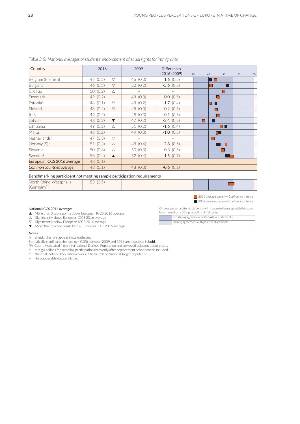| Country                    | 2016       |                      | 2009     | <b>Differences</b><br>$(2016 - 2009)$ | 45<br>40 | 50 | 55 | 60 |
|----------------------------|------------|----------------------|----------|---------------------------------------|----------|----|----|----|
| Belgium (Flemish)          | 47 (0.2)   | $\triangledown$      | 46 (0.3) | 1.6 $(0.5)$                           | ▔▐▊      |    |    |    |
| Bulgaria                   | 46 (0.3)   | $\triangledown$      | 52 (0.2) | $-5.6$ (0.5)                          |          | н. |    |    |
| Croatia                    | 50 (0.2)   | $\triangle$          |          |                                       |          |    |    |    |
| Denmark <sup>+</sup>       | 49 (0.2)   |                      | 48 (0.3) | 0.0(0.5)                              |          | г  |    |    |
| Estonia <sup>1</sup>       | 46 $(0.1)$ | $\triangledown$      | 48 (0.2) | $-1.7$ (0.4)                          | П        |    |    |    |
| Finland                    | 48 (0.2)   | $\triangledown$      | 48 (0.3) | $-0.2$ $(0.5)$                        | п        |    |    |    |
| Italy                      | 49 (0.2)   |                      | 48 (0.3) | 0.1(0.5)                              |          | г  |    |    |
| Latvia <sup>1</sup>        | 43 (0.2)   | $\blacktriangledown$ | 47 (0.2) | $-3.4(0.5)$                           |          |    |    |    |
| Lithuania                  | 49 (0.2)   | $\triangle$          | 51 (0.2) | $-1.6$ (0.4)                          |          | ┓┌ |    |    |
| Malta                      | 48 (0.2)   |                      | 49 (0.3) | $-1.0$ (0.5)                          |          | n  |    |    |
| Netherlands <sup>t</sup>   | 47 (0.3)   | $\triangledown$      |          |                                       |          |    |    |    |
| Norway (9) <sup>1</sup>    | 51 (0.2)   | $\triangle$          | 48 (0.4) | $2.8$ (0.5)                           |          |    |    |    |
| Slovenia                   | 50 (0.3)   | $\triangle$          | 50 (0.3) | $-0.3$ $(0.5)$                        |          |    |    |    |
| Sweden <sup>1</sup>        | 53 (0.4)   | $\blacktriangle$     | 52 (0.4) | 1.5 $(0.7)$                           |          |    |    |    |
| European ICCS 2016 average | 48 (0.1)   |                      |          |                                       |          |    |    |    |
| Common countries average   | 48 (0.1)   |                      | 48 (0.3) | $-0.6$ $(0.1)$                        |          |    |    |    |

## *Table 3.5: National averages of students' endorsement of equal rights for immigrants*

### Benchmarking participant not meeting sample participation requirements

| North Rhine-Westphalia | $\sim$ $\sim$ | $\overline{\phantom{a}}$ | $\overline{\phantom{a}}$ |  |  |  |  |
|------------------------|---------------|--------------------------|--------------------------|--|--|--|--|
| (Germany):             |               |                          |                          |  |  |  |  |

2016 average score +/- Confidence interval 2009 average score +/- Confidence interval

National ICCS 2016 average:

 $\blacktriangle$  More than 3 score points above European ICCS 2016 average

 $\triangle$  Significantly above European ICCS 2016 average  $\nabla$  Significantly below European ICCS 2016 average

Significantly below European ICCS 2016 average

 $\blacktriangledown$  More than 3 score points below European ICCS 2016 average

### Notes:

() Standard errors appear in parentheses.

Statistically significant changes (*p* < 0.05) between 2009 and 2016 are displayed in bold.

- (9) Country deviated from International Defined Population and surveyed adjacent upper grade.
- † Met guidelines for sampling participation rates only after replacement schools were included. 1 National Defined Population covers 90% to 95% of National Target Population.
- 

– No comparable data available.

On average across items, students with a score in the range with this color have more than a 50% probability of indicating:

No strong agreement with positive statements

Strong agreement with positive statements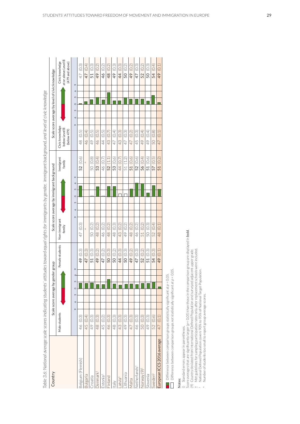| Country                                                                                                                                                                                                                                                                                               |                        | Scale score average by      | gender group            |                          | Scale score average by immigrant background |                         |                                                 | Scale score average by level of civic knowledge |                                                           |
|-------------------------------------------------------------------------------------------------------------------------------------------------------------------------------------------------------------------------------------------------------------------------------------------------------|------------------------|-----------------------------|-------------------------|--------------------------|---------------------------------------------|-------------------------|-------------------------------------------------|-------------------------------------------------|-----------------------------------------------------------|
|                                                                                                                                                                                                                                                                                                       | Male students          |                             | Female students         | Non-immigrant<br>family  |                                             | Immigrant<br>family     | Civic knowledge<br>below Level B<br>(below 479) |                                                 | at or above Level B<br>Civic knowledge<br>(479 and above) |
|                                                                                                                                                                                                                                                                                                       | $\circ$                | ó<br>S<br>$\circ$<br>3<br>Ó | $\circ$                 | ♦<br>$\circ$             | P<br>S<br>$\circ$<br>3                      | $\circ$                 | $\circ$                                         | $\check{\circ}$<br>3<br>$\circ$<br>3<br>P       | $\circ$                                                   |
| Belgium (Flemish)                                                                                                                                                                                                                                                                                     | (0.3)<br>46            |                             | (0.3)<br>49             | (0.3)<br>47              |                                             | (0.6)<br>52             | (0.5)<br>48                                     |                                                 | (0.3)<br>47                                               |
| <b>Bulgaria</b>                                                                                                                                                                                                                                                                                       | (0.4)<br>45            |                             | 47 (0.3                 | $\overline{\phantom{a}}$ |                                             |                         | (0.4)<br>46                                     |                                                 | (0.4)<br>47                                               |
| Croatia                                                                                                                                                                                                                                                                                               | 49 (0.3)               |                             | 51 (0.3)                | 50 (0.2)                 |                                             | (0.8)<br>50             | (0.5)<br>$\frac{4}{9}$                          |                                                 | (0.3)<br>51                                               |
| <b>Denmark</b>                                                                                                                                                                                                                                                                                        | (0.3)<br>48            |                             | 49 (0.2                 | (0.2)<br>$\frac{8}{4}$   |                                             | $\odot$ 4)<br>53        | (0.5)<br>46                                     |                                                 | (0.2)<br>$\frac{1}{6}$                                    |
| Estonia <sup>1</sup>                                                                                                                                                                                                                                                                                  | (0.2)<br>45            |                             | 47 (0.2                 | 46 (0.2)                 |                                             | (0.7)<br>$\overline{4}$ | (0.5)<br>4                                      |                                                 | (0.2)<br>46                                               |
| Finland                                                                                                                                                                                                                                                                                               | (0.3)<br>46            |                             | 50 (0.3)                | 48 (0.2)                 |                                             | 52 (1.1)                | (0.7)<br>43                                     |                                                 | (0.2)<br>$\frac{48}{5}$                                   |
| ltaly                                                                                                                                                                                                                                                                                                 | (0.3)<br>$\frac{8}{4}$ |                             | 50 <sub>(0.2</sub> )    | (0.3)<br>$\frac{8}{4}$   |                                             | (0.6)<br>53             | $\odot$ 4)<br>47                                |                                                 | (0.3)<br>49                                               |
| Latvia <sup>1</sup>                                                                                                                                                                                                                                                                                   | (0.3)<br>43            |                             | 44 (0.3)                | 43 (0.2)                 |                                             | (0.7)<br>$\overline{4}$ | (0.3)<br>43                                     |                                                 | (0.3)<br>$\overline{4}$                                   |
| Lithuania                                                                                                                                                                                                                                                                                             | (0.3)<br>49            |                             | 50 (0.3                 | 49 (0.2)                 |                                             | 51 (1.2)                | (0.3)<br>$\overline{47}$                        |                                                 | (0.2)<br>50                                               |
| Malta                                                                                                                                                                                                                                                                                                 | (0.3)<br>47            |                             | 49 (0.2)                | 48 (0.2)                 |                                             | (0.6)<br>51             | (0.2)<br>47                                     |                                                 | (0.2)<br>49                                               |
| Netherlands                                                                                                                                                                                                                                                                                           | (0.3)<br>46            |                             | 47 (0.3)                | 46 (0.2)                 |                                             | (0.6)<br>52             | (0.3)<br>45                                     |                                                 | (0.3)<br>47                                               |
| Norway $(9)^1$                                                                                                                                                                                                                                                                                        | (0.3)<br>50            |                             | 52 (0.2)                | 51 (0.2)                 |                                             | (0.4)<br>56             | (0.4)<br>49                                     |                                                 | (0.2)<br>52                                               |
| Slovenia                                                                                                                                                                                                                                                                                              | (0.3)<br>$\frac{4}{9}$ |                             | 51 (0.3)                | 50 (0.3)                 |                                             | (0.6)<br>51             | $\odot$<br>49                                   |                                                 | (0.3)<br>50                                               |
| Sweden <sup>2</sup>                                                                                                                                                                                                                                                                                   | (0.6)<br>52            |                             | 54 (0.3                 | (0.4)<br>52              |                                             | (0.5)<br>57             | (0.8)<br>50                                     |                                                 | (0.4)<br>54                                               |
| European ICCS 2016 average                                                                                                                                                                                                                                                                            | (0.1)<br>47            |                             | (0.1)<br>49             | (0.1)<br>48              |                                             | (0.2)<br>51             | (0.1)<br>47                                     |                                                 | (0.1)<br>49                                               |
| Difference between comparison groups statistically significant at p<                                                                                                                                                                                                                                  |                        | 0.05.                       |                         |                          |                                             |                         |                                                 |                                                 |                                                           |
| Difference between comparison groups not statistically significant at p < 0.05.<br>Notes:                                                                                                                                                                                                             |                        |                             |                         |                          |                                             |                         |                                                 |                                                 |                                                           |
| () Standard errors appear in parentheses.                                                                                                                                                                                                                                                             |                        |                             |                         |                          |                                             |                         |                                                 |                                                 |                                                           |
| Score averages that are significantly larger ( $p$ < 0.05) than those in the comparison group are displayed in <b>bold</b><br>(9) Country deviated from International Defined Population and surveyed adjacent upper grade.<br>Met guidelines for sampling participation rates only after replacement |                        |                             | t schools were included |                          |                                             |                         |                                                 |                                                 |                                                           |
| National Defined Population covers 90% to 95% of National Target Po<br>Number of students too small to report group average scores.                                                                                                                                                                   |                        | pulation.                   |                         |                          |                                             |                         |                                                 |                                                 |                                                           |
|                                                                                                                                                                                                                                                                                                       |                        |                             |                         |                          |                                             |                         |                                                 |                                                 |                                                           |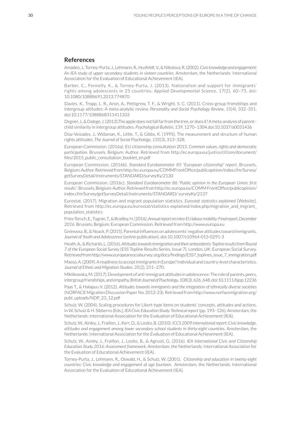## **References**

Amadeo, J., Torney-Purta, J., Lehmann, R., Husfeldt, V., & Nikolova, R. (2002). *Civic knowledge and engagement: An IEA study of upper secondary students in sixteen countries*. Amsterdam, the Netherlands: International Association for the Evaluation of Educational Achievement (IEA).

Barber, C., Fennelly, K., & Torney-Purta, J. (2013). Nationalism and support for immigrants' rights among adolescents in 25 countries. *Applied Developmental Science*, *17*(2), 60–75. doi: 10.1080/10888691.2013.774870

Davies, K., Tropp, L. R., Aron, A., Pettigrew, T. F., & Wright, S. C. (2011). Cross-group friendships and intergroup attitudes: A meta-analytic review. *Personality and Social Psychology Review*, *15*(4), 332–351. doi:10.1177/1088868311411103

Degner, J., & Dalege, J. (2013).The apple does not fall far from the tree, or does it? A meta-analysis of parent– child similarity in intergroup attitudes. *Psychological Bulletin*, *139*, 1270–1304.doi:10.1037/a0031436

Diaz-Veizades, J., Widaman, K., Little, T., & Gibbs, K. (1995). The measurement and structure of human rights attitudes. *The Journal of Social Psychology*, *135*(3), 313–328.

European Commission. (2016a). EU citizenship consultation 2015. *Common values, rights and democratic participation*. Brussels, Belgium: Author. Retrieved from http://ec.europa.eu/justice/citizen/document/ files/2015\_public\_consultation\_booklet\_en.pdf

European Commission. (2016b). *Standard Eurobarometer 85 "European citizenship" report*. Brussels, Belgium: Author. Retrieved from http://ec.europa.eu/COMMFrontOffice/publicopinion/index.cfm/Survey/ getSurveyDetail/instruments/STANDARD/surveyKy/2130

European Commission. (2016c). *Standard Eurobarometer 86 "Public opinion in the European Union, first results"*. Brussels, Belgium: Author. Retrieved from http://ec.europa.eu/COMM FrontOffice/publicopinion/ index.cfm/Survey/getSurveyDetail/instruments/STANDARD/ surveyKy/2137

Eurostat. (2017). Migration and migrant population statistics. *Eurostat statistics explained* [Website]. Retrieved from http://ec.europa.eu/eurostat/statistics-explained/index.php/migration\_and\_migrant population\_statistics

Fries-Tersch, E., Tugran, T., & Bradley, H. (2016). *Annual report on intra-EU labour mobility: Final report, December 2016*. Brussels, Belgium: European Commission. Retrieved from http://www.europa.eu

Gniewosz, B., & Noack, P. (2015). Parental influences on adolescents' negative attitudes toward immigrants. *Journal of Youth and Adolescence* (online publication). doi:10.1007/s10964-015-0291-3

Heath, A., & Richards, L. (2016). *Attitudes towards immigration and their antecedents: Topline results from Round 7 of the European Social Survey* (ESS Topline Results Series, Issue 7). London, UK: European Social Survey. Retrieved from http://www.europeansocialsurvey. org/docs/findings/ESS7\_toplines\_issue\_7\_immigration.pdf

Masso, A. (2009). A readiness to accept immigrants in Europe? Individual and country-level characteristics. *Journal of Ethnic and Migration Studies*, *35*(2), 251–270.

Miklikowska, M. (2017). Development of anti-immigrant attitudes in adolescence: The role of parents, peers, intergroup friendships, and empathy. *British Journal of Psychology*, *108*(3), 626\_648. doi:10.1111/bjop.12236

Paas T., & Halapuu V. (2012). *Attitudes towards immigrants and the integration of ethnically diverse societies*  (NORFACE Migration Discussion Paper No. 2012-23). Retrieved from http://www.norfacemigration.org/ publ\_uploads/NDP\_23\_12.pdf

Schulz, W. (2004). Scaling procedures for Likert-type items on students' concepts, attitudes and actions. In W. Schulz & H. Sibberns (Eds.), *IEA Civic Education Study: Technical report* (pp. 193–126). Amsterdam, the Netherlands: International Association for the Evaluation of Educational Achievement (IEA).

Schulz, W., Ainley, J., Fraillon, J., Kerr, D., & Losito, B. (2010). *ICCS 2009 international report: Civic knowledge, attitudes and engagement among lower secondary school students in thirty-eight countries*. Amsterdam, the Netherlands: International Association for the Evaluation of Educational Achievement (IEA).

Schulz, W., Ainley, J., Fraillon, J., Losito, B., & Agrusti, G. (2016). *IEA International Civic and Citizenship Education Study 2016: Assessment framework*. Amsterdam, the Netherlands: International Association for the Evaluation of Educational Achievement (IEA).

Torney-Purta, J., Lehmann, R., Oswald, H., & Schulz, W. (2001). *Citizenship and education in twenty-eight countries: Civic knowledge and engagement at age fourteen*. Amsterdam, the Netherlands: International Association for the Evaluation of Educational Achievement (IEA).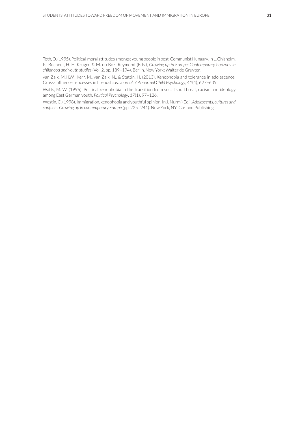Toth, O. (1995). Political-moral attitudes amongst young people in post-Communist Hungary. In L. Chisholm, P. Buchner, H.-H. Kruger, & M. du Bois-Reymond (Eds.), *Growing up in Europe: Contemporary horizons in childhood and youth studies* (Vol. 2, pp. 189–194). Berlin, New York: Walter de Gruyter.

van Zalk, M.H.W., Kerr, M., van Zalk, N., & Stattin, H. (2013). Xenophobia and tolerance in adolescence: Cross-Influence processes in friendships. *Journal of Abnormal Child Psychology*, *41*(4), 627–639.

Watts, M. W. (1996). Political xenophobia in the transition from socialism: Threat, racism and ideology among East German youth. *Political Psychology*, *17*(1), 97–126.

Westin, C. (1998). Immigration, xenophobia and youthful opinion. In J. Nurmi (Ed.), *Adolescents, cultures and conflicts: Growing up in contemporary Europe* (pp. 225–241). New York, NY: Garland Publishing.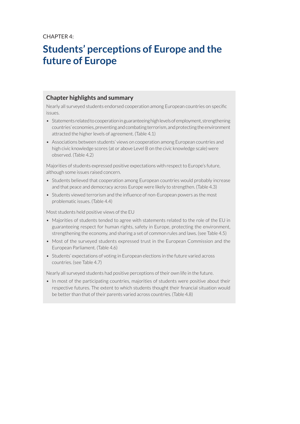# **Students' perceptions of Europe and the future of Europe**

## **Chapter highlights and summary**

Nearly all surveyed students endorsed cooperation among European countries on specific issues.

- Statements related to cooperation in guaranteeing high levels of employment, strengthening countries' economies, preventing and combating terrorism, and protecting the environment attracted the higher levels of agreement. (Table 4.1)
- Associations between students' views on cooperation among European countries and high civic knowledge scores (at or above Level B on the civic knowledge scale) were observed. (Table 4.2)

Majorities of students expressed positive expectations with respect to Europe's future, although some issues raised concern.

- Students believed that cooperation among European countries would probably increase and that peace and democracy across Europe were likely to strengthen. (Table 4.3)
- Students viewed terrorism and the influence of non-European powers as the most problematic issues. (Table 4.4)

Most students held positive views of the EU

- Majorities of students tended to agree with statements related to the role of the EU in guaranteeing respect for human rights, safety in Europe, protecting the environment, strengthening the economy, and sharing a set of common rules and laws. (see Table 4.5)
- Most of the surveyed students expressed trust in the European Commission and the European Parliament. (Table 4.6)
- Students' expectations of voting in European elections in the future varied across countries. (see Table 4.7)

Nearly all surveyed students had positive perceptions of their own life in the future.

• In most of the participating countries, majorities of students were positive about their respective futures. The extent to which students thought their financial situation would be better than that of their parents varied across countries. (Table 4.8)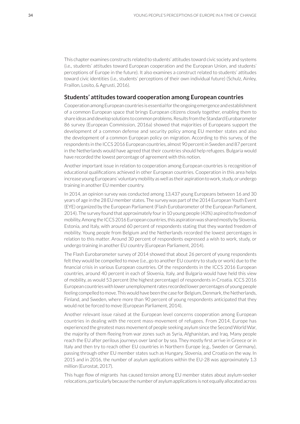This chapter examines constructs related to students' attitudes toward civic society and systems (i.e., students' attitudes toward European cooperation and the European Union, and students' perceptions of Europe in the future). It also examines a construct related to students' attitudes toward civic identities (i.e., students' perceptions of their own individual future) (Schulz, Ainley, Fraillon, Losito, & Agrusti, 2016).

## **Students' attitudes toward cooperation among European countries**

Cooperation among European countries is essential for the ongoing emergence and establishment of a common European space that brings European citizens closely together, enabling them to share ideas and develop solutions to common problems. Results from the Standard Eurobarometer 86 survey (European Commission, 2016a) showed that majorities of Europeans support the development of a common defense and security policy among EU member states and also the development of a common European policy on migration. According to this survey, of the respondents in the ICCS 2016 European countries, almost 90 percent in Sweden and 87 percent in the Netherlands would have agreed that their countries should help refugees. Bulgaria would have recorded the lowest percentage of agreement with this notion.

Another important issue in relation to cooperation among European countries is recognition of educational qualifications achieved in other European countries. Cooperation in this area helps increase young Europeans' voluntary mobility as well as their aspiration to work, study, or undergo training in another EU member country.

In 2014, an opinion survey was conducted among 13,437 young Europeans between 16 and 30 years of age in the 28 EU member states. The survey was part of the 2014 European Youth Event (EYE) organized by the European Parliament (Flash Eurobarometer of the European Parliament, 2014). The survey found that approximately four in 10 young people (43%) aspired to freedom of mobility. Among the ICCS 2016 European countries, this aspiration was shared mostly by Slovenia, Estonia, and Italy, with around 60 percent of respondents stating that they wanted freedom of mobility. Young people from Belgium and the Netherlands recorded the lowest percentages in relation to this matter. Around 30 percent of respondents expressed a wish to work, study, or undergo training in another EU country (European Parliament, 2014).

The Flash Eurobarometer survey of 2014 showed that about 26 percent of young respondents felt they would be compelled to move (i.e., go to another EU country to study or work) due to the financial crisis in various European countries. Of the respondents in the ICCS 2016 European countries, around 40 percent in each of Slovenia, Italy, and Bulgaria would have held this view of mobility, as would 53 percent (the highest percentage) of respondents in Croatia. ICCS 2016 European countries with lower unemployment rates recorded lower percentages of young people feeling compelled to move. This would have been the case for Belgium, Denmark, the Netherlands, Finland, and Sweden, where more than 90 percent of young respondents anticipated that they would not be forced to move (European Parliament, 2014).

Another relevant issue raised at the European level concerns cooperation among European countries in dealing with the recent mass-movement of refugees. From 2014, Europe has experienced the greatest mass movement of people seeking asylum since the Second World War, the majority of them fleeing from war zones such as Syria, Afghanistan, and Iraq. Many people reach the EU after perilous journeys over land or by sea. They mostly first arrive in Greece or in Italy and then try to reach other EU countries in Northern Europe (e.g., Sweden or Germany), passing through other EU member states such as Hungary, Slovenia, and Croatia on the way. In 2015 and in 2016, the number of asylum applications within the EU-28 was approximately 1.3 million (Eurostat, 2017).

This huge flow of migrants has caused tension among EU member states about asylum-seeker relocations, particularly because the number of asylum applications is not equally allocated across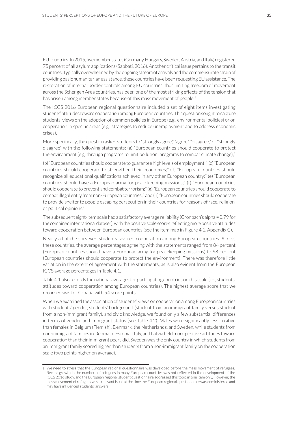EU countries. In 2015, five member states (Germany, Hungary, Sweden, Austria, and Italy) registered 75 percent of all asylum applications (Sabbati, 2016). Another critical issue pertains to the transit countries. Typically overwhelmed by the ongoing stream of arrivals and the commensurate strain of providing basic humanitarian assistance, these countries have been requesting EU assistance. The restoration of internal border controls among EU countries, thus limiting freedom of movement across the Schengen Area countries, has been one of the most striking effects of the tension that has arisen among member states because of this mass movement of people.<sup>1</sup>

The ICCS 2016 European regional questionnaire included a set of eight items investigating students' attitudes toward cooperation among European countries. This question sought to capture students' views on the adoption of common policies in Europe (e.g., environmental policies) or on cooperation in specific areas (e.g., strategies to reduce unemployment and to address economic crises).

More specifically, the question asked students to "strongly agree," "agree," "disagree," or "strongly disagree" with the following statements: (a) "European countries should cooperate to protect the environment (e.g. through programs to limit pollution, programs to combat climate change);"

(b) "European countries should cooperate to guarantee high levels of employment;" (c) "European countries should cooperate to strengthen their economies;" (d) "European countries should recognize all educational qualifications achieved in any other European country;" (e) "European countries should have a European army for peacekeeping missions;" (f) "European countries should cooperate to prevent and combat terrorism;" (g) "European countries should cooperate to combat illegal entry from non-European countries;" and (h) "European countries should cooperate to provide shelter to people escaping persecution in their countries for reasons of race, religion, or political opinions."

The subsequent eight-item scale had a satisfactory average reliability (Cronbach's alpha = 0.79 for the combined international dataset), with the positive scale scores reflecting more positive attitudes toward cooperation between European countries (see the item map in Figure 4.1, Appendix C).

Nearly all of the surveyed students favored cooperation among European countries. Across these countries, the average percentages agreeing with the statements ranged from 84 percent (European countries should have a European army for peacekeeping missions) to 98 percent (European countries should cooperate to protect the environment). There was therefore little variation in the extent of agreement with the statements, as is also evident from the European ICCS average percentages in Table 4.1.

Table 4.1 also records the national averages for participating countries on this scale (i.e., students' attitudes toward cooperation among European countries). The highest average score that we recorded was for Croatia with 54 score points.

When we examined the association of students' views on cooperation among European countries with students' gender, students' background (student from an immigrant family versus student from a non-immigrant family), and civic knowledge, we found only a few substantial differences in terms of gender and immigrant status (see Table 4.2). Males were significantly less positive than females in Belgium (Flemish), Denmark, the Netherlands, and Sweden, while students from non-immigrant families in Denmark, Estonia, Italy, and Latvia held more positive attitudes toward cooperation than their immigrant peers did. Sweden was the only country in which students from an immigrant family scored higher than students from a non-immigrant family on the cooperation scale (two points higher on average).

<sup>1</sup> We need to stress that the European regional questionnaire was developed before the mass movement of refugees. Recent growth in the numbers of refugees in many European countries was not reflected in the development of the ICCS 2016 study, and the European regional student questionnaire addressed this topic in one item only. However, the mass movement of refugees was a relevant issue at the time the European regional questionnaire was administered and may have influenced students' answers.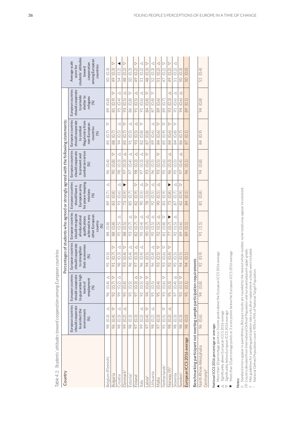| Table 4.1: Students' attitudes toward cooperation among European countries                                                                                                                                                                                                                                                                                                                           |                                                                                |                                                                                               |                                                                                   |                                                                                                                                    |                                                                                              |                                                                                     |                                                                                                               |                                                                                       |                                                                                                           |
|------------------------------------------------------------------------------------------------------------------------------------------------------------------------------------------------------------------------------------------------------------------------------------------------------------------------------------------------------------------------------------------------------|--------------------------------------------------------------------------------|-----------------------------------------------------------------------------------------------|-----------------------------------------------------------------------------------|------------------------------------------------------------------------------------------------------------------------------------|----------------------------------------------------------------------------------------------|-------------------------------------------------------------------------------------|---------------------------------------------------------------------------------------------------------------|---------------------------------------------------------------------------------------|-----------------------------------------------------------------------------------------------------------|
| Country                                                                                                                                                                                                                                                                                                                                                                                              |                                                                                |                                                                                               |                                                                                   |                                                                                                                                    |                                                                                              | Percentages of students who agreed or strongly agreed with the following statements |                                                                                                               |                                                                                       |                                                                                                           |
|                                                                                                                                                                                                                                                                                                                                                                                                      | European countries<br>should cooperate<br>to protect the<br>environment<br>(%) | European countries<br>should cooperate<br>to guarantee high<br>employment<br>levels of<br>(%) | European countries<br>should cooperate<br>their economies<br>to strengthen<br>(%) | European countries<br>should recognize<br>other European<br>achieved in any<br>all educational<br>qualifications<br>country<br>(%) | for peace-keeping<br>European countries<br>European army<br>should have a<br>missions<br>(%) | European countries<br>combat terrorism<br>should cooperate<br>to prevent and<br>(%) | European countries<br>should cooperate<br>illegal entry from<br>non-European<br>to combat<br>countries<br>(%) | European countries<br>should cooperate<br>to provide<br>shelter to<br>refugees<br>(%) | students' attitudes<br>among European<br>Average scale<br>cooperation<br>countries<br>score for<br>toward |
| Belgium (Flemish)                                                                                                                                                                                                                                                                                                                                                                                    | ◁<br>(0.3)<br>$80^{\circ}$                                                     | ◁<br>(0.4)<br>86                                                                              | (0.5)<br>95                                                                       | (0.8)<br>$\frac{8}{8}$                                                                                                             | ◁<br>(0.7)<br>$\infty$                                                                       | (0.4)<br>96                                                                         | ▷<br>(0.7)<br>50                                                                                              | (0.8)<br>$\frac{8}{2}$                                                                | (0.3)<br>50                                                                                               |
| Bulgaria                                                                                                                                                                                                                                                                                                                                                                                             | $\triangleright$<br>(0.4)<br>96                                                | $\triangleright$<br>(0.7)<br>92                                                               | $\triangleright$<br>(0,7)<br>$\sqrt{2}$                                           | (0.8)<br>88                                                                                                                        | (0.8)<br>83                                                                                  | $\triangleright$<br>(0.8)<br>90                                                     | (0.7)<br>88                                                                                                   | $\triangleright$<br>(0.9)<br>$\approx$                                                | $\triangleright$<br>(0.3)<br>$\frac{4}{3}$                                                                |
| Croatia                                                                                                                                                                                                                                                                                                                                                                                              | ◁<br>(0.3)<br>$\frac{8}{2}$                                                    | ◁<br>(0.2)<br>$\infty$                                                                        | ◁<br>(0.3)<br>88                                                                  | ◁<br>(0.5)<br>95                                                                                                                   | ◁<br>$\odot$ . $\odot$<br>93                                                                 | ◁<br>(0.3)<br>88                                                                    | ◁<br>(0.5)<br>$\overline{\mathcal{Z}}$                                                                        | ◁<br>$\odot$ 4)<br>95                                                                 | ◀<br>(0.2)<br>54                                                                                          |
| <b>Denmark</b>                                                                                                                                                                                                                                                                                                                                                                                       | ◁<br>(0.2)<br>$\infty$                                                         | $\left(0.4\right)$<br>95                                                                      | $\triangleright$<br>(0.4)<br>93                                                   | (0.5)<br>88                                                                                                                        | (0.9)<br>73                                                                                  | $\triangleleft$<br>(0.3)<br>97                                                      | ▷<br>(0.7)<br>85                                                                                              | ◁<br>(0.5)<br>93                                                                      | $\triangleright$<br>(0.2)<br>$\frac{8}{4}$                                                                |
| Estonia                                                                                                                                                                                                                                                                                                                                                                                              | (0.3)<br>$\infty$                                                              | (0.5)<br>95                                                                                   | ◁<br>$\odot$ 4)<br>86                                                             | ◁<br>(0.7)<br>93                                                                                                                   | $\odot$<br>85                                                                                | $\triangleleft$<br>(0.4)<br>97                                                      | $\triangleleft$<br>(0.5)<br>$\approx$                                                                         | $\triangleright$<br>(0.8)<br>$\rm{86}$                                                | (0.3)<br>50                                                                                               |
| Finland                                                                                                                                                                                                                                                                                                                                                                                              | (0.3)<br>76                                                                    | $\triangleleft$<br>(0.3)<br>56                                                                | ◁<br>(0.3)<br>56                                                                  | $\triangleright$<br>(0.7)<br>$82$                                                                                                  | $\triangleright$<br>(0.9)<br>$\approx$                                                       | $\triangleleft$<br>(0.3)<br>88                                                      | $\triangleleft$<br>(0.5)<br>93                                                                                | ◁<br>(0.5)<br>$\overline{91}$                                                         | $\triangleright$<br>(0.2)<br>49                                                                           |
| <b>Italy</b>                                                                                                                                                                                                                                                                                                                                                                                         | ◁<br>(0.2)<br>99                                                               | $\triangleright$<br>(0.5)<br>$\varphi$                                                        | ◁<br>$\bigcirc$<br>86                                                             | ◁<br>$\odot$<br>95                                                                                                                 | ◁<br>(0.5)<br>$\infty$                                                                       | ◁<br>(0.3)<br>97                                                                    | $\triangleright$<br>(0.8)<br>$\approx$                                                                        | ◁<br>(0.6)<br>$\overline{6}$                                                          | ◁<br>(0.2)<br>51                                                                                          |
| Latvia <sup>1</sup>                                                                                                                                                                                                                                                                                                                                                                                  | $\triangleright$<br>(0.4)<br>97                                                | $\triangleright$<br>(0.6)<br>$\gtrsim$                                                        | (0.5)<br>94                                                                       | $\triangleleft$<br>(0.7)<br>90                                                                                                     | ▷<br>(1.0)<br>78                                                                             | ▷<br>(0.6)<br>93                                                                    | (0.8)<br>$\overline{8}$                                                                                       | $\triangleright$<br>(0.8)<br>$\overline{8}$                                           | $\triangleright$<br>(0.3)<br>$\frac{8}{4}$                                                                |
| Lithuania                                                                                                                                                                                                                                                                                                                                                                                            | ◁<br>(0.2)<br>$\frac{8}{2}$                                                    | (0.5)<br>95                                                                                   | ◁<br>(0.4)<br>86                                                                  | ◁<br>(0.5)<br>95                                                                                                                   | ◁<br>(0.5)<br>92                                                                             | (0.5)<br>96                                                                         | ◁<br>(0.6)<br>89                                                                                              | $\triangleright$<br>(0.8)<br>$\overline{8}$                                           | ◁<br>(0.3)<br>52                                                                                          |
| Malta                                                                                                                                                                                                                                                                                                                                                                                                | (0.3)<br>97                                                                    | (0.4)<br>95                                                                                   | $\triangleright$<br>(0.5)<br>93                                                   | $\triangleleft$<br>(0.5)<br>92                                                                                                     | $\triangleleft$<br>(0.5)<br>90                                                               | $\triangleright$<br>(0.5)<br>93                                                     | $\triangleright$<br>(0.6)<br>84                                                                               | (0.6)<br>89                                                                           | ◁<br>(0.2)<br>51                                                                                          |
| Netherlands                                                                                                                                                                                                                                                                                                                                                                                          | ▷<br>(0.5)<br>95                                                               | ▷<br>(0.6)<br>83                                                                              | ▷<br>(0.6)<br>93                                                                  | ▷<br>$\odot$ 8)<br>$\frac{1}{8}$                                                                                                   | (0.9)<br>83                                                                                  | (0.6)<br>95                                                                         | D<br>(0.9)<br>85                                                                                              | $\odot$<br>$\frac{8}{8}$                                                              | D<br>(0.2)<br>47                                                                                          |
| Norway (9) <sup>1</sup>                                                                                                                                                                                                                                                                                                                                                                              | ◁<br>(0.2)<br>98                                                               | (0.3)<br>95                                                                                   | $\triangleright$<br>(0.4)<br>92                                                   | ▶<br>(0,7)<br>77                                                                                                                   | ▶<br>(0.8)<br>73                                                                             | ◁<br>(0.3)<br>96                                                                    | $\triangleright$<br>(0.6)<br>$\frac{8}{4}$                                                                    | ◁<br>(0.3)<br>93                                                                      | ▷<br>(0.2)<br>49                                                                                          |
| Slovenia                                                                                                                                                                                                                                                                                                                                                                                             | (0.3)<br>88                                                                    | $\triangleleft$<br>(0.4)<br>97                                                                | (0.5)<br>95                                                                       | ◁<br>(0.5)<br>92                                                                                                                   | ◁<br>(0.7)<br>$\odot$                                                                        | (0.5)<br>95                                                                         | $\triangleright$<br>(0.8)<br>$\frac{8}{4}$                                                                    | ◁<br>(0.6)<br>$\approx$                                                               | ◁<br>(0.2)<br>51                                                                                          |
| Sweden <sup>®</sup>                                                                                                                                                                                                                                                                                                                                                                                  | (0.3)<br>80                                                                    | $\triangleright$<br>(0.5)<br>93                                                               | (0.5)<br>94                                                                       | (0.6)<br>$\frac{8}{9}$                                                                                                             | $\triangleright$<br>(0.9)<br>82                                                              | ◁<br>(0.4)<br>97                                                                    | (0.7)<br>$86$                                                                                                 | ◁<br>(0.6)<br>94                                                                      | (0.3)<br>50                                                                                               |
| European ICCS 2016 average                                                                                                                                                                                                                                                                                                                                                                           | (0.0)<br>98                                                                    | (0.1)<br>95                                                                                   | (0.1)<br>94                                                                       | (0.1)<br>89                                                                                                                        | (0.1)<br>84                                                                                  | (0.1)<br>96                                                                         | (0.1)<br>$\overline{8}$                                                                                       | $\overline{0.1}$<br>89                                                                | (0.0)<br>50                                                                                               |
| Benchmarking participant not meeting sample participation requirements                                                                                                                                                                                                                                                                                                                               |                                                                                |                                                                                               |                                                                                   |                                                                                                                                    |                                                                                              |                                                                                     |                                                                                                               |                                                                                       |                                                                                                           |
| North Rhine-Westphalia                                                                                                                                                                                                                                                                                                                                                                               | 96 (0.6)                                                                       | (0.8)<br>94                                                                                   | (0.9)<br>92                                                                       | (1.1)<br>$\overline{91}$                                                                                                           | (0.8)<br>$\approx$                                                                           | 94 (0.8)                                                                            | 84 (0.9)                                                                                                      | 94 (0.8)                                                                              | (0.4)<br>51                                                                                               |
| Germany) <sup>1</sup>                                                                                                                                                                                                                                                                                                                                                                                |                                                                                |                                                                                               |                                                                                   |                                                                                                                                    |                                                                                              |                                                                                     |                                                                                                               |                                                                                       |                                                                                                           |
| More than 10 percentage points or 3 score points below the European ICCS 2016 average<br>More than 10 percentage points or 3 score points above the European<br>Significantly above European ICCS 2016 average<br>Significantly below European ICCS 2016 average<br>National ICCS 2016 percentage or average:<br>◁                                                                                   |                                                                                |                                                                                               | ICCS 2016 average                                                                 |                                                                                                                                    |                                                                                              |                                                                                     |                                                                                                               |                                                                                       |                                                                                                           |
| Standard er rors appear in parentheses. Because results are rounded to the nearest whole number, some totals may appear inconsistent.<br>National Defined Population covers 90% to 95% of National Target Population<br>Country deviated from International Defined Population and surveyed<br>Met guidelines for sampling participation rates only after replacement<br>Notes:<br>$\circ$<br>$\sim$ |                                                                                |                                                                                               | schools were included.<br>adjacent upper grade                                    |                                                                                                                                    |                                                                                              |                                                                                     |                                                                                                               |                                                                                       |                                                                                                           |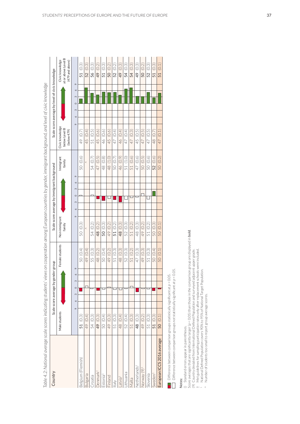| Country                                                                                                                                                                    |                        | Scale score average by          | gender group              |                          | Scale score average by immigrant background |                            |                                                 | Scale score average by level of civic knowledge         |                                                           |
|----------------------------------------------------------------------------------------------------------------------------------------------------------------------------|------------------------|---------------------------------|---------------------------|--------------------------|---------------------------------------------|----------------------------|-------------------------------------------------|---------------------------------------------------------|-----------------------------------------------------------|
|                                                                                                                                                                            | Malestudents           |                                 | Female students           | Non-immigrant<br>family  |                                             | Immigrant<br>family        | Civic knowledge<br>below Level B<br>(below 479) |                                                         | at or above Level B<br>Civic knowledge<br>(479 and above) |
|                                                                                                                                                                            | $\circ$                | $\circ$<br>S<br>$\breve{\circ}$ | o<br>$\breve{\circ}$<br>3 | $\circ$                  | 3<br>$\circ$<br>S<br>ó                      | $\circ$<br>$\breve{\circ}$ | $\circ$                                         | $\breve{\circ}$<br>3<br>$\circ$<br>S<br>$\breve{\circ}$ | $\circ$                                                   |
| Belgium (Flemish)                                                                                                                                                          | (0.3)<br>51            |                                 | (0.4)<br>50               | (0.3)<br>50              |                                             | $\odot$ . $\odot$<br>50    | $\overline{0}$<br>49                            |                                                         | (0.3)<br>51                                               |
| <b>Bulgaria</b>                                                                                                                                                            | 49 (0.4)               |                                 | (0.4)<br>49               | $\overline{\phantom{a}}$ |                                             | $\,<$                      | (0.4)<br>45                                     |                                                         | (0.3)<br>52                                               |
| Croatia                                                                                                                                                                    | 54 (0.3)               |                                 | (0.3)<br>55               | (0.2)<br>54              |                                             | (0.7)<br>54                | (0.5)<br>51                                     |                                                         | (0.3)<br>$\frac{8}{5}$                                    |
| Denmark                                                                                                                                                                    | (0.3)<br>49            |                                 | (0.2)<br>$\frac{8}{4}$    | (0.2)<br>48              |                                             | (0.5)<br>47                | (0.6)<br>45                                     |                                                         | (0.2)<br>49                                               |
| Estonia <sup>1</sup>                                                                                                                                                       | 50 (0.4)               |                                 | $\odot$<br>50             | (0.3)<br>50              |                                             | (0.8)<br>$\frac{8}{4}$     | (0.6)<br>$\overline{46}$                        |                                                         | (0.3)<br>51                                               |
| Finland                                                                                                                                                                    | (0.3)<br>49            |                                 | (0.2)<br>49               | (0.2)<br>49              |                                             | (1.0)<br>$\frac{8}{4}$     | (0.6)<br>45                                     |                                                         | (0.2)<br>50                                               |
| <b>Italy</b>                                                                                                                                                               | 51 (0.3)               | □                               | (0.3)<br>51               | (0.2)<br>51              |                                             | 50 (0.7)                   | (0.4)<br>47                                     |                                                         | (0.2)<br>52                                               |
| Latvia                                                                                                                                                                     | (0.4)<br>$\frac{8}{4}$ |                                 | (0.3)<br>48               | (0.3)<br>48              |                                             | (0.9)<br>46                | (0.4)<br>$\overline{4}$                         |                                                         | (0.3)<br>49                                               |
| Lithuania                                                                                                                                                                  | 52 (0.4)               |                                 | (0.3)<br>52               | (0.3)<br>52              |                                             | (1.0)<br>51                | (0.4)<br>47                                     |                                                         | (0.3)<br>54                                               |
| Malta                                                                                                                                                                      | 51 (0.3)               |                                 | (0.2)<br>51               | 51 (0.2)                 |                                             | (0.6)<br>51                | (0.3)<br>$\overline{4}$                         |                                                         | (0.3)<br>54                                               |
| Netherlands <sup>1</sup>                                                                                                                                                   | (0.3)<br>48            |                                 | (0.3)<br>47               | (0.3)<br>48              |                                             | (0.6)<br>47                | (0.5)<br>45                                     |                                                         | (0.3)<br>$\frac{6}{7}$                                    |
| Norway (9) <sup>1</sup>                                                                                                                                                    | 49 (0.2)               |                                 | (0.3)<br>49               | (0.2)<br>49              |                                             | (0.5)<br>50                | (0.5)<br>47                                     |                                                         | (0.2)<br>50                                               |
| Slovenia                                                                                                                                                                   | (0.3)<br>51            |                                 | (0.3)<br>51               | (0.2)<br>$\overline{51}$ |                                             | (0.6)<br>50                | (0.5)<br>47                                     |                                                         | (0.3)<br>52                                               |
| Sweden <sup>1</sup>                                                                                                                                                        | 51 (0.3)               |                                 | 50 (0.4)                  | (0.3)<br>50              |                                             | 52 <sub>(0.6)</sub>        | (0.7)<br>48                                     |                                                         | (0.3)<br>51                                               |
| European ICCS 2016 average                                                                                                                                                 | (0.1)<br>50            |                                 | (0.1)<br>50               | (0.1)<br>50              |                                             | (0.2)<br>50                | (0.1)<br>47                                     |                                                         | $\left(0,1\right)$<br>51                                  |
| Difference between comparison groups statistically significant at p <<br>Difference between comparison groups not statistically significant at                             |                        |                                 | $p < 0.05$ .<br>0.05.     |                          |                                             |                            |                                                 |                                                         |                                                           |
| Notes:                                                                                                                                                                     |                        |                                 |                           |                          |                                             |                            |                                                 |                                                         |                                                           |
| Score averages that are significantly larger ( $p$ < 0.05) than those in the comparison group are displayed in <b>bold</b><br>Standard errors appear in parentheses.       |                        |                                 |                           |                          |                                             |                            |                                                 |                                                         |                                                           |
| Country deviated from International Defined Population and surveyed adjacent upper grade.<br>Met guidelines for sampling participation rates only after replacement<br>(9) |                        |                                 | schools were included     |                          |                                             |                            |                                                 |                                                         |                                                           |
| National Defined Population covers 90% to 95% of National Target Pc<br>Number of students too small to report group average scores.                                        |                        |                                 | pulation                  |                          |                                             |                            |                                                 |                                                         |                                                           |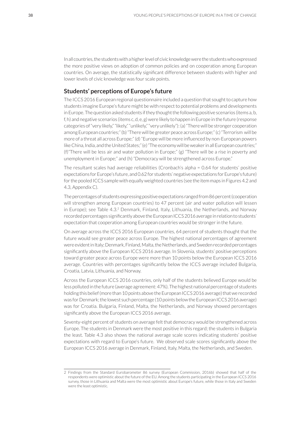In all countries, the students with a higher level of civic knowledge were the students who expressed the more positive views on adoption of common policies and on cooperation among European countries. On average, the statistically significant difference between students with higher and lower levels of civic knowledge was four scale points.

## **Students' perceptions of Europe's future**

The ICCS 2016 European regional questionnaire included a question that sought to capture how students imagine Europe's future might be with respect to potential problems and developments in Europe. The question asked students if they thought the following positive scenarios (items a, b, f, h) and negative scenarios (items c, d, e, g) were likely to happen in Europe in the future (response categories of "very likely," "likely," "unlikely," "very unlikely"): (a) "There will be stronger cooperation among European countries;" (b) "There will be greater peace across Europe;" (c) "Terrorism will be more of a threat all across Europe;" (d) "Europe will be more influenced by non-European powers like China, India, and the United States;" (e) "The economy will be weaker in all European countries;" (f) "There will be less air and water pollution in Europe;"  $(g)$  "There will be a rise in poverty and unemployment in Europe;" and (h) "Democracy will be strengthened across Europe."

The resultant scales had average reliabilities (Cronbach's alpha = 0.64 for students' positive expectations for Europe's future, and 0.62 for students' negative expectations for Europe's future) for the pooled ICCS sample with equally weighted countries (see the item maps in Figures 4.2 and 4.3, Appendix C).

The percentages of students expressing positive expectations ranged from 86 percent (cooperation will strengthen among European countries) to 47 percent (air and water pollution will lessen in Europe); see Table 4.3.<sup>2</sup> Denmark, Finland, Italy, Lithuania, the Netherlands, and Norway recorded percentages significantly above the European ICCS 2016 average in relation to students' expectation that cooperation among European countries would be stronger in the future.

On average across the ICCS 2016 European countries, 64 percent of students thought that the future would see greater peace across Europe. The highest national percentages of agreement were evident in Italy; Denmark, Finland, Malta, the Netherlands, and Sweden recorded percentages significantly above the European ICCS 2016 average. In Slovenia, students' positive perceptions toward greater peace across Europe were more than 10 points below the European ICCS 2016 average. Countries with percentages significantly below the ICCS average included Bulgaria, Croatia, Latvia, Lithuania, and Norway.

Across the European ICCS 2016 countries, only half of the students believed Europe would be less polluted in the future (average agreement: 47%). The highest national percentage of students holding this belief (more than 10 points above the European ICCS 2016 average) that we recorded was for Denmark; the lowest such percentage (10 points below the European ICCS 2016 average) was for Croatia. Bulgaria, Finland, Malta, the Netherlands, and Norway showed percentages significantly above the European ICCS 2016 average.

Seventy-eight percent of students on average felt that democracy would be strengthened across Europe. The students in Denmark were the most positive in this regard; the students in Bulgaria the least. Table 4.3 also shows the national average scale scores indicating students' positive expectations with regard to Europe's future. We observed scale scores significantly above the European ICCS 2016 average in Denmark, Finland, Italy, Malta, the Netherlands, and Sweden.

<sup>2</sup> Findings from the Standard Eurobarometer 86 survey (European Commission, 2016b) showed that half of the respondents were optimistic about the future of the EU. Among the students participating in the European ICCS 2016 survey, those in Lithuania and Malta were the most optimistic about Europe's future, while those in Italy and Sweden were the least optimistic.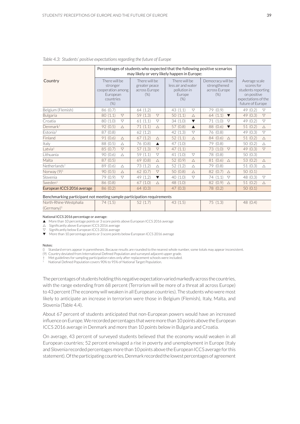|                            |                                                                                   |                                                         | Percentages of students who expected that the following positive scenarios<br>may likely or very likely happen in Europe: |                                                            |                                                                                                             |
|----------------------------|-----------------------------------------------------------------------------------|---------------------------------------------------------|---------------------------------------------------------------------------------------------------------------------------|------------------------------------------------------------|-------------------------------------------------------------------------------------------------------------|
| Country                    | There will be<br>stronger<br>cooperation among<br>European<br>countries<br>$(\%)$ | There will be<br>greater peace<br>across Europe<br>(% ) | There will be<br>less air and water<br>pollution in<br>Europe<br>$(\%)$                                                   | Democracy will be<br>strengthened<br>across Europe<br>(% ) | Average scale<br>scores for<br>students reporting<br>on positive<br>expectations of the<br>future of Europe |
| Belgium (Flemish)          | 86 (0.7)                                                                          | 64(1.2)                                                 | 43(1.1)<br>$\triangledown$                                                                                                | 79 (0.9)                                                   | 49(0.2)<br>$\triangledown$                                                                                  |
| Bulgaria                   | 80(1.1)<br>$\triangledown$                                                        | 59(1.3)<br>$\triangledown$                              | 50(1.1)<br>Δ                                                                                                              | 64(1.1)<br>$\blacktriangledown$                            | 49(0.3)<br>$\triangledown$                                                                                  |
| Croatia                    | 80 (1.0)<br>$\triangledown$                                                       | 61(1.1)<br>$\triangledown$                              | 34(1.0)<br>▼                                                                                                              | 71 (1.0)<br>▽                                              | 49(0.2)<br>$\triangledown$                                                                                  |
| Denmark <sup>+</sup>       | 92 (0.5)<br>$\triangle$                                                           | 71(1.1)<br>$\triangle$                                  | 57 (0.8)<br>$\blacktriangle$                                                                                              | 88<br>(0.6)<br>$\blacktriangledown$                        | 51(0.2)<br>$\triangle$                                                                                      |
| Estonia <sup>1</sup>       | 87(0.8)                                                                           | 62(1.2)                                                 | 42(1.3)<br>$\triangledown$                                                                                                | 76 (0.8)                                                   | 49 (0.3)<br>$\triangledown$                                                                                 |
| Finland                    | 91 (0.6)<br>$\triangle$                                                           | 67(1.2)<br>$\triangle$                                  | 52(1.1)<br>$\triangle$                                                                                                    | 84 (0.6)<br>$\triangle$                                    | 51(0.2)<br>$\triangle$                                                                                      |
| Italy                      | 88 (0.5)<br>$\triangle$                                                           | 76 (0.8)<br>$\blacktriangle$                            | 47(1.0)                                                                                                                   | 79 (0.8)                                                   | 50 (0.2)<br>$\triangle$                                                                                     |
| Latvia <sup>1</sup>        | 85 (0.7)<br>$\triangledown$                                                       | 57(1.3)<br>$\triangledown$                              | 47(1.1)                                                                                                                   | 73<br>(1.0)<br>$\triangledown$                             | 49 (0.3)<br>$\triangledown$                                                                                 |
| Lithuania                  | 90(0.6)<br>$\triangle$                                                            | 59(1.1)<br>$\triangledown$                              | 41(1.0)<br>$\triangledown$                                                                                                | 78 (0.8)                                                   | 50 (0.3)                                                                                                    |
| Malta                      | 87(0.5)                                                                           | 69(0.8)<br>$\triangle$                                  | 52 (0.9)<br>Δ                                                                                                             | 81 (0.6)<br>$\triangle$                                    | 53 (0.2)<br>$\triangle$                                                                                     |
| Netherlands <sup>†</sup>   | 89 (0.6)<br>$\triangle$                                                           | 73 (1.2)<br>$\triangle$                                 | 52(1.2)<br>Δ                                                                                                              | 79 (0.8)                                                   | 51 (0.3)<br>$\triangle$                                                                                     |
| Norway (9) <sup>1</sup>    | 90(0.5)<br>$\triangle$                                                            | 62(0.7)<br>$\triangledown$                              | 50(0.8)<br>$\triangle$                                                                                                    | 82<br>(0.7)<br>$\triangle$                                 | 50(0.1)                                                                                                     |
| Slovenia                   | 79 (0.9)<br>$\triangledown$                                                       | 49 (1.2)<br>$\blacktriangledown$                        | 40(1.0)<br>$\triangledown$                                                                                                | 74(1.1)<br>▽                                               | 48 (0.3)<br>$\triangledown$                                                                                 |
| Sweden <sup>1</sup>        | 86 (0.8)                                                                          | 67(1.0)<br>$\triangle$                                  | 48 (1.0)                                                                                                                  | 82 (0.9)<br>$\triangle$                                    | 51(0.2)<br>$\triangle$                                                                                      |
| European ICCS 2016 average | 86 (0.2)                                                                          | 64(0.3)                                                 | 47(0.3)                                                                                                                   | 78 (0.2)                                                   | 50(0.1)                                                                                                     |

### *Table 4.3: Students' positive expectations regarding the future of Europe*

### Benchmarking participant not meeting sample participation requirements

| North-Rhine-Westphalia | 74 (15)<br>ر د د ک | $T \cap (A, T)$<br>$1 + 1$<br>$J_{\ell}$ | (15)<br>$+0.1$<br>$1 + 1$ | (10)<br>フロー<br>しょり | 48 $(0.4)$ |
|------------------------|--------------------|------------------------------------------|---------------------------|--------------------|------------|
| (Germany) <sup>1</sup> |                    |                                          |                           |                    |            |

### National ICCS 2016 percentage or average:

 $\blacktriangle$  More than 10 percentage points or 3 score points above European ICCS 2016 average

- $\triangle$  Significantly above European ICCS 2016 average
- $\nabla$  Significantly below European ICCS 2016 average

 $\blacktriangledown$  More than 10 percentage points or 3 score points below European ICCS 2016 average

### Notes:

() Standard errors appear in parentheses. Because results are rounded to the nearest whole number, some totals may appear inconsistent.

(9) Country deviated from International Defined Population and surveyed adjacent upper grade.

† Met guidelines for sampling participation rates only after replacement schools were included.

<sup>1</sup> National Defined Population covers 90% to 95% of National Target Population.

The percentages of students holding this negative expectation varied markedly across the countries, with the range extending from 68 percent (Terrorism will be more of a threat all across Europe) to 43 percent (The economy will weaken in all European countries). The students who were most likely to anticipate an increase in terrorism were those in Belgium (Flemish), Italy, Malta, and Slovenia (Table 4.4).

About 67 percent of students anticipated that non-European powers would have an increased influence on Europe. We recorded percentages that were more than 10 points above the European ICCS 2016 average in Denmark and more than 10 points below in Bulgaria and Croatia.

On average, 43 percent of surveyed students believed that the economy would weaken in all European countries; 52 percent envisaged a rise in poverty and unemployment in Europe (Italy and Slovenia recorded percentages more than 10 points above the European ICCS average for this statement). Of the participating countries, Denmark recorded the lowest percentages of agreement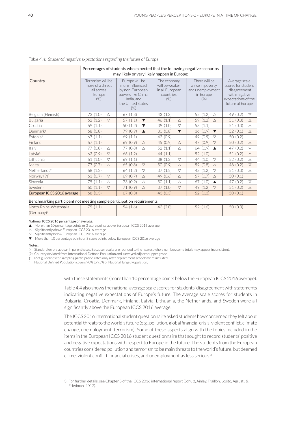### *Table 4.4: Students' negative expectations regarding the future of Europe*

|                            |                                                                       | Percentages of students who expected that the following negative scenarios<br>may likely or very likely happen in Europe: |                                                                         |                                                                             |                                                                                                                 |
|----------------------------|-----------------------------------------------------------------------|---------------------------------------------------------------------------------------------------------------------------|-------------------------------------------------------------------------|-----------------------------------------------------------------------------|-----------------------------------------------------------------------------------------------------------------|
| Country                    | Terrorism will be<br>more of a threat<br>all across<br>Europe<br>(% ) | Europe will be<br>more influenced<br>by non-European<br>powers like China,<br>India, and<br>the United States<br>(% )     | The economy<br>will be weaker<br>in all European<br>countries<br>$(\%)$ | There will be<br>a rise in poverty<br>and unemployment<br>in Europe<br>(% ) | Average scale<br>scores for student<br>disagreement<br>with negative<br>expectations of the<br>future of Europe |
| Belgium (Flemish)          | 73 (1.0)<br>Δ                                                         | 67(1.3)                                                                                                                   | 43(1.3)                                                                 | 55(1.2)<br>Δ                                                                | 49(0.2)<br>$\triangledown$                                                                                      |
| Bulgaria                   | 62(1.2)<br>$\triangledown$                                            | 57(1.1)<br>$\blacktriangledown$                                                                                           | 46(1.1)<br>$\triangle$                                                  | (1.2)<br>59<br>$\triangle$                                                  | 51(0.3)<br>$\triangle$                                                                                          |
| Croatia                    | 69 (1.1)                                                              | 50(1.2)<br>$\blacktriangledown$                                                                                           | 39(1.0)<br>$\triangledown$                                              | (1.1)<br>53                                                                 | 51(0.3)<br>$\triangle$                                                                                          |
| Denmark <sup>t</sup>       | 68 (0.8)                                                              | 79 (0.9)<br>$\blacktriangle$                                                                                              | 30(0.8)<br>$\blacktriangledown$                                         | 36(0.9)<br>$\blacktriangledown$                                             | 52(0.1)<br>$\triangle$                                                                                          |
| Estonia <sup>1</sup>       | 67(1.1)                                                               | 69(1.1)                                                                                                                   | 42 (0.9)                                                                | (0.9)<br>49<br>▽                                                            | 50(0.2)                                                                                                         |
| Finland                    | 67(1.1)                                                               | 69 (0.9)<br>$\triangle$                                                                                                   | 45(0.9)<br>$\triangle$                                                  | 47(0.9)<br>$\triangledown$                                                  | 50(0.2)<br>$\triangle$                                                                                          |
| Italy                      | 77 (0.8)<br>$\triangle$                                               | 77(0.8)<br>$\triangle$                                                                                                    | 52(1.1)<br>Δ                                                            | 64 (0.9)<br>▲                                                               | 47(0.2)<br>$\triangledown$                                                                                      |
| Latvia <sup>1</sup>        | 63 (0.9)<br>$\triangledown$                                           | 66 (1.2)                                                                                                                  | 44(1.1)                                                                 | (1.0)<br>52                                                                 | 51(0.2)<br>$\triangle$                                                                                          |
| Lithuania                  | 61(1.0)<br>$\triangledown$                                            | 69(1.1)                                                                                                                   | 38(1.3)<br>$\triangledown$                                              | (1.0)<br>44<br>$\triangledown$                                              | 52 (0.2)<br>$\triangle$                                                                                         |
| Malta                      | 77 (0.7)<br>$\triangle$                                               | 65(0.8)<br>$\triangledown$                                                                                                | 50 (0.9)<br>$\triangle$                                                 | (0.8)<br>59<br>$\triangle$                                                  | 48 (0.2)<br>$\triangledown$                                                                                     |
| Netherlands <sup>†</sup>   | 68 (1.2)                                                              | 64(1.2)<br>$\triangledown$                                                                                                | 37(1.5)<br>$\triangledown$                                              | (1.2)<br>43<br>$\triangledown$                                              | 51 (0.3)<br>$\triangle$                                                                                         |
| Norway (9) <sup>1</sup>    | 63(0.7)<br>$\triangledown$                                            | 69 (0.7)<br>$\triangle$                                                                                                   | 49(0.6)<br>$\triangle$                                                  | (0.7)<br>57<br>$\triangle$                                                  | 50(0.1)                                                                                                         |
| Slovenia                   | 75 (1.1)<br>Δ                                                         | 73 (0.9)<br>$\triangle$                                                                                                   | 50(1.1)<br>Δ                                                            | (1.0)<br>67<br>▲                                                            | 47(0.2)<br>$\triangledown$                                                                                      |
| Sweden <sup>1</sup>        | 60(1.1)<br>$\triangledown$                                            | 71 (0.9)<br>$\triangle$                                                                                                   | 37(1.0)<br>$\triangledown$                                              | 49 (1.2)<br>▽                                                               | 51(0.2)<br>$\triangle$                                                                                          |
| European ICCS 2016 average | 68 (0.3)                                                              | 67(0.3)                                                                                                                   | 43(0.3)                                                                 | 52 (0.3)                                                                    | 50(0.1)                                                                                                         |

### Benchmarking participant not meeting sample participation requirements

| North-Rhine-Westphalia | 75/11<br>\ + + + + | $+(1.6)$<br>54 | 43(2.0) | 52 (1.6) | 50 (0.3) |
|------------------------|--------------------|----------------|---------|----------|----------|
| $(Germany)^1$          |                    |                |         |          |          |

### National ICCS 2016 percentage or average:

 $\blacktriangle$  More than 10 percentage points or 3 score points above European ICCS 2016 average

 $\triangle$  Significantly above European ICCS 2016 average

Significantly below European ICCS 2016 average

▼ More than 10 percentage points or 3 score points below European ICCS 2016 average

### Notes:

() Standard errors appear in parentheses. Because results are rounded to the nearest whole number, some totals may appear inconsistent.

(9) Country deviated from International Defined Population and surveyed adjacent upper grade.

† Met guidelines for sampling participation rates only after replacement schools were included.

1 National Defined Population covers 90% to 95% of National Target Population.

with these statements (more than 10 percentage points below the European ICCS 2016 average).

Table 4.4 also shows the national average scale scores for students' disagreement with statements indicating negative expectations of Europe's future. The average scale scores for students in Bulgaria, Croatia, Denmark, Finland, Latvia, Lithuania, the Netherlands, and Sweden were all significantly above the European ICCS 2016 average.

The ICCS 2016 international student questionnaire asked students how concerned they felt about potential threats to the world's future (e.g., pollution, global financial crisis, violent conflict, climate change, unemployment, terrorism). Some of these aspects align with the topics included in the items in the European ICCS 2016 student questionnaire that sought to record students' positive and negative expectations with respect to Europe in the future. The students from the European countries considered pollution and terrorism to be main threats to the world's future, but deemed crime, violent conflict, financial crises, and unemployment as less serious.3

<sup>3</sup> For further details, see Chapter 5 of the ICCS 2016 international report (Schulz, Ainley, Fraillon, Losito, Agrusti, & Friedman, 2017).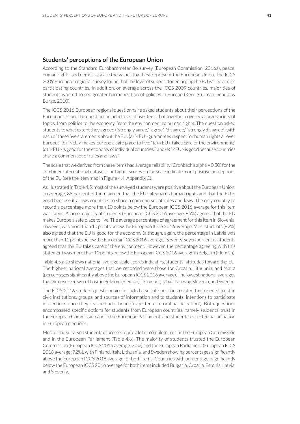## **Students' perceptions of the European Union**

According to the Standard Eurobarometer 86 survey (European Commission, 2016a), peace, human rights, and democracy are the values that best represent the European Union. The ICCS 2009 European regional survey found that the level of support for enlarging the EU varied across participating countries. In addition, on average across the ICCS 2009 countries, majorities of students wanted to see greater harmonization of policies in Europe (Kerr, Sturman, Schulz, & Burge, 2010).

The ICCS 2016 European regional questionnaire asked students about their perceptions of the European Union. The question included a set of five items that together covered a large variety of topics, from politics to the economy, from the environment to human rights. The question asked students to what extent they agreed ("strongly agree," "agree," "disagree," "strongly disagree") with each of these five statements about the EU: (a) "<EU> guarantees respect for human rights all over Europe;" (b) "<EU> makes Europe a safe place to live;" (c) <EU> takes care of the environment;" (d) "<EU> is good for the economy of individual countries;" and (e) "<EU> is good because countries share a common set of rules and laws."

The scale that we derived from these items had average reliability (Cronbach's alpha = 0.80) for the combined international dataset. The higher scores on the scale indicate more positive perceptions of the EU (see the item map in Figure 4.4, Appendix C).

As illustrated in Table 4.5, most of the surveyed students were positive about the European Union: on average, 88 percent of them agreed that the EU safeguards human rights and that the EU is good because it allows countries to share a common set of rules and laws. The only country to record a percentage more than 10 points below the European ICCS 2016 average for this item was Latvia. A large majority of students (European ICCS 2016 average: 85%) agreed that the EU makes Europe a safe place to live. The average percentage of agreement for this item in Slovenia, however, was more than 10 points below the European ICCS 2016 average. Most students (82%) also agreed that the EU is good for the economy (although, again, the percentage in Latvia was more than 10 points below the European ICCS 2016 average). Seventy-seven percent of students agreed that the EU takes care of the environment. However, the percentage agreeing with this statement was more than 10 points below the European ICCS 2016 average in Belgium (Flemish).

Table 4.5 also shows national average scale scores indicating students' attitudes toward the EU. The highest national averages that we recorded were those for Croatia, Lithuania, and Malta (percentages significantly above the European ICCS 2016 average). The lowest national averages that we observed were those in Belgium (Flemish), Denmark, Latvia, Norway, Slovenia, and Sweden.

The ICCS 2016 student questionnaire included a set of questions related to students' trust in civic institutions, groups, and sources of information and to students' intentions to participate in elections once they reached adulthood ("expected electoral participation"). Both questions encompassed specific options for students from European countries, namely students' trust in the European Commission and in the European Parliament, and students' expected participation in European elections.

Most of the surveyed students expressed quite a lot or complete trust in the European Commission and in the European Parliament (Table 4.6). The majority of students trusted the European Commission (European ICCS 2016 average: 70%) and the European Parliament (European ICCS 2016 average: 72%), with Finland, Italy, Lithuania, and Sweden showing percentages significantly above the European ICCS 2016 average for both items. Countries with percentages significantly below the European ICCS 2016 average for both items included Bulgaria, Croatia, Estonia, Latvia, and Slovenia.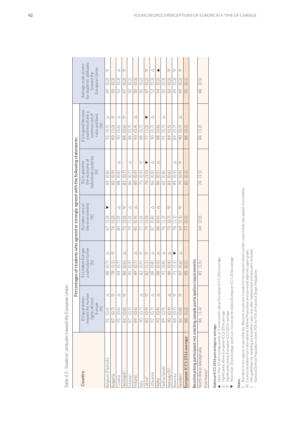|                                                                                                                                                                                                                                                                                                                                                                                                                        |                                                                        | Percent          |                                                 | ages of students who agreed or strongly agreed with the following statements: |                                                                 |                                                                                   |                                                                                 |
|------------------------------------------------------------------------------------------------------------------------------------------------------------------------------------------------------------------------------------------------------------------------------------------------------------------------------------------------------------------------------------------------------------------------|------------------------------------------------------------------------|------------------|-------------------------------------------------|-------------------------------------------------------------------------------|-----------------------------------------------------------------|-----------------------------------------------------------------------------------|---------------------------------------------------------------------------------|
| Country                                                                                                                                                                                                                                                                                                                                                                                                                | respect for human<br>EU guarantees<br>rights all over<br>Europe<br>(%) |                  | a safe place to live<br>EU makes Europe<br>(%)  | the environment<br>EU takes care of<br>(%)                                    | individual countries<br>the economy of<br>EU is good for<br>(%) | EU is good because<br>countries share a<br>common set of<br>rules and laws<br>(%) | for students' attitudes<br>Average scale scores<br>European Union<br>toward the |
| Belgium (Flemish)                                                                                                                                                                                                                                                                                                                                                                                                      | (0.6)<br>91                                                            | ◁                | ◁<br>O.Z<br>$\frac{8}{8}$                       | Þ<br>(1.0)<br>5                                                               | (0.8)<br>83                                                     | ◁<br>(0.5)<br>92                                                                  | ▷<br>(0.2)<br>49                                                                |
| <b>Bulgaria</b>                                                                                                                                                                                                                                                                                                                                                                                                        | (0,7)<br>$\overline{8}$                                                | $\triangleright$ | $\triangleright$<br>(1.1)<br>78                 | (1.0)<br>76                                                                   | (0.9)<br>$\approx$                                              | $\triangleright$<br>(1.0)<br>83                                                   | (0.3)<br>50                                                                     |
| Croatia                                                                                                                                                                                                                                                                                                                                                                                                                | (0.6)<br>92                                                            | ◁                | (0.7)<br>$\overline{8}$                         | ◁<br>(1.0)<br>80                                                              | ◁<br>(0.8)<br>$\stackrel{\textstyle\circ}{\circ}$               | ◁<br>$\odot$<br>$\infty$                                                          | ◁<br>(0.3)<br>52                                                                |
| Denmark <sup>1</sup>                                                                                                                                                                                                                                                                                                                                                                                                   | (0.8)<br>$\approx$                                                     | $\triangleright$ | ◁<br>86 (0.6)                                   | $\triangleright$<br>(1.0)<br>72                                               | (0.7)<br>$\overline{81}$                                        | $\triangleright$<br>(0.6)<br>$\frac{84}{3}$                                       | $\triangleright$<br>(0.2)<br>47                                                 |
| Estonia <sup>1</sup>                                                                                                                                                                                                                                                                                                                                                                                                   | (0.7)<br>$\overline{8}$                                                |                  | (0.9)<br>$\frac{5}{8}$                          | ◁<br>79 (1.0)                                                                 | ◁<br>(0.7)<br>86                                                | (0.7)<br>$\frac{8}{8}$                                                            | (0.2)<br>50                                                                     |
| Finland                                                                                                                                                                                                                                                                                                                                                                                                                | (0.6)<br>$\frac{8}{8}$                                                 |                  | ◁<br>(0.7)<br>$\frac{8}{8}$                     | ◁<br>(0.9)<br>$\frac{1}{8}$                                                   | (0.9)<br>$\circledcirc$                                         | ◁<br>(0.4)<br>93                                                                  | (0.3)<br>50                                                                     |
| ltaly                                                                                                                                                                                                                                                                                                                                                                                                                  | $\overline{0}$<br>$\infty$                                             | ◁                | $\triangleright$<br>(0.9)<br>$82$               | (1.0)                                                                         | ▷<br>(0.9)<br>73                                                | (0.7)<br>$88$                                                                     | (0.2)<br>50                                                                     |
| -atvia <sup>1</sup>                                                                                                                                                                                                                                                                                                                                                                                                    | (0.9)<br>$_{82}^{\circ}$                                               | $\triangleright$ | $\triangleright$<br>(1.1)<br>$82$               | (1.0)<br>79                                                                   | (1.0)<br>$\approx$                                              | (1.0)<br>77                                                                       | ▷<br>(0.2)<br>47                                                                |
| Lithuania                                                                                                                                                                                                                                                                                                                                                                                                              | (0.7)<br>92                                                            | ◁                | ◁<br>(0.8)<br>$\frac{8}{8}$                     | ◁<br>(0.8)<br>67                                                              | ◁<br>(0.8)<br>86                                                | ◁<br>(0.7)<br>$\infty$                                                            | ◁<br>(0.3)<br>52                                                                |
| Malta                                                                                                                                                                                                                                                                                                                                                                                                                  | (0.4)<br>93                                                            | $\triangleleft$  | $\triangleleft$<br>88 (0.5)                     | ◁<br>(0.6)<br>86                                                              | ◁<br>(0.5)<br>86                                                | (0.6)<br>88                                                                       | ◀<br>(0.2)<br>54                                                                |
| Netherlands <sup>1</sup>                                                                                                                                                                                                                                                                                                                                                                                               | (0.9)<br>$\frac{8}{3}$                                                 |                  | ◁<br>(0.8)<br>$\overline{6}$                    | (1.2)<br>76                                                                   | (0.8)<br>$\approx$                                              | ◁<br>(0.7)<br>$\overline{6}$                                                      | (0.3)<br>50                                                                     |
| Norway (9) <sup>1</sup>                                                                                                                                                                                                                                                                                                                                                                                                | (0.4)<br>90                                                            | ◁                | ◁<br>(0.4)<br>88                                | $\triangleright$<br>(0.7)<br>73                                               | (0.6)<br>$\approx$                                              | (0.5)<br>89                                                                       | ▷<br>(0.2)<br>50                                                                |
| Slovenia                                                                                                                                                                                                                                                                                                                                                                                                               | $\overline{O}$<br>84                                                   | $\triangleright$ | (1.1)<br>$\overline{71}$                        | (1.1)<br>78                                                                   | ◁<br>(0.9)<br>85                                                | (0.7)<br>$\frac{8}{2}$                                                            | ▷<br>(0.3)<br>49                                                                |
| Sweden <sup>1</sup>                                                                                                                                                                                                                                                                                                                                                                                                    | (0.8)<br>86                                                            | $\triangleright$ | ◁<br>(0.6)<br>$\overline{8}$                    | D<br>(1.1)<br>69                                                              | ▷<br>(0.9)<br>79                                                | ◁<br>(0.7)<br>$\infty$                                                            | ▷<br>(0.2)<br>49                                                                |
| European ICCS 2016 average                                                                                                                                                                                                                                                                                                                                                                                             | (0.2)<br>88                                                            |                  | 85 (0.2)                                        | (0.3)<br>77                                                                   | (0.2)<br>82                                                     | (0.2)<br>88                                                                       | (0.1)<br>50                                                                     |
| Benchmarking participant not meeting sample participation requirements                                                                                                                                                                                                                                                                                                                                                 |                                                                        |                  |                                                 |                                                                               |                                                                 |                                                                                   |                                                                                 |
| North-Rhine-Westphalia                                                                                                                                                                                                                                                                                                                                                                                                 | $\left(1.4\right)$<br>86                                               |                  | 81 (1.5)                                        | (2.0)<br>34                                                                   | (1.5)<br>76                                                     | (1.2)<br>84                                                                       | (0.5)<br>48                                                                     |
| $(Cermany)^1$                                                                                                                                                                                                                                                                                                                                                                                                          |                                                                        |                  |                                                 |                                                                               |                                                                 |                                                                                   |                                                                                 |
| More than 10 percentage points or 3 score points below European ICCS 2016 average<br>More than 10 percentage points or 3 score points above European ICCS 2016 average<br>Significantly above European ICCS 2016 average<br>Significantly below European ICCS 2016 average<br>National ICCS 2016 percentage or average:<br>$\lhd$                                                                                      |                                                                        |                  |                                                 |                                                                               |                                                                 |                                                                                   |                                                                                 |
| Standard errors appear in parentheses. Because results are rounded to the nearest whole number, some totals may appear inconsistent.<br>National Defined Population covers 90% to 95% of National Target Population.<br>Country deviated from International Defined Population and surveyed<br>Met guidelines for sampling participation rates only after replacement<br>Notes:<br>$\circ$<br>$\overline{\phantom{0}}$ |                                                                        |                  | schools were included.<br>adjacent upper grade. |                                                                               |                                                                 |                                                                                   |                                                                                 |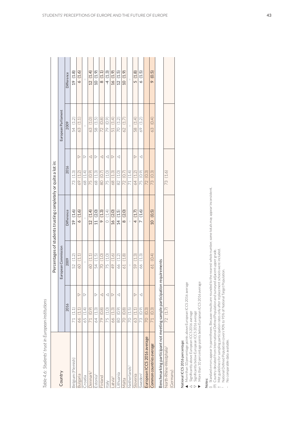| Table 4.6: Students' trust in European institutions                                                                                                                                                                                                                                                                                                                                                                 |                          |                  |                                                                   | Percentages of students trusting completely or quite a lot in: |                              |                         |                          |
|---------------------------------------------------------------------------------------------------------------------------------------------------------------------------------------------------------------------------------------------------------------------------------------------------------------------------------------------------------------------------------------------------------------------|--------------------------|------------------|-------------------------------------------------------------------|----------------------------------------------------------------|------------------------------|-------------------------|--------------------------|
| Country                                                                                                                                                                                                                                                                                                                                                                                                             |                          |                  | European Commission                                               |                                                                |                              | European Parliament     |                          |
|                                                                                                                                                                                                                                                                                                                                                                                                                     | 2016                     |                  | 2009                                                              | <b>Difference</b>                                              | 2016                         | 2009                    | Difference               |
| Belgium (Flemish)                                                                                                                                                                                                                                                                                                                                                                                                   | (1.1)<br>71              |                  | 52 (1.2)                                                          | 19(1.6)                                                        | 73 (1.3)                     | 54 (1.2)                | 19(1.8)                  |
| <b>Bulgaria</b>                                                                                                                                                                                                                                                                                                                                                                                                     | (1.1)<br>99              | $\triangleright$ | (1.1)<br>$\overline{60}$                                          | 6(1.6)                                                         | $\triangleright$<br>69 (1.2) | 63 (1.1)                | (1.6)<br>$\circ$         |
| Croatia                                                                                                                                                                                                                                                                                                                                                                                                             | (1.4)<br>59              | $\triangleright$ |                                                                   |                                                                | ▷<br>(1.4)<br>68             |                         |                          |
| Denmark <sup>1</sup>                                                                                                                                                                                                                                                                                                                                                                                                | (0.9)<br>$\overline{71}$ |                  | (1.1)<br>$\overline{60}$                                          | 12(1.4)                                                        | $\triangleleft$<br>75 (0.9)  | (1.0)<br>63             | 12(1.4)                  |
| Estonia                                                                                                                                                                                                                                                                                                                                                                                                             | (1.3)<br>44              | $\triangleright$ | 54 (1.5)                                                          | 11(2.0)                                                        | $\triangleright$<br>68 (1.3) | (1.5)<br>58             | 10(1.9)                  |
| Finland                                                                                                                                                                                                                                                                                                                                                                                                             | (0.8)<br>79              | ◁                | (1.0)<br>$\overline{C}$                                           | (1.3)<br>$\circ$                                               | ◁<br>80 (0.7)                | (0.8)<br>72             | (1.1)<br>$\infty$        |
| <b>Italy</b>                                                                                                                                                                                                                                                                                                                                                                                                        | (1.0)<br>75              | ◁                | (1.0)<br>75                                                       | (1.4)<br>$\circ$                                               | $\lhd$<br>(1.0)<br>75        | (0.9)<br>79             | (1.3)<br>$\vec{r}$       |
| Latvia <sup>1</sup>                                                                                                                                                                                                                                                                                                                                                                                                 | (1.3)<br>66              | $\triangleright$ | (1.6)<br>49                                                       | 16(2.0)                                                        | $\triangleright$<br>68 (1.3) | (1.4)<br>51             | 16(1.9)                  |
| ithuania                                                                                                                                                                                                                                                                                                                                                                                                            | (0.9)<br>80              | ◁                | (1.2)<br>66                                                       | 14(1.5)                                                        | ◁<br>(1.0)<br>$\frac{2}{8}$  | (1.2)<br>$\overline{C}$ | (1.5)<br>$\overline{2}$  |
| <b>Alla</b>                                                                                                                                                                                                                                                                                                                                                                                                         | (0.8)<br>$\overline{2}$  |                  | (1.8)<br>$61$                                                     | (2.0)<br>$\infty$                                              | (0.7)<br>72                  | (1.7)<br>62             | (1.9)<br>$\overline{C}$  |
| Netherlands <sup>1</sup>                                                                                                                                                                                                                                                                                                                                                                                            | (1.5)<br>20              |                  |                                                                   |                                                                | (1.4)<br>$\overline{71}$     |                         |                          |
| Slovenia                                                                                                                                                                                                                                                                                                                                                                                                            | (1.1)<br>63              | $\triangleright$ | (1.3)<br>59                                                       | (1.7)<br>$\overline{4}$                                        | $\triangleright$<br>64 (1.2) | (1.4)<br>58             | (1.8)<br>n<br>S          |
| Sweden <sup>3</sup>                                                                                                                                                                                                                                                                                                                                                                                                 | (0.9)<br>73              | ◁                | (1.3)<br>99                                                       | (1.6)<br>$\overline{a}$                                        | ◁<br>75 (0.9)                | (1.2)<br>69             | (1.5)<br>$\breve{\circ}$ |
| European ICCS 2016 average                                                                                                                                                                                                                                                                                                                                                                                          | (0.3)<br>$\overline{70}$ |                  |                                                                   |                                                                | (0.3)<br>72                  |                         |                          |
| Common countries average                                                                                                                                                                                                                                                                                                                                                                                            | (0.3)<br>71              |                  | (0.4)<br>61                                                       | (0.5)<br>$\overline{0}$                                        | (0.3)<br>73                  | (0.4)<br>63             | (0.5)<br>$\sigma$        |
| Benchmarking participant not meeting sample participation                                                                                                                                                                                                                                                                                                                                                           |                          |                  | requirements                                                      |                                                                |                              |                         |                          |
| North-Rhine-Westphalia                                                                                                                                                                                                                                                                                                                                                                                              | (1.7)                    |                  |                                                                   |                                                                | 73 (1.6)                     |                         |                          |
| (Germany)                                                                                                                                                                                                                                                                                                                                                                                                           |                          |                  |                                                                   |                                                                |                              |                         |                          |
| More than 10 percentage points below European ICCS 2016 average<br>More than 10 percentage points above European ICCS 2016 average<br>Significantly above European ICCS 2016 average<br>Significantly below European ICCS 2016 average<br>National ICCS 2016 percentage:<br>$\triangleleft$                                                                                                                         |                          |                  |                                                                   |                                                                |                              |                         |                          |
| Met guidelines for sampling participation rates only after replacement schools were included.<br>Country deviated from International Defined Population and surveyed adjacent upper grade.<br>National Defined Population covers 90% to 95% of National Target Population.<br>3 Standard errors appear in parentheses. Because results are rounded<br>No comparable data available.<br>Notes:<br>$\widehat{\infty}$ |                          |                  | to the nearest whole number, some totals may appear inconsistent. |                                                                |                              |                         |                          |

- **National ICCS 2016 percentage:**<br>▲ More than 10 percentage points above European ICCS 2016 average<br>∧ Sienificantly above European ICCS 2016 average
	-
- 
- 

- 
- 
- -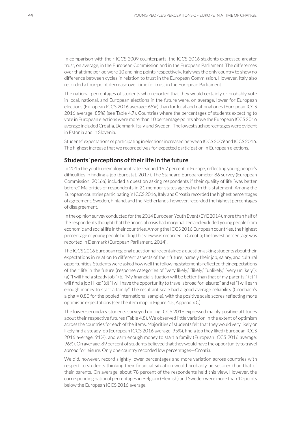In comparison with their ICCS 2009 counterparts, the ICCS 2016 students expressed greater trust, on average, in the European Commission and in the European Parliament. The differences over that time period were 10 and nine points respectively. Italy was the only country to show no difference between cycles in relation to trust in the European Commission. However, Italy also recorded a four-point decrease over time for trust in the European Parliament.

The national percentages of students who reported that they would certainly or probably vote in local, national, and European elections in the future were, on average, lower for European elections (European ICCS 2016 average: 65%) than for local and national ones (European ICCS 2016 average: 85%) (see Table 4.7). Countries where the percentages of students expecting to vote in European elections were more than 10 percentage points above the European ICCS 2016 average included Croatia, Denmark, Italy, and Sweden. The lowest such percentages were evident in Estonia and in Slovenia.

Students' expectations of participating in elections increased between ICCS 2009 and ICCS 2016. The highest increase that we recorded was for expected participation in European elections.

## **Students' perceptions of their life in the future**

In 2015 the youth unemployment rate reached 19.7 percent in Europe, reflecting young people's difficulties in finding a job (Eurostat, 2017). The Standard Eurobarometer 86 survey (European Commission, 2016a) included a question asking respondents if their quality of life "was better before." Majorities of respondents in 21 member states agreed with this statement. Among the European countries participating in ICCS 2016, Italy and Croatia recorded the highest percentages of agreement. Sweden, Finland, and the Netherlands, however, recorded the highest percentages of disagreement.

In the opinion survey conducted for the 2014 European Youth Event (EYE 2014), more than half of the respondents thought that the financial crisis had marginalized and excluded young people from economic and social life in their countries. Among the ICCS 2016 European countries, the highest percentage of young people holding this view was recorded in Croatia; the lowest percentage was reported in Denmark (European Parliament, 2014).

The ICCS 2016 European regional questionnaire contained a question asking students about their expectations in relation to different aspects of their future, namely their job, salary, and cultural opportunities. Students were asked how well the following statements reflected their expectations of their life in the future (response categories of "very likely," "likely," "unlikely," "very unlikely"): (a) "I will find a steady job;" (b) "My financial situation will be better than that of my parents;" (c) "I will find a job I like;" (d) "I will have the opportunity to travel abroad for leisure;" and (e) "I will earn enough money to start a family." The resultant scale had a good average reliability (Cronbach's alpha = 0.80 for the pooled international sample), with the positive scale scores reflecting more optimistic expectations (see the item map in Figure 4.5, Appendix C).

The lower-secondary students surveyed during ICCS 2016 expressed mainly positive attitudes about their respective futures (Table 4.8). We observed little variation in the extent of optimism across the countries for each of the items. Majorities of students felt that they would very likely or likely find a steady job (European ICCS 2016 average: 95%), find a job they liked (European ICCS 2016 average: 91%), and earn enough money to start a family (European ICCS 2016 average: 96%). On average, 89 percent of students believed that they would have the opportunity to travel abroad for leisure. Only one country recorded low percentages—Croatia.

We did, however, record slightly lower percentages and more variation across countries with respect to students thinking their financial situation would probably be securer than that of their parents. On average, about 78 percent of the respondents held this view. However, the corresponding national percentages in Belgium (Flemish) and Sweden were more than 10 points below the European ICCS 2016 average.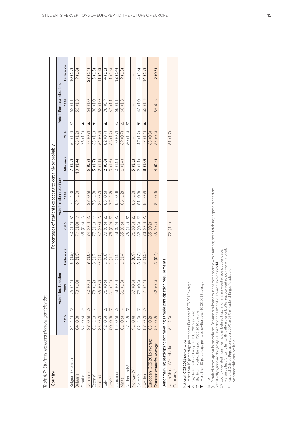| Table 4.7: Students' expected electoral participation<br>Country                                                                                                                                                                                                                                                                                                                                                                                                                                                                        |                                          |                                  |                                   | Percentages of students expecting to certainly or probably |                            |                                   |                             |                            |                   |
|-----------------------------------------------------------------------------------------------------------------------------------------------------------------------------------------------------------------------------------------------------------------------------------------------------------------------------------------------------------------------------------------------------------------------------------------------------------------------------------------------------------------------------------------|------------------------------------------|----------------------------------|-----------------------------------|------------------------------------------------------------|----------------------------|-----------------------------------|-----------------------------|----------------------------|-------------------|
|                                                                                                                                                                                                                                                                                                                                                                                                                                                                                                                                         |                                          | Vote in local elections          |                                   |                                                            | Vote in national elections |                                   |                             | Vote in European elections |                   |
|                                                                                                                                                                                                                                                                                                                                                                                                                                                                                                                                         | 2016                                     | 2009                             | <b>Difference</b>                 | 2016                                                       | 2009                       | <b>Difference</b>                 | 2016                        | 2009                       | <b>Difference</b> |
| Belgium (Flemish)                                                                                                                                                                                                                                                                                                                                                                                                                                                                                                                       | $\triangleright$<br>$(1.1)$<br>$\approx$ | 75 (1.1)                         | 6(1.5)                            | ▷<br>(1.1)<br>$\frac{8}{2}$                                | 72 (1.3)                   | 7(1.7)                            | ▷<br>62 (1.3)               | 52 (1.1)                   | 10 (1.7)          |
| <b>Bulgaria</b>                                                                                                                                                                                                                                                                                                                                                                                                                                                                                                                         | 84 (0.8)                                 | 78 (1.0                          | 6(1.3)                            | $\triangleright$<br>79 (1.0)                               | 69 (1.0)                   | 10(1.4)                           | 65 (1.2)                    | 55 (1.3)                   | 9(1.8)            |
| Croatia                                                                                                                                                                                                                                                                                                                                                                                                                                                                                                                                 | ◁<br>92 <sub>(0.6)</sub>                 |                                  |                                   | ◁<br>(0.8)<br>$\frac{8}{8}$                                |                            |                                   | ◀<br>76 (1.1)               |                            |                   |
| Denmark                                                                                                                                                                                                                                                                                                                                                                                                                                                                                                                                 | ◁<br>(0.6)<br>89                         | 80 (0.7                          | 9(1.0)                            | ◁<br>(0.5)<br>24                                           | 89 (0.6)                   | (0.8)<br>5                        | 77 (0.9)                    | 54 (1.0)                   | 23 (1.4)          |
| Estonia                                                                                                                                                                                                                                                                                                                                                                                                                                                                                                                                 | $\triangleright$<br>$(1.1)$<br>$\approx$ | $(1.2)$<br>78                    | (1.7)<br>$\infty$                 | $\triangleright$<br>(1.1)                                  | 73 (1.3)                   | (1.7)<br>5                        | ▶<br>35(1.1)                | 30 (1.0)                   | 5(1.5)            |
| Finland                                                                                                                                                                                                                                                                                                                                                                                                                                                                                                                                 | (0.7)<br>86                              | $\overline{0}$<br>$\overline{8}$ | (1.0)<br>$\circ$                  | $\triangleleft$<br>(0.8)<br>87                             | 85 (0.7)                   | 2(1.1)                            | 64 (0.9)                    | 53 (1.0)                   | 11(1.3)           |
| <b>Italy</b>                                                                                                                                                                                                                                                                                                                                                                                                                                                                                                                            | ◁<br>92 (0.5)                            | 91 (0.6)                         | (0.8)<br>$\overline{\phantom{0}}$ | $\triangleleft$<br>(0.6)<br>$\infty$                       | 88 (0.6)                   | 2(0.8)                            | ◀<br>82 (0.7)               | 78 <sub>(0.9)</sub>        | 4(1.1)            |
| Latvia <sup>1</sup>                                                                                                                                                                                                                                                                                                                                                                                                                                                                                                                     | $\triangleright$<br>80 (0.8)             | 81 (1.1)                         | $-1(1.4)$                         | $\, \triangleright$<br>(0.9)<br>78                         | 77 (1.2)                   | 0(1.5)                            | 63 (1.2)                    | 62 (1.1)                   | 1(1.6)            |
| Lithuania                                                                                                                                                                                                                                                                                                                                                                                                                                                                                                                               | ◁<br>88 (0.6)                            | (0.8)<br>88                      | (1.0)<br>$\overline{\phantom{0}}$ | ◁<br>(0.6)<br>$\frac{8}{8}$                                | 88 (0.8)                   | 0(1.0)                            | $\triangleleft$<br>70 (0.9) | 58 (1.1)                   | 12(1.4)           |
| Malta                                                                                                                                                                                                                                                                                                                                                                                                                                                                                                                                   | $\triangleright$<br>(0.6)<br>$\approx$   | (1.3)<br>$\approx$               | (1.4)<br>$\overline{\phantom{0}}$ | (0.6)<br>85                                                | 86 (1.2)                   | (1.4)<br>$\overline{\phantom{0}}$ | $\triangleleft$<br>69 (0.7) | (1.3)<br>$\overline{60}$   | 9(1.5)            |
| Netherlands <sup>t</sup>                                                                                                                                                                                                                                                                                                                                                                                                                                                                                                                | $\triangleright$<br>(1.2)<br>77          |                                  |                                   | $\triangleright$<br>(1.2)<br>75                            |                            |                                   | $\triangleright$<br>60(1.3) | $\mathbb{I}$               |                   |
| Norway (9) <sup>1</sup>                                                                                                                                                                                                                                                                                                                                                                                                                                                                                                                 | 91 (0.4)                                 | (0.8)<br>87                      | (0.9)<br>5                        | $\triangleleft$<br>(0.5)<br>$\overline{6}$                 | 86 (1.0)                   | (1.1)<br>ഗ                        |                             |                            |                   |
| Slovenia                                                                                                                                                                                                                                                                                                                                                                                                                                                                                                                                | $\triangleright$<br>82 (1.0)             | 79 (0.8)                         | 3(1.3)                            | $\triangleright$<br>(0.8)<br>82                            | 81 (0.8)                   | 2(1.1)                            | ▶<br>47 (1.2)               | 43 (1.0)                   | 4(1.6)            |
| Sweden <sup>1</sup>                                                                                                                                                                                                                                                                                                                                                                                                                                                                                                                     | ◁<br>89 (0.7)                            | 81 (1.1                          | (1.3)<br>$\infty$                 | ◁<br>(0.5)<br>93                                           | 85 (0.9)                   | (1.0)<br>$\infty$                 | 77 (1.1)                    | 63 (1.3)                   | 14 (1.7)          |
| European ICCS 2016 average                                                                                                                                                                                                                                                                                                                                                                                                                                                                                                              | (0.2)<br>85                              |                                  |                                   | (0.2)<br>$\overline{8}$                                    |                            |                                   | 65 (0.3)                    |                            |                   |
| Common countries average                                                                                                                                                                                                                                                                                                                                                                                                                                                                                                                | (0.2)<br>85                              | (0.3)<br>82                      | (0.4)<br>S                        | (0.2)<br>85                                                | 82 (0.3)                   | (0.4)<br>4                        | (0.3)<br>65                 | (0.3)<br>55                | 9(0.5)            |
| Benchmarking participant not meeting sample participation requirements                                                                                                                                                                                                                                                                                                                                                                                                                                                                  |                                          |                                  |                                   |                                                            |                            |                                   |                             |                            |                   |
| North Rhine-Westphalia                                                                                                                                                                                                                                                                                                                                                                                                                                                                                                                  | 61 (2.0)                                 |                                  |                                   | 72 (1.4)                                                   |                            |                                   | 61 (1.7)                    |                            |                   |
| Germany) <sup>1</sup>                                                                                                                                                                                                                                                                                                                                                                                                                                                                                                                   |                                          |                                  |                                   |                                                            |                            |                                   |                             |                            |                   |
| More than 10 percentage points below European ICCS 2016 average<br>More than 10 percentage points above European ICCS 2016 average<br>Significantly below European ICCS 2016 average<br>Significantly above European ICCS 2016 average<br>National ICCS 2016 percentage:<br>$\triangleleft$ $\triangleright$ $\blacktriangleright$<br>$\blacktriangleleft$                                                                                                                                                                              |                                          |                                  |                                   |                                                            |                            |                                   |                             |                            |                   |
| Standard errors appear in parentheses. Because results are rounded to the nearest whole number, some totals may appear inconsistent.<br>(9) Country deviated from International Defined Population and surveyed adjacent upper grade.<br>Statistically significant changes (p < 0.05) between 2009 and 2016 are displayed in bold.<br>National Defined Population covers 90% to 95% of National Target Population.<br>Met guidelines for sampling participation rates only after replacement<br>No comparable data available.<br>Notes: |                                          |                                  | schools were included.            |                                                            |                            |                                   |                             |                            |                   |

| ľ<br>i<br>İ<br>i<br>ļ<br>I<br>ć<br>j<br>١<br>i<br>inhalia<br>$\frac{1}{2}$<br>I<br>j<br>ì<br>J<br><b>Signal</b><br>ļ<br>¢<br>Control C<br>$\frac{1}{2}$<br>j<br>j<br>I |  |  |
|------------------------------------------------------------------------------------------------------------------------------------------------------------------------|--|--|
|                                                                                                                                                                        |  |  |
|                                                                                                                                                                        |  |  |
|                                                                                                                                                                        |  |  |
|                                                                                                                                                                        |  |  |
| ٦<br>Benchmarking participant not meeting sample parti                                                                                                                 |  |  |
|                                                                                                                                                                        |  |  |
|                                                                                                                                                                        |  |  |
|                                                                                                                                                                        |  |  |

- 
- 
- 

- 
- - -
		-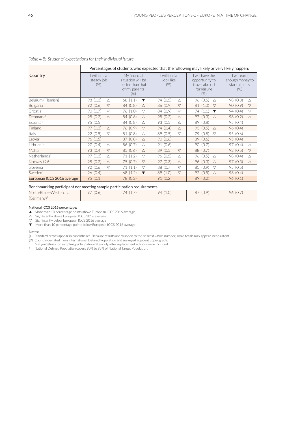## *Table 4.8: Students' expectations for their individual future*

|                            |                                     |                                                                                | Percentages of students who expected that the following may likely or very likely happen: |                                                                             |                                                            |
|----------------------------|-------------------------------------|--------------------------------------------------------------------------------|-------------------------------------------------------------------------------------------|-----------------------------------------------------------------------------|------------------------------------------------------------|
| Country                    | I will find a<br>steady job<br>(% ) | My financial<br>situation will be<br>better than that<br>of my parents<br>(% ) | I will find a<br>job I like<br>$(\%)$                                                     | I will have the<br>opportunity to<br>travel abroad<br>for leisure<br>$(\%)$ | I will earn<br>enough money to<br>start a family<br>$(\%)$ |
| Belgium (Flemish)          | 98 (0.3)<br>Δ                       | 68 (1.1)<br>$\blacktriangledown$                                               | 94 (0.5)<br>Δ                                                                             | 96 (0.5)<br>$\triangle$                                                     | 98 (0.3)<br>$\triangle$                                    |
| Bulgaria                   | 92(0.6)<br>$\triangledown$          | 84 (0.8)<br>$\triangle$                                                        | 86 (0.9)<br>$\triangledown$                                                               | (1.0)<br>81<br>$\triangledown$                                              | 90 (0.9)<br>$\triangledown$                                |
| Croatia                    | 90 (0.7)<br>$\triangledown$         | 76 (1.0)<br>$\triangledown$                                                    | 84 (0.9)<br>$\triangledown$                                                               | 74 (1.1)<br>▼                                                               | 94 (0.4)<br>$\triangledown$                                |
| Denmark <sup>+</sup>       | 98 (0.2)<br>$\triangle$             | 84 (0.6)<br>$\triangle$                                                        | 98 (0.2)<br>Δ                                                                             | 97 (0.3)<br>$\triangle$                                                     | 98 (0.2)<br>$\triangle$                                    |
| Estonia <sup>1</sup>       | 95 (0.5)                            | 84 (0.8)<br>$\triangle$                                                        | 93 (0.5)<br>$\triangle$                                                                   | 89 (0.8)                                                                    | 95 (0.4)                                                   |
| Finland                    | 97(0.3)<br>$\triangle$              | 76 (0.9)<br>$\triangledown$                                                    | 94 (0.4)<br>Δ                                                                             | 93 (0.5)<br>$\triangle$                                                     | 96(0.4)                                                    |
| Italy                      | 92 (0.5)<br>$\triangledown$         | 81 (0.8)<br>$\triangle$                                                        | 89 (0.5)<br>$\triangledown$                                                               | 79 (0.8)<br>$\triangledown$                                                 | 95 (0.6)                                                   |
| Latvia <sup>1</sup>        | 96 (0.5)                            | 87(0.8)<br>$\triangle$                                                         | 90(0.6)                                                                                   | 89 (0.6)                                                                    | 95 (0.4)                                                   |
| Lithuania                  | 97(0.4)<br>Δ                        | 86 (0.7)<br>$\triangle$                                                        | 91 (0.6)                                                                                  | 90 (0.7)                                                                    | 97 (0.4)<br>$\triangle$                                    |
| Malta                      | 93 (0.4)<br>$\triangledown$         | 85 (0.6)<br>$\triangle$                                                        | 89 (0.5)<br>$\triangledown$                                                               | 88 (0.7)                                                                    | 92 (0.5)<br>$\triangledown$                                |
| Netherlands <sup>†</sup>   | 97(0.3)<br>Δ                        | 71(1.2)<br>▽                                                                   | 96 (0.5)<br>Δ                                                                             | 96 (0.5)<br>$\triangle$                                                     | 98 (0.4)<br>$\triangle$                                    |
| Norway (9) <sup>1</sup>    | 98 (0.2)<br>$\triangle$             | 75 (0.7)<br>$\triangledown$                                                    | 97(0.3)<br>$\triangle$                                                                    | 96 (0.3)<br>$\triangle$                                                     | 97(0.3)<br>$\triangle$                                     |
| Slovenia                   | 92 (0.6)<br>$\triangledown$         | 71(1.1)<br>$\triangledown$                                                     | 88 (0.7)<br>$\triangledown$                                                               | 80 (0.9)<br>▽                                                               | 95 (0.5)                                                   |
| Sweden <sup>1</sup>        | 96 (0.4)                            | 68 (1.2)<br>$\blacktriangledown$                                               | 89 (1.0)<br>$\triangledown$                                                               | 92 (0.5)<br>$\triangle$                                                     | 96(0.4)                                                    |
| European ICCS 2016 average | 95(0.1)                             | 78 (0.2)                                                                       | 91(0.2)                                                                                   | 89 (0.2)                                                                    | 96 (0.1)                                                   |

## Benchmarking participant not meeting sample participation requirements

| ----                   | __      |                                      |             |       |                   |
|------------------------|---------|--------------------------------------|-------------|-------|-------------------|
| North-Rhine-Westphalia | 27(0.6) | $\overline{\phantom{0}}$<br>(4(1.7)) | (1.0)<br>94 | (0.9) | 96<br>$\sim$ (0., |
| (Germany) <sup>1</sup> |         |                                      |             |       |                   |

### National ICCS 2016 percentage:

▲ More than 10 percentage points above European ICCS 2016 average

 $\triangle$  Significantly above European ICCS 2016 average

 $\nabla$  Significantly below European ICCS 2016 average

 $\blacktriangledown$  More than 10 percentage points below European ICCS 2016 average

### Notes:

() Standard errors appear in parentheses. Because results are rounded to the nearest whole number, some totals may appear inconsistent.

(9) Country deviated from International Defined Population and surveyed adjacent upper grade.

† Met guidelines for sampling participation rates only after replacement schools were included. 1 National Defined Population covers 90% to 95% of National Target Population.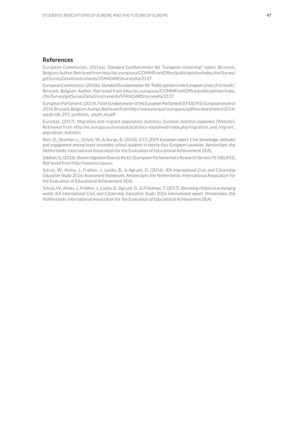## **References**

European Commission. (2016a). *Standard Eurobarometer 86 "European citizenship" report*. Brussels, Belgium: Author. Retrieved from http://ec.europa.eu/COMMFrontOffice/publicopinion/index.cfm/Survey/ getSurveyDetail/instruments/STANDARD/surveyKy/2137

European Commission. (2016b). *Standard Eurobarometer 86 "Public opinion in the European Union, first results."*  Brussels, Belgium: Author. Retrieved from http://ec.europa.eu/COMMFrontOffice/publicopinion/index. cfm/Survey/getSurveyDetail/instruments/STANDARD/surveyKy/2137

European Parliament. (2014). *Flash Eurobarometer of the European Parliament (EP EB395): European youth in 2014*. Brussels, Belgium: Author. Retrieved from http://www.europarl.europa.eu/pdf/eurobarometre/2014/ youth /eb\_395\_synthesis\_ youth\_en.pdf

Eurostat. (2017). Migration and migrant population statistics. *Eurostat statistics explained* [Website]. Retrieved from http://ec.europa.eu/eurostat/statistics-explained/index.php/migration\_and\_migrant\_ population\_statistics

Kerr, D., Sturman, L., Schulz, W., & Burge, B. (2010). *ICCS 2009 European report: Civic knowledge, attitudes and engagement among lower secondary school students in twenty-four European countries*. Amsterdam, the Netherlands: International Association for the Evaluation of Educational Achievement (IEA).

Sabbati, G. (2016). *Recent migration flows to the EU* (European Parliamentary Research Service PE 580.893). Retrieved from http://www.europa.eu

Schulz, W., Ainley, J., Fraillon, J., Losito, B., & Agrusti, G. (2016). *IEA International Civic and Citizenship Education Study 2016: Assessment framework*. Amsterdam, the Netherlands: International Association for the Evaluation of Educational Achievement (IEA).

Schulz, W., Ainley, J., Fraillon, J., Losito, B., Agrusti, G., & Friedman, T. (2017). *Becoming citizens in a changing world: IEA International Civic and Citizenship Education Study 2016 international report*. Amsterdam, the Netherlands: International Association for the Evaluation of Educational Achievement (IEA).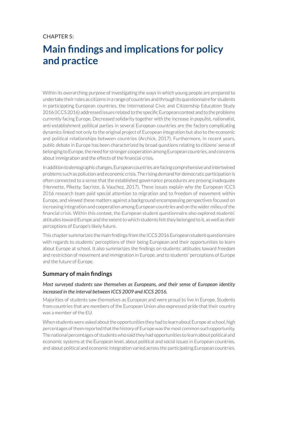## CHAPTER 5:

# **Main findings and implications for policy and practice**

Within its overarching purpose of investigating the ways in which young people are prepared to undertake their roles as citizens in a range of countries and through its questionnaire for students in participating European countries, the International Civic and Citizenship Education Study 2016 (ICCS 2016) addressed issues related to the specific European context and to the problems currently facing Europe. Decreased solidarity together with the increase in populist, nationalist, anti-establishment political parties in several European countries are the factors complicating dynamics linked not only to the original project of European integration but also to the economic and political relationships between countries (Archick, 2017). Furthermore, in recent years, public debate in Europe has been characterized by broad questions relating to citizens' sense of belonging to Europe, the need for stronger cooperation among European countries, and concerns about immigration and the effects of the financial crisis.

In addition to demographic changes, European countries are facing comprehensive and intertwined problems such as pollution and economic crisis. The rising demand for democratic participation is often connected to a sense that the established governance procedures are proving inadequate (Hennette, Piketty, Sacriste, & Vauchez, 2017). These issues explain why the European ICCS 2016 research team paid special attention to migration and to freedom of movement within Europe, and viewed these matters against a background encompassing perspectives focused on increasing integration and cooperation among European countries and on the wider milieu of the financial crisis. Within this context, the European student questionnaire also explored students' attitudes toward Europe and the extent to which students felt they belonged to it, as well as their perceptions of Europe's likely future.

This chapter summarizes the main findings from the ICCS 2016 European student questionnaire with regards to students' perceptions of their being European and their opportunities to learn about Europe at school. It also summarizes the findings on students' attitudes toward freedom and restriction of movement and immigration in Europe, and to students' perceptions of Europe and the future of Europe.

## **Summary of main findings**

## *Most surveyed students saw themselves as Europeans, and their sense of European identity increased in the interval between ICCS 2009 and ICCS 2016.*

Majorities of students saw themselves as European and were proud to live in Europe. Students from countries that are members of the European Union also expressed pride that their country was a member of the EU.

When students were asked about the opportunities they had to learn about Europe at school, high percentages of them reported that the history of Europe was the most common such opportunity. The national percentages of students who said they had opportunities to learn about political and economic systems at the European level, about political and social issues in European countries, and about political and economic integration varied across the participating European countries.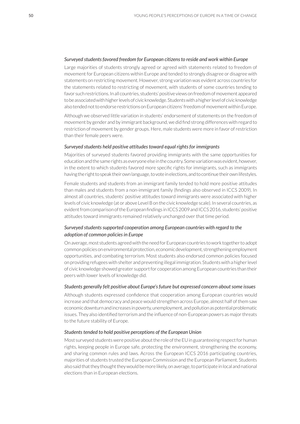## *Surveyed students favored freedom for European citizens to reside and work within Europe*

Large majorities of students strongly agreed or agreed with statements related to freedom of movement for European citizens within Europe and tended to strongly disagree or disagree with statements on restricting movement. However, strong variation was evident across countries for the statements related to restricting of movement, with students of some countries tending to favor such restrictions. In all countries, students' positive views on freedom of movement appeared to be associated with higher levels of civic knowledge. Students with a higher level of civic knowledge also tended not to endorse restrictions on European citizens' freedom of movement within Europe.

Although we observed little variation in students' endorsement of statements on the freedom of movement by gender and by immigrant background, we did find strong differences with regard to restriction of movement by gender groups. Here, male students were more in favor of restriction than their female peers were.

## *Surveyed students held positive attitudes toward equal rights for immigrants*

Majorities of surveyed students favored providing immigrants with the same opportunities for education and the same rights as everyone else in the country. Some variation was evident, however, in the extent to which students favored more specific rights for immigrants, such as immigrants having the right to speak their own language, to vote in elections, and to continue their own lifestyles.

Female students and students from an immigrant family tended to hold more positive attitudes than males and students from a non-immigrant family (findings also observed in ICCS 2009). In almost all countries, students' positive attitudes toward immigrants were associated with higher levels of civic knowledge (at or above Level B on the civic knowledge scale). In several countries, as evident from comparison of the European findings in ICCS 2009 and ICCS 2016, students' positive attitudes toward immigrants remained relatively unchanged over that time period.

## *Surveyed students supported cooperation among European countries with regard to the adoption of common policies in Europe*

On average, most students agreed with the need for European countries to work together to adopt common policies on environmental protection, economic development, strengthening employment opportunities, and combating terrorism. Most students also endorsed common policies focused on providing refugees with shelter and preventing illegal immigration. Students with a higher level of civic knowledge showed greater support for cooperation among European countries than their peers with lower levels of knowledge did.

### *Students generally felt positive about Europe's future but expressed concern about some issues*

Although students expressed confidence that cooperation among European countries would increase and that democracy and peace would strengthen across Europe, almost half of them saw economic downturn and increases in poverty, unemployment, and pollution as potential problematic issues. They also identified terrorism and the influence of non-European powers as major threats to the future stability of Europe.

### *Students tended to hold positive perceptions of the European Union*

Most surveyed students were positive about the role of the EU in guaranteeing respect for human rights, keeping people in Europe safe, protecting the environment, strengthening the economy, and sharing common rules and laws. Across the European ICCS 2016 participating countries, majorities of students trusted the European Commission and the European Parliament. Students also said that they thought they would be more likely, on average, to participate in local and national elections than in European elections.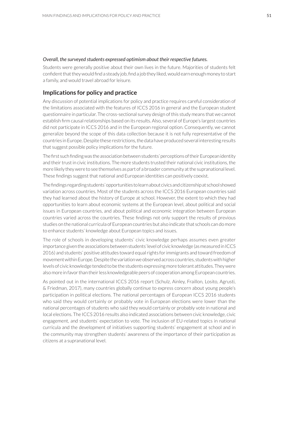## *Overall, the surveyed students expressed optimism about their respective futures.*

Students were generally positive about their own lives in the future. Majorities of students felt confident that they would find a steady job, find a job they liked, would earn enough money to start a family, and would travel abroad for leisure.

## **Implications for policy and practice**

Any discussion of potential implications for policy and practice requires careful consideration of the limitations associated with the features of ICCS 2016 in general and the European student questionnaire in particular. The cross-sectional survey design of this study means that we cannot establish firm causal relationships based on its results. Also, several of Europe's largest countries did not participate in ICCS 2016 and in the European regional option. Consequently, we cannot generalize beyond the scope of this data collection because it is not fully representative of the countries in Europe. Despite these restrictions, the data have produced several interesting results that suggest possible policy implications for the future.

The first such finding was the association between students' perceptions of their European identity and their trust in civic institutions. The more students trusted their national civic institutions, the more likely they were to see themselves as part of a broader community at the supranational level. These findings suggest that national and European identities can positively coexist.

The findings regarding students' opportunities to learn about civics and citizenship at school showed variation across countries. Most of the students across the ICCS 2016 European countries said they had learned about the history of Europe at school. However, the extent to which they had opportunities to learn about economic systems at the European level, about political and social issues in European countries, and about political and economic integration between European countries varied across the countries. These findings not only support the results of previous studies on the national curricula of European countries but also indicate that schools can do more to enhance students' knowledge about European topics and issues.

The role of schools in developing students' civic knowledge perhaps assumes even greater importance given the associations between students' level of civic knowledge (as measured in ICCS 2016) and students' positive attitudes toward equal rights for immigrants and toward freedom of movement within Europe. Despite the variation we observed across countries, students with higher levels of civic knowledge tended to be the students expressing more tolerant attitudes. They were also more in favor than their less knowledgeable peers of cooperation among European countries.

As pointed out in the international ICCS 2016 report (Schulz, Ainley, Fraillon, Losito, Agrusti, & Friedman, 2017), many countries globally continue to express concern about young people's participation in political elections. The national percentages of European ICCS 2016 students who said they would certainly or probably vote in European elections were lower than the national percentages of students who said they would certainly or probably vote in national and local elections. The ICCS 2016 results also indicated associations between civic knowledge, civic engagement, and students' expectation to vote. The inclusion of EU-related topics in national curricula and the development of initiatives supporting students' engagement at school and in the community may strengthen students' awareness of the importance of their participation as citizens at a supranational level.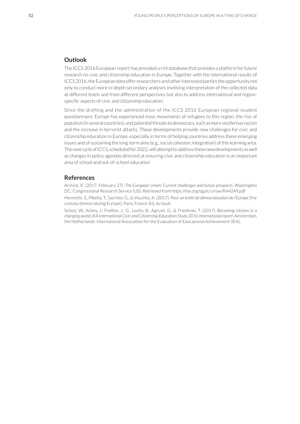## **Outlook**

The ICCS 2016 European report has provided a rich database that provides a platform for future research on civic and citizenship education in Europe. Together with the international results of ICCS 2016, the European data offer researchers and other interested parties the opportunity not only to conduct more in-depth secondary analyses involving interpretation of the collected data at different levels and from different perspectives but also to address international and regionspecific aspects of civic and citizenship education.

Since the drafting and the administration of the ICCS 2016 European regional student questionnaire, Europe has experienced mass movements of refugees to this region, the rise of populism (in several countries), and potential threats to democracy, such as more vociferous racism and the increase in terrorist attacks. These developments provide new challenges for civic and citizenship education in Europe, especially in terms of helping countries address these emerging issues and of sustaining the long-term aims (e.g., social cohesion, integration) of this learning area. The next cycle of ICCS, scheduled for 2022, will attempt to address these new developments as well as changes in policy agendas directed at ensuring civic and citizenship education is an important area of school and out-of-school education

## **References**

Archick, K. (2017, February 27). *The European Union: Current challenges and future prospects*. Washington DC: Congressional Research Service (US). Retrieved from https://fas.org/sgp/crs/row/R44249.pdf Hennette, S., Piketty, T., Sacriste, G., & Vauchez, A. (2017). *Pour un traité de démocratisation de l'Europe* [For a treaty democratizing Europe]. Paris, France: Ed. du Seuil.

Schulz, W., Ainley, J., Fraillon, J., G., Losito, B., Agrusti, G., & Friedman, T. (2017). *Becoming citizens in a changing world: IEA International Civic and Citizenship Education Study 2016 international report*. Amsterdam, the Netherlands: International Association for the Evaluation of Educational Achievement (IEA).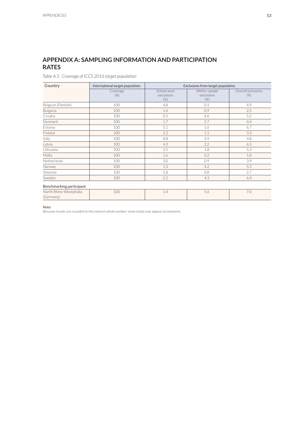## **APPENDIX A: SAMPLING INFORMATION AND PARTICIPATION RATES**

*Table A.1: Coverage of ICCS 2016 target population*

| Country                             | International target population |                                      | Exclusions from target population   |                            |
|-------------------------------------|---------------------------------|--------------------------------------|-------------------------------------|----------------------------|
|                                     | Coverage<br>(% )                | School-level<br>exclusions<br>$(\%)$ | Within-sample<br>exclusions<br>(% ) | Overall exclusions<br>(% ) |
| Belgium (Flemish)                   | 100                             | 4.8                                  | 0.1                                 | 4.9                        |
| Bulgaria                            | 100                             | 1.6                                  | 0.9                                 | 2.5                        |
| Croatia                             | 100                             | 0.5                                  | 4.6                                 | 5.2                        |
| Denmark                             | 100                             | 1.7                                  | 2.7                                 | 4.4                        |
| Estonia                             | 100                             | 5.1                                  | 1.6                                 | 6.7                        |
| Finland                             | 100                             | 2.2                                  | 1.1                                 | 3.3                        |
| Italy                               | 100                             | 0.8                                  | 3.9                                 | 4.8                        |
| Latvia                              | 100                             | 4.3                                  | 2.2                                 | 6.5                        |
| Lithuania                           | 100                             | 3.5                                  | 1.8                                 | 5.3                        |
| Malta                               | 100                             | 1.6                                  | 0.2                                 | 1.8                        |
| Netherlands                         | 100                             | 3.0                                  | 0.9                                 | 3.9                        |
| Norway                              | 100                             | 1.3                                  | 4.2                                 | 5.5                        |
| Slovenia                            | 100                             | 1.8                                  | 0.8                                 | 2.7                        |
| Sweden                              | 100                             | 2.2                                  | 4.3                                 | 6.4                        |
| Benchmarking participant            |                                 |                                      |                                     |                            |
| North Rhine-Westphalia<br>(Germany) | 100                             | 1.4                                  | 5.6                                 | 7.0                        |

Note:

Because results are rounded to the nearest whole number, some totals may appear inconsistent.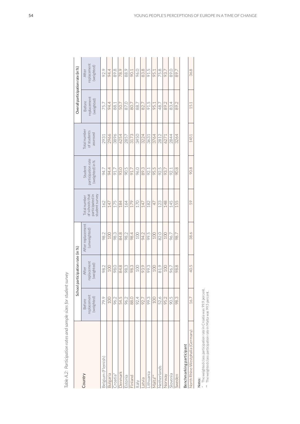|                                  | School pai                          | ticipation rate (in %)             |                                   |                                                                      |                                                  |                                         | Overall participation rate (in %)  |                                    |
|----------------------------------|-------------------------------------|------------------------------------|-----------------------------------|----------------------------------------------------------------------|--------------------------------------------------|-----------------------------------------|------------------------------------|------------------------------------|
| Country                          | replacement<br>(weighted)<br>Before | replacement<br>(weighted)<br>After | After replacement<br>(unweighted) | of schools that<br>participated in<br>student survey<br>Total number | participation rate<br>(weighted) in %<br>Student | Total number<br>of students<br>assessed | eplacement<br>(weighted)<br>Before | replacement<br>(weighted)<br>After |
| Belgium (Flemish)                | 79.9                                | 98.2                               | 98.2                              | 162                                                                  | 94.7                                             | 2931                                    | 75.7                               | 92.9                               |
| Bulgaria                         | <b>OOT</b>                          | 100                                | 100                               | 147                                                                  | 94.4                                             | 2966                                    | 94.4                               | 94.4                               |
| Croatia <sup>*</sup>             | 96.2                                | 98.0                               | 98.3                              | 175                                                                  | 91.7                                             | 3896                                    | 88.1                               | 89.8                               |
| Denmark                          | 54.5                                | 84.8                               | 84.8                              | 184                                                                  | 93.0                                             | 6254                                    | 50.7                               | 78.9                               |
| Estonia                          | 96.2                                | 98.3                               | 98.2                              | 164                                                                  | 90.5                                             | 2857                                    | 87.0                               | 88.9                               |
| Finland                          | 88.0                                | 98.3                               | 98.4                              | 179                                                                  | 91.7                                             | 3173                                    | 80.7                               | 90.1                               |
| taly                             | 92.4                                | 100                                | 100                               | 170                                                                  | 96.0                                             | 3450                                    | 88.7                               | 96.0                               |
| Latvia                           | 92.7                                | 93.9                               | 94.2                              | 147                                                                  | 89.3                                             | 3224                                    | 82.7                               | 83.8                               |
| ithuania                         | 99.3                                | 99.3                               | 99.5                              | 182                                                                  | 92.1                                             | 3631                                    | 91.5                               | 91.5                               |
| <b>Malta</b> **                  | 100                                 | 100                                | 100                               | 47                                                                   | 95.5                                             | 3764                                    | 95.1                               | 95.1                               |
| Netherlands                      | 52.6                                | 81.9                               | 82.0                              | 123                                                                  | 92.5                                             | 2812                                    | 48.7                               | 75.8                               |
| <b>AewjoN</b>                    | 95.2                                | 100                                | 100                               | 148                                                                  | 93.7                                             | 6271                                    | 89.2                               | 93.7                               |
| Slovenia                         | 90.5                                | 96.7                               | 96.7                              | 145                                                                  | 92.1                                             | 2844                                    | 83.4                               | 89.0                               |
| Sweden                           | 98.3                                | 98.8                               | 98.7                              | 155                                                                  | 90.8                                             | 3264                                    | 89.2                               | 89.7                               |
| Benchmarking participant         |                                     |                                    |                                   |                                                                      |                                                  |                                         |                                    |                                    |
| North Rhine-Westphalia (Germany) | 16.7                                | 40.5                               | 38.6                              | 59                                                                   | 90.8                                             | 1451                                    | 15.1                               | 36.8                               |

| Ó<br>۱<br>١<br>ç<br>١<br>ļ<br>ī<br>ļ<br>ł<br>י<br>I<br>ī<br>d<br>֖֖֚֚֚֚֚֚֚֚֬<br>j<br>Į<br>ã       |                  |      |      |                    |        |      |           |      |
|---------------------------------------------------------------------------------------------------|------------------|------|------|--------------------|--------|------|-----------|------|
| ŕ.<br>$\hat{c}$<br>r por<br>l<br>Ι<br>$\overline{a}$<br>ï<br>l<br>ļ<br>I<br>j<br>l<br>ś<br>1<br>ļ | I<br>j<br>J<br>ł | 40., | 38.6 | $\frac{C}{4}$<br>5 | )<br>C | 1451 | T CT<br>ý | 36.8 |
|                                                                                                   |                  |      |      |                    |        |      |           |      |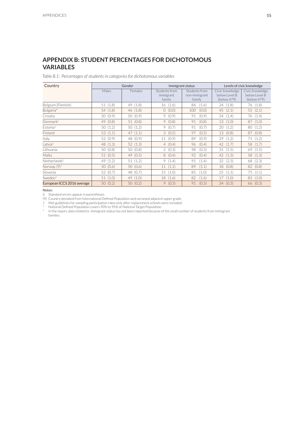## **APPENDIX B: STUDENT PERCENTAGES FOR DICHOTOMOUS VARIABLES**

*Table B.1: Percentages of students in categories for dichotomous variables* 

| Country                    |          | Gender   |                                      | Immigrant status                         |                                                 | Levels of civic knowledge                       |
|----------------------------|----------|----------|--------------------------------------|------------------------------------------|-------------------------------------------------|-------------------------------------------------|
|                            | Males    | Females  | Students from<br>immigrant<br>family | Students from<br>non-immigrant<br>family | Civic knowledge<br>below Level B<br>(below 479) | Civic knowledge<br>below Level B<br>(below 479) |
| Belgium (Flemish)          | 51 (1.8) | 49 (1.8) | 16(1.6)                              | (1.6)<br>84                              | 24 (1.8)                                        | 76 (1.8)                                        |
| Bulgaria*                  | 54 (1.8) | 46(1.8)  | 0(0.0)                               | 100<br>(0.0)                             | 45 (2.1)                                        | 55(2.1)                                         |
| Croatia                    | 50 (0.9) | 50 (0.9) | 9(0.9)                               | 91<br>(0.9)                              | 24 (1.4)                                        | 76 (1.4)                                        |
| Denmark <sup>+</sup>       | 49 (0.8) | 51 (0.8) | 9(0.8)                               | (0.8)<br>91                              | 13(1.0)                                         | 87 (1.0)                                        |
| Estonia <sup>1</sup>       | 50(1.2)  | 50(1.2)  | 9(0.7)                               | (0.7)<br>91                              | 20<br>(1.2)                                     | 80 (1.2)                                        |
| Finland                    | 53(1.1)  | 47(1.1)  | 3(0.5)                               | (0.5)<br>97                              | 13 (0.8)                                        | 87 (0.8)                                        |
| Italy                      | 52 (0.9) | 48 (0.9) | 11 (0.9)                             | (0.9)<br>89                              | 29<br>(1.2)                                     | 71 (1.2)                                        |
| Latvia <sup>1</sup>        | 48 (1.3) | 52 (1.3) | 4 $(0.4)$                            | (0.4)<br>96                              | 42<br>(1.7)                                     | 58 (1.7)                                        |
| Lithuania                  | 50 (0.8) | 50 (0.8) | 2(0.3)                               | 98<br>(0.3)                              | 31(1.5)                                         | 69 (1.5)                                        |
| Malta                      | 51 (0.5) | 49 (0.5) | 8(0.4)                               | 92<br>(0.4)                              | 42<br>(1.3)                                     | 58 (1.3)                                        |
| Netherlands <sup>+</sup>   | 49 (1.2) | 51(1.2)  | 9(1.4)                               | 91<br>(1.4)                              | 32<br>(2.3)                                     | (2.3)<br>68                                     |
| Norway $(9)^1$             | 50 (0.6) | 50 (0.6) | 11(1.1)                              | 89<br>(1.1)                              | (0.8)<br>18                                     | 82 (0.8)                                        |
| Slovenia                   | 52 (0.7) | 48 (0.7) | 15(1.0)                              | 85<br>(1.0)                              | 25<br>(1.1)                                     | 75(1.1)                                         |
| Sweden <sup>1</sup>        | 51(1.0)  | 49 (1.0) | 18<br>(1.6)                          | 82<br>(1.6)                              | 17(1.0)                                         | 83 (1.0)                                        |
| European ICCS 2016 average | 50 (0.2) | 50 (0.2) | 9(0.3)                               | 91<br>(0.3)                              | 34 (0.3)                                        | 66 (0.3)                                        |

Notes:

() Standard errors appear in parentheses.

(9) Country deviated from International Defined Population and surveyed adjacent upper grade.

† Met guidelines for sampling participation rates only after replacement schools were included. 1 National Defined Population covers 90% to 95% of National Target Population.

In the report, data related to immigrant status has not been reported because of the small number of students from immigrant families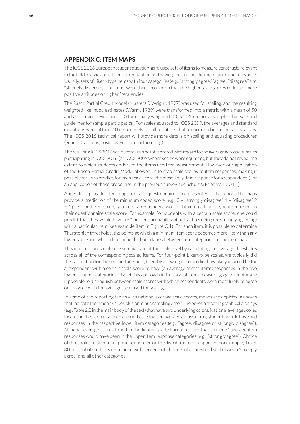## **APPENDIX C: ITEM MAPS**

The ICCS 2016 European student questionnaire used sets of items to measure constructs relevant in the field of civic and citizenship education and having region-specific importance and relevance. Usually, sets of Likert-type items with four categories (e.g., "strongly agree," "agree," "disagree," and "strongly disagree"). The items were then recoded so that the higher scale scores reflected more positive attitudes or higher frequencies.

The Rasch Partial Credit Model (Masters & Wright, 1997) was used for scaling, and the resulting weighted likelihood estimates (Warm, 1989) were transformed into a metric with a mean of 50 and a standard deviation of 10 for equally weighted ICCS 2016 national samples that satisfied guidelines for sample participation. For scales equated to ICCS 2009, the averages and standard deviations were 50 and 10 respectively for all countries that participated in the previous survey. The ICCS 2016 technical report will provide more details on scaling and equating procedures (Schulz, Carstens, Losito, & Fraillon, forthcoming).

The resulting ICCS 2016 scale scores can be interpreted with regard to the average across countries participating in ICCS 2016 (or ICCS 2009 where scales were equated), but they do not reveal the extent to which students endorsed the items used for measurement. However, our application of the Rasch Partial Credit Model allowed us to map scale scores to item responses, making it possible for us to predict, for each scale score, the most likely item response for a respondent. (For an application of these properties in the previous survey, see Schulz & Friedman, 2011.)

Appendix C provides item maps for each questionnaire scale presented in the report. The maps provide a prediction of the minimum coded score (e.g.,  $0 =$  "strongly disagree,"  $1 =$  "disagree"  $2$ = "agree," and 3 = "strongly agree") a respondent would obtain on a Likert-type item based on their questionnaire scale score. For example, for students with a certain scale score, one could predict that they would have a 50 percent probability of at least agreeing (or strongly agreeing) with a particular item (see example item in Figure C.1). For each item, it is possible to determine Thurstonian thresholds, the points at which a minimum item score becomes more likely than any lower score and which determine the boundaries between item categories on the item map.

This information can also be summarized at the scale level by calculating the average thresholds across all of the corresponding scaled items. For four-point Likert-type scales, we typically did the calculation for the second threshold, thereby allowing us to predict how likely it would be for a respondent with a certain scale score to have (on average across items) responses in the two lower or upper categories. Use of this approach in the case of items measuring agreement made it possible to distinguish between scale scores with which respondents were most likely to agree or disagree with the average item used for scaling.

In some of the reporting tables with national average scale scores, means are depicted as boxes that indicate their mean values plus or minus sampling error. The boxes are set in graphical displays (e.g., Table 2.2 in the main body of the text) that have two underlying colors. National average scores located in the darker-shaded area indicate that, on average across items, students would have had responses in the respective lower item categories (e.g., "agree, disagree or strongly disagree"). National average scores found in the lighter-shaded area indicate that students' average item responses would have been in the upper item response categories (e.g., "strongly agree"). Choice of thresholds between categories depended on the distributions of responses. For example, if over 80 percent of students responded with agreement, this meant a threshold set between "strongly agree" and all other categories.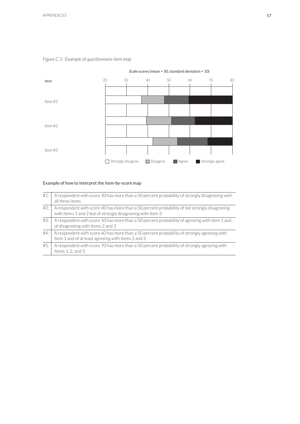

## *Figure C.1: Example of questionnaire item map*

## Example of how to interpret the item-by-score map

| #1: | A respondent with score 30 has more than a 50 percent probability of strongly disagreeing with<br>all three items                                           |
|-----|-------------------------------------------------------------------------------------------------------------------------------------------------------------|
| #2: | A respondent with score 40 has more than a 50 percent probability of not strongly disagreeing<br>with Items 1 and 2 but of strongly disagreeing with Item 3 |
| #3: | A respondent with score 50 has more than a 50 percent probability of agreeing with Item 1 and<br>of disagreeing with Items 2 and 3                          |
| #4: | A respondent with score 60 has more than a 50 percent probability of strongly agreeing with<br>Item 1 and of at least agreeing with Items 2 and 3           |
| #5: | A respondent with score 70 has more than a 50 percent probability of strongly agreeing with<br>Items $1, 2$ , and $3$                                       |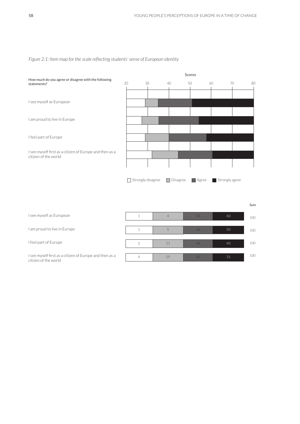## *Figure 2.1: Item map for the scale reflecting students' sense of European identity*

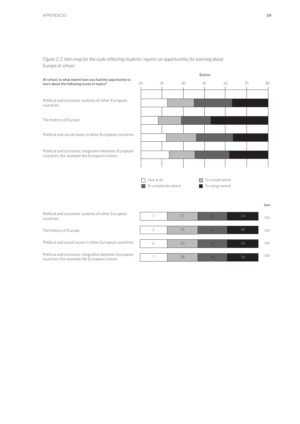

## *Figure 2.2: Item map for the scale reflecting students' reports on opportunities for learning about Europe at school*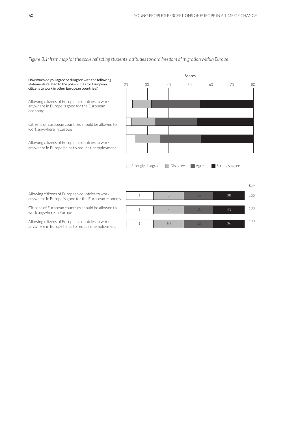## *Figure 3.1: Item map for the scale reflecting students' attitudes toward freedom of migration within Europe*

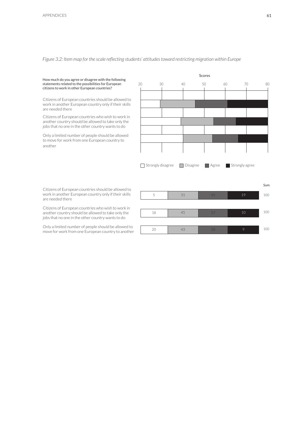## *Figure 3.2: Item map for the scale reflecting students' attitudes toward restricting migration within Europe*

How much do you agree or disagree with the following statements related to the possibilities for European citizens to work in other European countries?

Citizens of European countries should be allowed to work in another European country only if their skills are needed there

Citizens of European countries who wish to work in another country should be allowed to take only the jobs that no one in the other country wants to do

Only a limited number of people should be allowed to move for work from one European country to another





Citizens of European countries should be allowed to work in another European country only if their skills are needed there

Citizens of European countries who wish to work in another country should be allowed to take only the jobs that no one in the other country wants to do

Only a limited number of people should be allowed to move for work from one European country to another

|    |    |    |    | Sum |
|----|----|----|----|-----|
| 5  | 31 | 45 | 19 | 100 |
|    |    |    |    |     |
| 18 | 45 | 27 | 10 | 100 |
|    |    |    |    |     |
| 20 | 43 | 28 | 9  | 100 |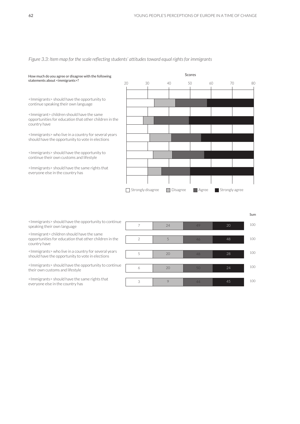### *Figure 3.3: Item map for the scale reflecting students' attitudes toward equal rights for immigrants*

<Immigrants> should have the opportunity to continue speaking their own language

How much do you agree or disagree with the following

statements about <immigrants>?

<Immigrant> children should have the same opportunities for education that other children in the country have

<Immigrants> who live in a country for several years should have the opportunity to vote in elections

<Immigrants> should have the opportunity to continue their own customs and lifestyle

<Immigrants> should have the same rights that everyone else in the country has



<Immigrants> should have the opportunity to continue speaking their own language

<Immigrant> children should have the same opportunities for education that other children in the country have

<Immigrants> who live in a country for several years should have the opportunity to vote in elections

<Immigrants> should have the opportunity to continue their own customs and lifestyle

<Immigrants> should have the same rights that everyone else in the country has

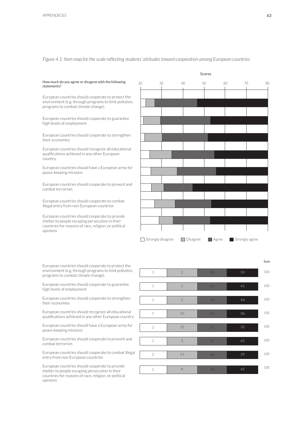statements?

# How much do you agree or disagree with the following Scores

*Figure 4.1: Item map for the scale reflecting students' attitudes toward cooperation among European countries*

European countries should cooperate to protect the environment (e.g. through programs to limit pollution, programs to combat climate change).

European countries should cooperate to guarantee high levels of employment

European countries should cooperate to strengthen their economies

European countries should recognize all educational qualifications achieved in any other European country.

European countries should have a European army for peace-keeping missions

European countries should cooperate to prevent and combat terrorism

European countries should cooperate to combat illegal entry from non-European countries

European countries should cooperate to provide shelter to people escaping persecution in their countries for reasons of race, religion, or political opinions

European countries should cooperate to protect the environment (e.g. through programs to limit pollution, programs to combat climate change).

European countries should cooperate to guarantee high levels of employment

European countries should cooperate to strengthen their economies

European countries should recognize all educational qualifications achieved in any other European country.

European countries should have a European army for peace-keeping missions

European countries should cooperate to prevent and combat terrorism

European countries should cooperate to combat illegal entry from non-European countries

European countries should cooperate to provide shelter to people escaping persecution in their countries for reasons of race, religion, or political opinions



|                |                |    |    | Sum |
|----------------|----------------|----|----|-----|
| $1\,$          | $\overline{2}$ | 38 | 59 | 100 |
| $1\,$          | 5              | 54 | 41 | 100 |
|                |                |    |    |     |
| $\mathbf{1}$   | 5              | 50 | 44 | 100 |
|                |                |    |    | 100 |
| $1\,$          | 10             | 53 | 36 |     |
| $\sqrt{2}$     | 15             | 51 | 32 | 100 |
|                |                |    |    |     |
| $\mathbf 1$    | 3              | 31 | 65 | 100 |
| $\overline{2}$ | 11             | 48 | 39 | 100 |
|                |                |    |    |     |
| $\overline{2}$ | 8              | 48 | 42 | 100 |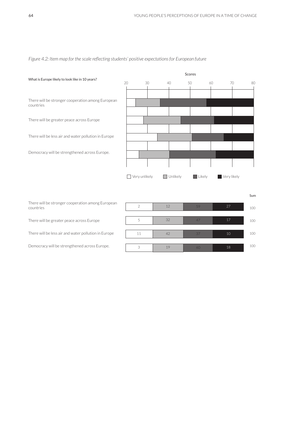## *Figure 4.2: Item map for the scale reflecting students' positive expectations for European future*

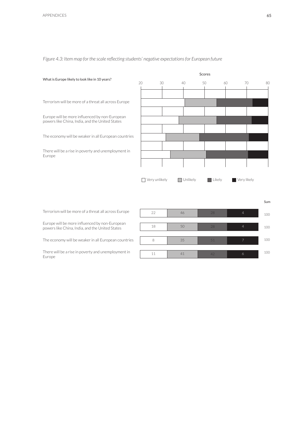*Figure 4.3: Item map for the scale reflecting students' negative expectations for European future*



What is Europe likely to look like in 10 years?

Europe will be more influenced by non-European powers like China, India, and the United States

The economy will be weaker in all European countries

There will be a rise in poverty and unemployment in Europe



Terrorism will be more of a threat all across Europe

Europe will be more influenced by non-European powers like China, India, and the United States

The economy will be weaker in all European countries

There will be a rise in poverty and unemployment in Europe

| 22 | 46 | 28 | 4 | 100 |
|----|----|----|---|-----|
|    |    |    |   |     |
| 18 | 50 | 28 | 4 | 100 |
|    |    |    |   |     |
| 8  | 35 | 51 |   | 100 |
|    |    |    |   |     |
| 11 | 41 | 42 | 6 | 100 |

Sum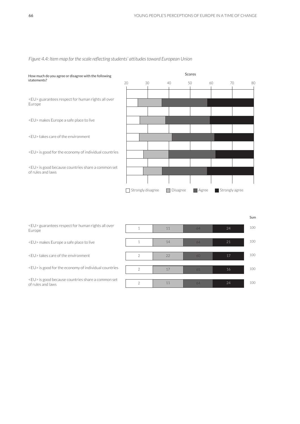## *Figure 4.4: Item map for the scale reflecting students' attitudes toward European Union*



| <eu> guarantees respect for human rights all over<br/>Europe</eu>            |               | 11 | 64 | 24 | 100 |
|------------------------------------------------------------------------------|---------------|----|----|----|-----|
| <eu> makes Europe a safe place to live</eu>                                  |               | 14 | 64 | 21 | 100 |
| <eu> takes care of the environment</eu>                                      | $\mathcal{P}$ | 22 | 60 | 17 | 100 |
| <eu> is good for the economy of individual countries</eu>                    | $\mathcal{P}$ | 17 | 65 | 16 | 100 |
| <eu> is good because countries share a common set<br/>of rules and laws</eu> | $\mathcal{P}$ | 11 | 64 | 24 | 100 |

Sum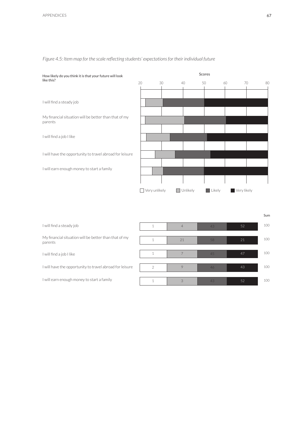

## *Figure 4.5: Item map for the scale reflecting students' expectations for their individual future*

| I will find a steady job                                         | $\overline{4}$ | 43 | 52 | 100 |
|------------------------------------------------------------------|----------------|----|----|-----|
| My financial situation will be better than that of my<br>parents | 21             | 58 | 21 | 100 |
| I will find a job I like                                         |                | 45 | 47 | 100 |
| I will have the opportunity to travel abroad for leisure         | 9              | 46 | 43 | 100 |
| I will earn enough money to start a family                       | 3              | 43 | 52 | 100 |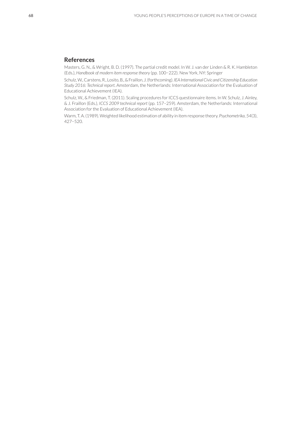## **References**

Masters, G. N., & Wright, B. D. (1997). The partial credit model. In W. J. van der Linden & R. K. Hambleton (Eds.), *Handbook of modern item response theory* (pp. 100−222). New York, NY: Springer

Schulz, W., Carstens, R., Losito, B., & Fraillon, J. (forthcoming). *IEA International Civic and Citizenship Education Study 2016: Technical report*. Amsterdam, the Netherlands: International Association for the Evaluation of Educational Achievement (IEA).

Schulz, W., & Friedman, T. (2011). Scaling procedures for ICCS questionnaire items. In W. Schulz, J. Ainley, & J. Fraillon (Eds.), *ICCS 2009 technical report* (pp. 157–259). Amsterdam, the Netherlands: International Association for the Evaluation of Educational Achievement (IEA).

Warm, T. A. (1989). Weighted likelihood estimation of ability in item response theory. *Psychometrika*, *54*(3), 427−520.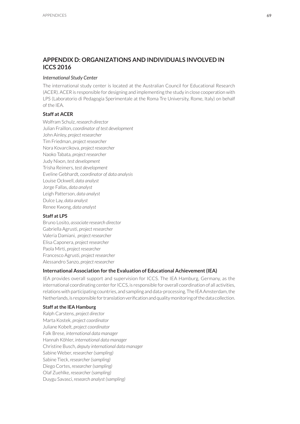## **APPENDIX D: ORGANIZATIONS AND INDIVIDUALS INVOLVED IN ICCS 2016**

### *International Study Center*

The international study center is located at the Australian Council for Educational Research (ACER). ACER is responsible for designing and implementing the study in close cooperation with LPS (Laboratorio di Pedagogia Sperimentale at the Roma Tre University, Rome, Italy) on behalf of the IEA.

## **Staff at ACER**

Wolfram Schulz, *research director* Julian Fraillon, *coordinator of test development* John Ainley, *project researcher* Tim Friedman, *project researcher* Nora Kovarcikova, *project researcher* Naoko Tabata, *project researcher* Judy Nixon, *test development* Trisha Reimers, *test development* Eveline Gebhardt*, coordinator of data analysis* Louise Ockwell, *data analyst* Jorge Fallas, *data analyst* Leigh Patterson, *data analyst* Dulce Lay, *data analyst* Renee Kwong, *data analyst*

#### **Staff at LPS**

Bruno Losito, *associate research director* Gabriella Agrusti, *project researcher* Valeria Damiani, *project researcher* Elisa Caponera, *project researcher* Paola Mirti, *project researcher* Francesco Agrusti, *project researcher* Alessandro Sanzo, *project researcher*

## **International Association for the Evaluation of Educational Achievement (IEA)**

IEA provides overall support and supervision for ICCS. The IEA Hamburg, Germany, as the international coordinating center for ICCS, is responsible for overall coordination of all activities, relations with participating countries, and sampling and data-processing. The IEA Amsterdam, the Netherlands, is responsible for translation verification and quality monitoring of the data collection.

## **Staff at the IEA Hamburg**

Ralph Carstens, *project director* Marta Kostek, *project coordinator*  Juliane Kobelt, *project coordinator*  Falk Brese, *international data manager* Hannah Köhler, *international data manager* Christine Busch, *deputy international data manager* Sabine Weber, *researcher (sampling)* Sabine Tieck, *researcher (sampling)* Diego Cortes, *researcher (sampling)* Olaf Zuehlke, *researcher (sampling)* Duygu Savasci, *research analyst (sampling)*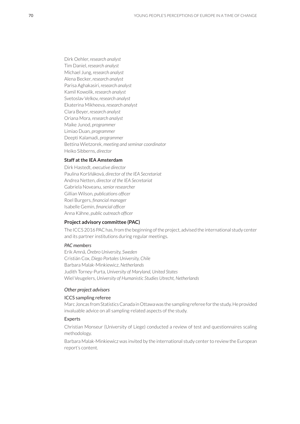Dirk Oehler, *research analyst* Tim Daniel, *research analyst* Michael Jung, *research analyst* Alena Becker, *research analyst* Parisa Aghakasiri, *research analyst* Kamil Kowolik, *research analyst* Svetoslav Velkov, *research analyst* Ekaterina Mikheeva, *research analyst* Clara Beyer, *research analyst* Oriana Mora, *research analyst* Maike Junod, *programmer* Limiao Duan, *programmer* Deepti Kalamadi, *programmer* Bettina Wietzorek, *meeting and seminar coordinator* Heiko Sibberns, *director*

#### **Staff at the IEA Amsterdam**

Dirk Hastedt, *executive director* Paulína Koršňáková, *director of the IEA Secretariat* Andrea Netten, *director of the IEA Secretariat*  Gabriela Noveanu, *senior researcher*  Gillian Wilson, *publications officer* Roel Burgers, *financial manage*r Isabelle Gemin, *financial officer* Anna Kähne, *public outreach officer*

### **Project advisory committee (PAC)**

The ICCS 2016 PAC has, from the beginning of the project, advised the international study center and its partner institutions during regular meetings.

## *PAC members*

Erik Amnå, *Örebro University, Sweden* Cristián Cox, *Diego Portales University, Chile* Barbara Malak-Minkiewicz, *Netherlands* Judith Torney-Purta, *University of Maryland, United States* Wiel Veugelers, *University of Humanistic Studies Utrecht, Netherlands*

#### *Other project advisors*

#### ICCS sampling referee

Marc Joncas from Statistics Canada in Ottawa was the sampling referee for the study. He provided invaluable advice on all sampling-related aspects of the study.

#### Experts

Christian Monseur (University of Liege) conducted a review of test and questionnaires scaling methodology.

Barbara Malak-Minkiewicz was invited by the international study center to review the European report's content.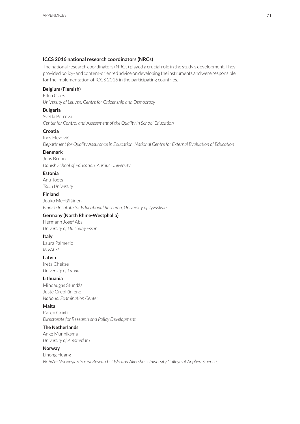## **ICCS 2016 national research coordinators (NRCs)**

The national research coordinators (NRCs) played a crucial role in the study's development. They provided policy- and content-oriented advice on developing the instruments and were responsible for the implementation of ICCS 2016 in the participating countries.

#### **Belgium (Flemish)**

Ellen Claes *University of Leuven, Centre for Citizenship and Democracy*

#### **Bulgaria**

Svetla Petrova *Center for Control and Assessment of the Quality in School Education*

#### **Croatia**

Ines Elezović *Department for Quality Assurance in Education, National Centre for External Evaluation of Education*

## **Denmark**

Jens Bruun *Danish School of Education, Aarhus University*

#### **Estonia**

Anu Toots *Tallin University*

## **Finland**

Jouko Mehtäläinen *Finnish Institute for Educational Research, University of Jyväskylä*

## **Germany (North Rhine-Westphalia)**

Hermann Josef Abs *University of Duisburg-Essen*

**Italy**

Laura Palmerio *INVALSI*

#### **Latvia**

Ireta Chekse *University of Latvia*

#### **Lithuania**

Mindaugas Stundža Justė Grebliūnienė *National Examination Center*

#### **Malta**

Karen Grixti *Directorate for Research and Policy Development*

## **The Netherlands**

Anke Munniksma *University of Amsterdam*

#### **Norway**

Lihong Huang *NOVA—Norwegian Social Research, Oslo and Akershus University College of Applied Sciences*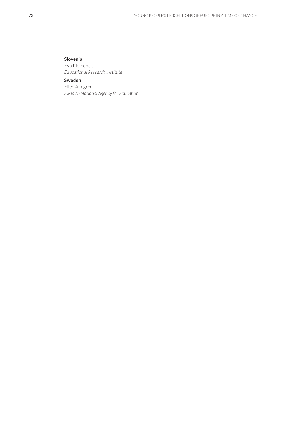## **Slovenia**

Eva Klemencic *Educational Research Institute*

## **Sweden**

Ellen Almgren *Swedish National Agency for Education*